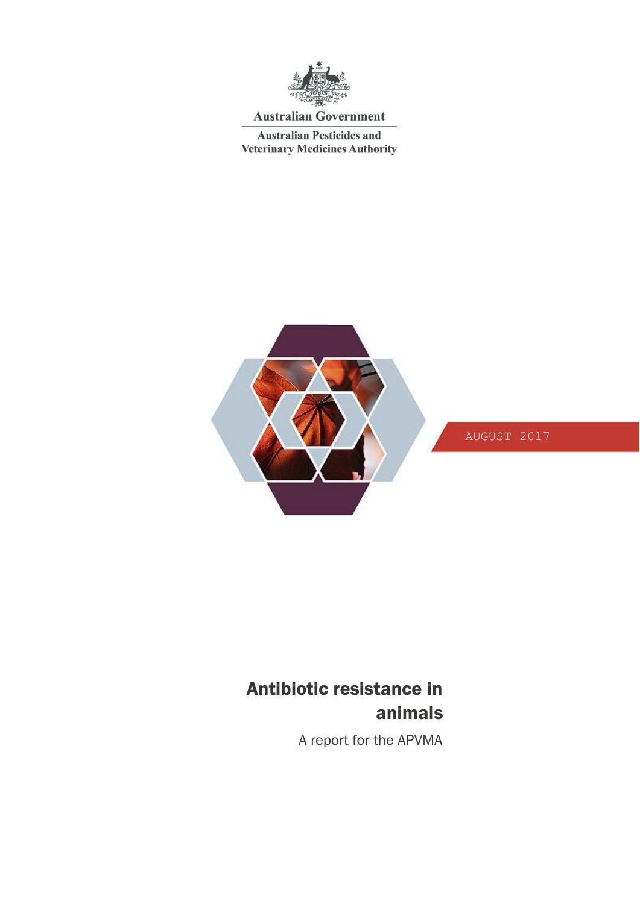

## **Australian Government**

**Australian Pesticides and Veterinary Medicines Authority** 



## AUGUST 2017

# Antibiotic resistance in animals

A report for the APVMA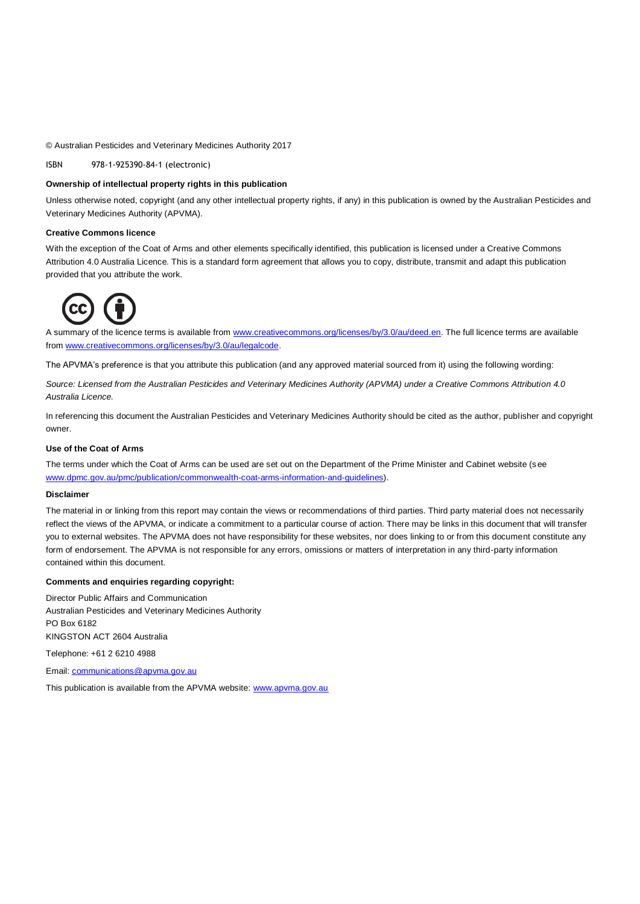### © Australian Pesticides and Veterinary Medicines Authority 2017

ISBN 978-1-925390-84-1 (electronic)

### **Ownership of intellectual property rights in this publication**

Unless otherwise noted, copyright (and any other intellectual property rights, if any) in this publication is owned by the Australian Pesticides and Veterinary Medicines Authority (APVMA).

### **Creative Commons licence**

With the exception of the Coat of Arms and other elements specifically identified, this publication is licensed under a Creative Commons Attribution 4.0 Australia Licence. This is a standard form agreement that allows you to copy, distribute, transmit and adapt this publication provided that you attribute the work.



A summary of the licence terms is available from [www.creativecommons.org/licenses/by/3.0/au/deed.en.](http://www.creativecommons.org/licenses/by/3.0/au/deed.en) The full licence terms are available from [www.creativecommons.org/licenses/by/3.0/au/legalcode.](http://www.creativecommons.org/licenses/by/3.0/au/legalcode)

The APVMA's preference is that you attribute this publication (and any approved material sourced from it) using the following wording:

*Source: Licensed from the Australian Pesticides and Veterinary Medicines Authority (APVMA) under a Creative Commons Attribution 4.0 Australia Licence.* 

In referencing this document the Australian Pesticides and Veterinary Medicines Authority should be cited as the author, publisher and copyright owner.

### **Use of the Coat of Arms**

The terms under which the Coat of Arms can be used are set out on the Department of the Prime Minister and Cabinet website (see [www.dpmc.gov.au/pmc/publication/commonwealth-coat-arms-information-and-guidelines\)](http://www.dpmc.gov.au/pmc/publication/commonwealth-coat-arms-information-and-guidelines).

#### **Disclaimer**

The material in or linking from this report may contain the views or recommendations of third parties. Third party material does not necessarily reflect the views of the APVMA, or indicate a commitment to a particular course of action. There may be links in this document that will transfer you to external websites. The APVMA does not have responsibility for these websites, nor does linking to or from this document constitute any form of endorsement. The APVMA is not responsible for any errors, omissions or matters of interpretation in any third-party information contained within this document.

### **Comments and enquiries regarding copyright:**

Director Public Affairs and Communication Australian Pesticides and Veterinary Medicines Authority PO Box 6182 KINGSTON ACT 2604 Australia

Telephone: +61 2 6210 4988

Email: [communications@apvma.gov.au](mailto:communications@apvma.gov.au)

This publication is available from the APVMA website[: www.apvma.gov.au](http://www.apvma.gov.au/)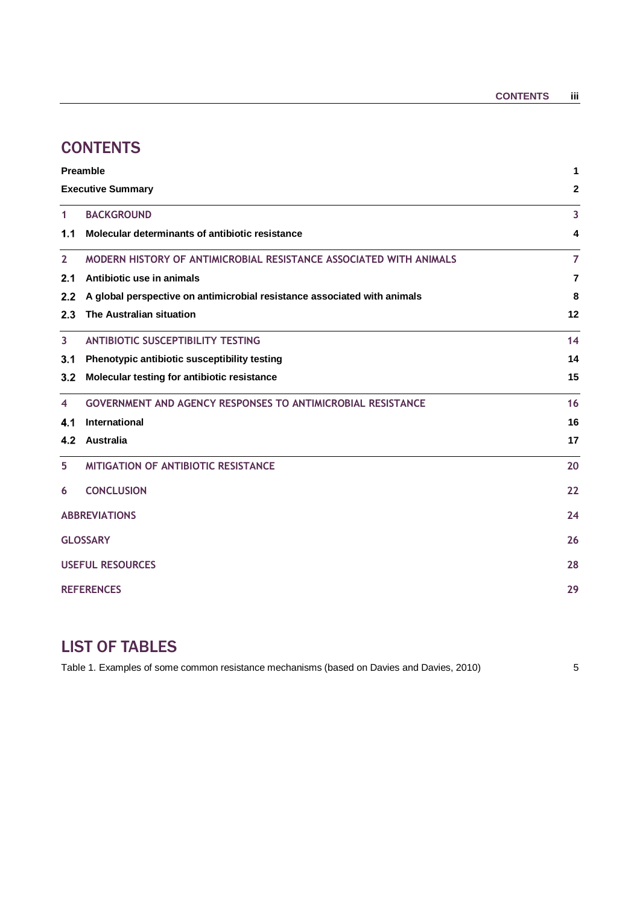# **CONTENTS**

| Preamble                |                                                                          | 1              |  |
|-------------------------|--------------------------------------------------------------------------|----------------|--|
|                         | <b>Executive Summary</b><br>$\mathbf{2}$                                 |                |  |
| $\mathbf{1}$            | <b>BACKGROUND</b>                                                        | 3              |  |
| 1.1                     | Molecular determinants of antibiotic resistance                          | 4              |  |
| $\mathbf{2}$            | MODERN HISTORY OF ANTIMICROBIAL RESISTANCE ASSOCIATED WITH ANIMALS       | $\overline{7}$ |  |
| 2.1                     | Antibiotic use in animals                                                | 7              |  |
| 2.2                     | A global perspective on antimicrobial resistance associated with animals | 8              |  |
| 2.3                     | The Australian situation                                                 | 12             |  |
| $\overline{3}$          | <b>ANTIBIOTIC SUSCEPTIBILITY TESTING</b>                                 | 14             |  |
| 3.1                     | Phenotypic antibiotic susceptibility testing                             | 14             |  |
| 3.2                     | Molecular testing for antibiotic resistance                              | 15             |  |
| 4                       | <b>GOVERNMENT AND AGENCY RESPONSES TO ANTIMICROBIAL RESISTANCE</b>       | 16             |  |
| 4.1                     | International                                                            | 16             |  |
| 4.2                     | <b>Australia</b>                                                         | 17             |  |
| 5                       | MITIGATION OF ANTIBIOTIC RESISTANCE                                      | 20             |  |
| 6                       | <b>CONCLUSION</b>                                                        | 22             |  |
| <b>ABBREVIATIONS</b>    |                                                                          | 24             |  |
|                         | <b>GLOSSARY</b>                                                          |                |  |
| <b>USEFUL RESOURCES</b> |                                                                          | 28             |  |
| <b>REFERENCES</b>       |                                                                          | 29             |  |
|                         |                                                                          |                |  |

# LIST OF TABLES

Table 1. Examples of some common resistance mechanisms (based on Davies and Davies, 2010) 5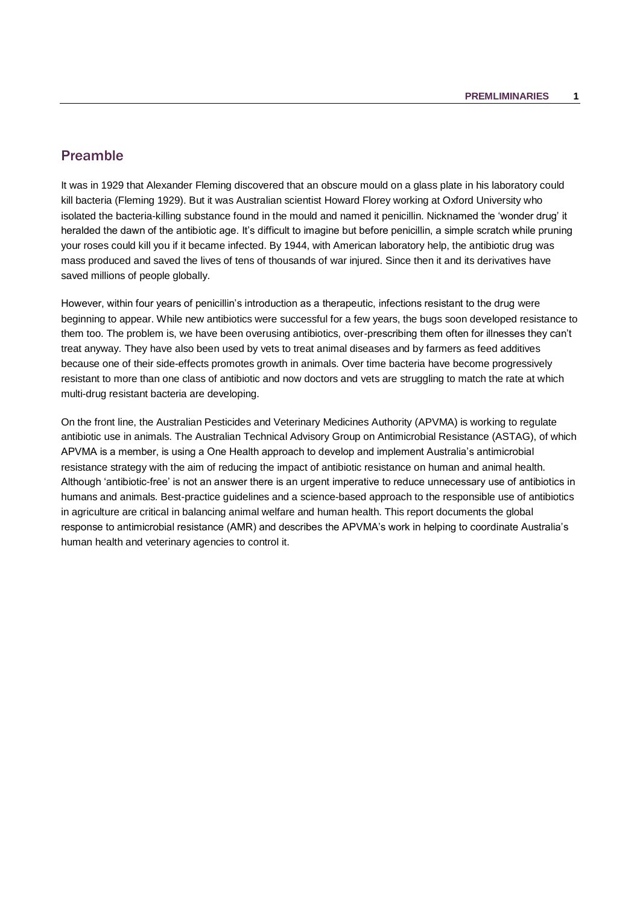## <span id="page-4-0"></span>Preamble

It was in 1929 that Alexander Fleming discovered that an obscure mould on a glass plate in his laboratory could kill bacteria (Fleming 1929). But it was Australian scientist Howard Florey working at Oxford University who isolated the bacteria-killing substance found in the mould and named it penicillin. Nicknamed the 'wonder drug' it heralded the dawn of the antibiotic age. It's difficult to imagine but before penicillin, a simple scratch while pruning your roses could kill you if it became infected. By 1944, with American laboratory help, the antibiotic drug was mass produced and saved the lives of tens of thousands of war injured. Since then it and its derivatives have saved millions of people globally.

However, within four years of penicillin's introduction as a therapeutic, infections resistant to the drug were beginning to appear. While new antibiotics were successful for a few years, the bugs soon developed resistance to them too. The problem is, we have been overusing antibiotics, over-prescribing them often for illnesses they can't treat anyway. They have also been used by vets to treat animal diseases and by farmers as feed additives because one of their side-effects promotes growth in animals. Over time bacteria have become progressively resistant to more than one class of antibiotic and now doctors and vets are struggling to match the rate at which multi-drug resistant bacteria are developing.

On the front line, the Australian Pesticides and Veterinary Medicines Authority (APVMA) is working to regulate antibiotic use in animals. The Australian Technical Advisory Group on Antimicrobial Resistance (ASTAG), of which APVMA is a member, is using a One Health approach to develop and implement Australia's antimicrobial resistance strategy with the aim of reducing the impact of antibiotic resistance on human and animal health. Although 'antibiotic-free' is not an answer there is an urgent imperative to reduce unnecessary use of antibiotics in humans and animals. Best-practice guidelines and a science-based approach to the responsible use of antibiotics in agriculture are critical in balancing animal welfare and human health. This report documents the global response to antimicrobial resistance (AMR) and describes the APVMA's work in helping to coordinate Australia's human health and veterinary agencies to control it.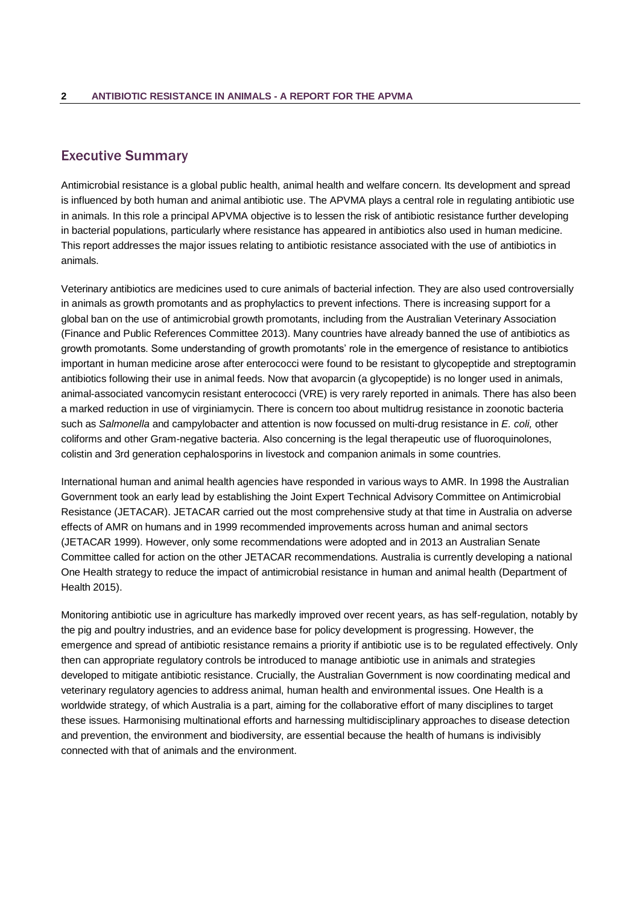## <span id="page-5-0"></span>Executive Summary

Antimicrobial resistance is a global public health, animal health and welfare concern. Its development and spread is influenced by both human and animal antibiotic use. The APVMA plays a central role in regulating antibiotic use in animals. In this role a principal APVMA objective is to lessen the risk of antibiotic resistance further developing in bacterial populations, particularly where resistance has appeared in antibiotics also used in human medicine. This report addresses the major issues relating to antibiotic resistance associated with the use of antibiotics in animals.

Veterinary antibiotics are medicines used to cure animals of bacterial infection. They are also used controversially in animals as growth promotants and as prophylactics to prevent infections. There is increasing support for a global ban on the use of antimicrobial growth promotants, including from the Australian Veterinary Association (Finance and Public References Committee 2013). Many countries have already banned the use of antibiotics as growth promotants. Some understanding of growth promotants' role in the emergence of resistance to antibiotics important in human medicine arose after enterococci were found to be resistant to glycopeptide and streptogramin antibiotics following their use in animal feeds. Now that avoparcin (a glycopeptide) is no longer used in animals, animal-associated vancomycin resistant enterococci (VRE) is very rarely reported in animals. There has also been a marked reduction in use of virginiamycin. There is concern too about multidrug resistance in zoonotic bacteria such as *Salmonella* and campylobacter and attention is now focussed on multi-drug resistance in *E. coli,* other coliforms and other Gram-negative bacteria. Also concerning is the legal therapeutic use of fluoroquinolones, colistin and 3rd generation cephalosporins in livestock and companion animals in some countries.

International human and animal health agencies have responded in various ways to AMR. In 1998 the Australian Government took an early lead by establishing the Joint Expert Technical Advisory Committee on Antimicrobial Resistance (JETACAR). JETACAR carried out the most comprehensive study at that time in Australia on adverse effects of AMR on humans and in 1999 recommended improvements across human and animal sectors (JETACAR 1999). However, only some recommendations were adopted and in 2013 an Australian Senate Committee called for action on the other JETACAR recommendations. Australia is currently developing a national One Health strategy to reduce the impact of antimicrobial resistance in human and animal health (Department of Health 2015).

Monitoring antibiotic use in agriculture has markedly improved over recent years, as has self-regulation, notably by the pig and poultry industries, and an evidence base for policy development is progressing. However, the emergence and spread of antibiotic resistance remains a priority if antibiotic use is to be regulated effectively. Only then can appropriate regulatory controls be introduced to manage antibiotic use in animals and strategies developed to mitigate antibiotic resistance. Crucially, the Australian Government is now coordinating medical and veterinary regulatory agencies to address animal, human health and environmental issues. One Health is a worldwide strategy, of which Australia is a part, aiming for the collaborative effort of many disciplines to target these issues. Harmonising multinational efforts and harnessing multidisciplinary approaches to disease detection and prevention, the environment and biodiversity, are essential because the health of humans is indivisibly connected with that of animals and the environment.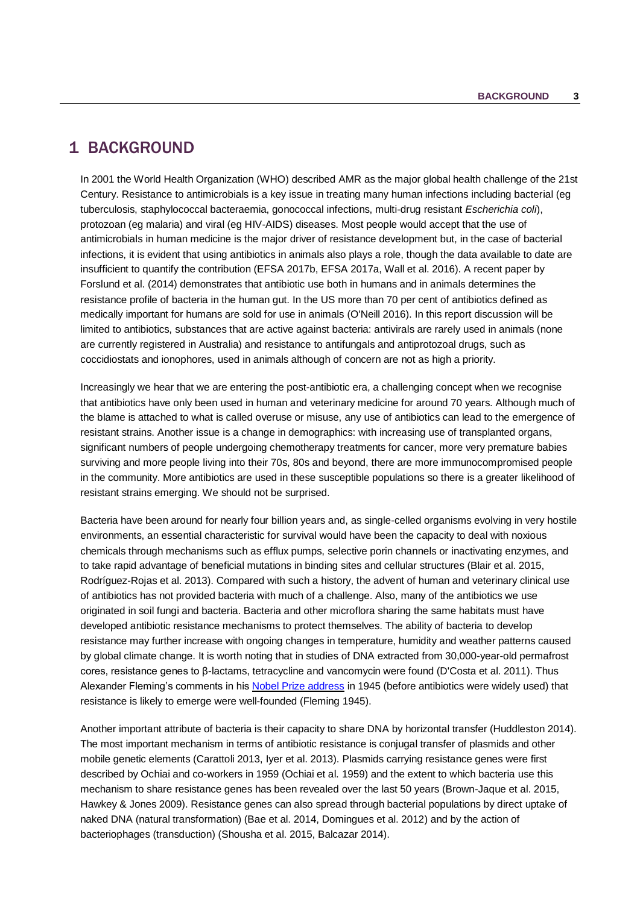## <span id="page-6-0"></span>1 BACKGROUND

In 2001 the World Health Organization (WHO) described AMR as the major global health challenge of the 21st Century. Resistance to antimicrobials is a key issue in treating many human infections including bacterial (eg tuberculosis, staphylococcal bacteraemia, gonococcal infections, multi-drug resistant *Escherichia coli*), protozoan (eg malaria) and viral (eg HIV-AIDS) diseases. Most people would accept that the use of antimicrobials in human medicine is the major driver of resistance development but, in the case of bacterial infections, it is evident that using antibiotics in animals also plays a role, though the data available to date are insufficient to quantify the contribution (EFSA 2017b, EFSA 2017a, Wall et al. 2016). A recent paper by Forslund et al. (2014) demonstrates that antibiotic use both in humans and in animals determines the resistance profile of bacteria in the human gut. In the US more than 70 per cent of antibiotics defined as medically important for humans are sold for use in animals (O'Neill 2016). In this report discussion will be limited to antibiotics, substances that are active against bacteria: antivirals are rarely used in animals (none are currently registered in Australia) and resistance to antifungals and antiprotozoal drugs, such as coccidiostats and ionophores, used in animals although of concern are not as high a priority.

Increasingly we hear that we are entering the post-antibiotic era, a challenging concept when we recognise that antibiotics have only been used in human and veterinary medicine for around 70 years. Although much of the blame is attached to what is called overuse or misuse, any use of antibiotics can lead to the emergence of resistant strains. Another issue is a change in demographics: with increasing use of transplanted organs, significant numbers of people undergoing chemotherapy treatments for cancer, more very premature babies surviving and more people living into their 70s, 80s and beyond, there are more immunocompromised people in the community. More antibiotics are used in these susceptible populations so there is a greater likelihood of resistant strains emerging. We should not be surprised.

Bacteria have been around for nearly four billion years and, as single-celled organisms evolving in very hostile environments, an essential characteristic for survival would have been the capacity to deal with noxious chemicals through mechanisms such as efflux pumps, selective porin channels or inactivating enzymes, and to take rapid advantage of beneficial mutations in binding sites and cellular structures (Blair et al. 2015, Rodríguez-Rojas et al. 2013). Compared with such a history, the advent of human and veterinary clinical use of antibiotics has not provided bacteria with much of a challenge. Also, many of the antibiotics we use originated in soil fungi and bacteria. Bacteria and other microflora sharing the same habitats must have developed antibiotic resistance mechanisms to protect themselves. The ability of bacteria to develop resistance may further increase with ongoing changes in temperature, humidity and weather patterns caused by global climate change. It is worth noting that in studies of DNA extracted from 30,000-year-old permafrost cores, resistance genes to β-lactams, tetracycline and vancomycin were found (D'Costa et al. 2011). Thus Alexander Fleming's comments in his [Nobel Prize address](http://www.nobelprize.org/nobel_prizes/medicine/laureates/1945/fleming-lecture.pdf) in 1945 (before antibiotics were widely used) that resistance is likely to emerge were well-founded (Fleming 1945).

Another important attribute of bacteria is their capacity to share DNA by horizontal transfer (Huddleston 2014). The most important mechanism in terms of antibiotic resistance is conjugal transfer of plasmids and other mobile genetic elements (Carattoli 2013, Iyer et al. 2013). Plasmids carrying resistance genes were first described by Ochiai and co-workers in 1959 (Ochiai et al. 1959) and the extent to which bacteria use this mechanism to share resistance genes has been revealed over the last 50 years (Brown-Jaque et al. 2015, Hawkey & Jones 2009). Resistance genes can also spread through bacterial populations by direct uptake of naked DNA (natural transformation) (Bae et al. 2014, Domingues et al. 2012) and by the action of bacteriophages (transduction) (Shousha et al. 2015, Balcazar 2014).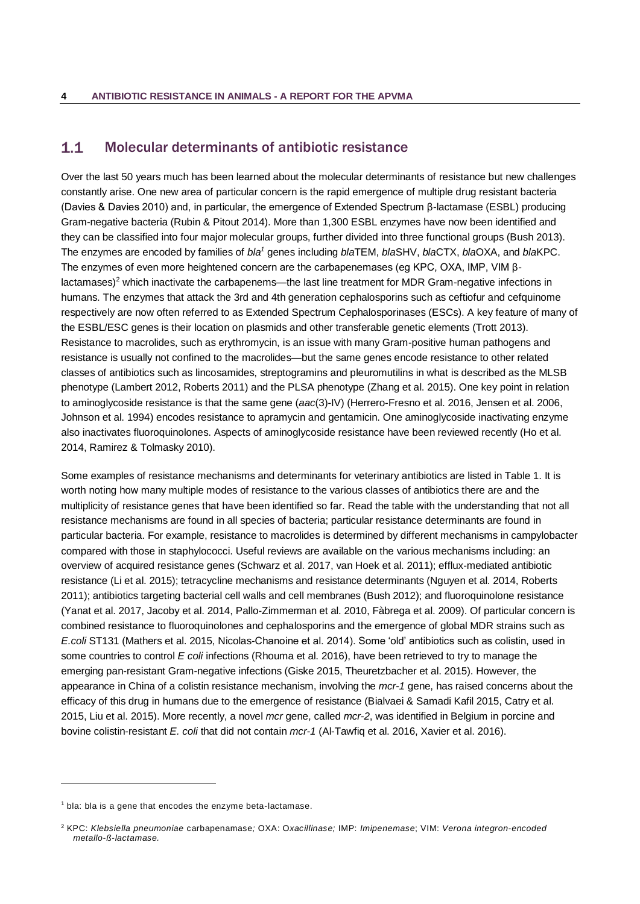#### <span id="page-7-0"></span> $1.1$ Molecular determinants of antibiotic resistance

Over the last 50 years much has been learned about the molecular determinants of resistance but new challenges constantly arise. One new area of particular concern is the rapid emergence of multiple drug resistant bacteria (Davies & Davies 2010) and, in particular, the emergence of Extended Spectrum β-lactamase (ESBL) producing Gram-negative bacteria (Rubin & Pitout 2014). More than 1,300 ESBL enzymes have now been identified and they can be classified into four major molecular groups, further divided into three functional groups (Bush 2013). The enzymes are encoded by families of *bla<sup>1</sup>* genes including *bla*TEM, *bla*SHV, *bla*CTX, *bla*OXA, and *bla*KPC. The enzymes of even more heightened concern are the carbapenemases (eg KPC, OXA, IMP, VIM β $l$ actamases)<sup>2</sup> which inactivate the carbapenems—the last line treatment for MDR Gram-negative infections in humans. The enzymes that attack the 3rd and 4th generation cephalosporins such as ceftiofur and cefquinome respectively are now often referred to as Extended Spectrum Cephalosporinases (ESCs). A key feature of many of the ESBL/ESC genes is their location on plasmids and other transferable genetic elements (Trott 2013). Resistance to macrolides, such as erythromycin, is an issue with many Gram-positive human pathogens and resistance is usually not confined to the macrolides—but the same genes encode resistance to other related classes of antibiotics such as lincosamides, streptogramins and pleuromutilins in what is described as the MLSB phenotype (Lambert 2012, Roberts 2011) and the PLSA phenotype (Zhang et al. 2015). One key point in relation to aminoglycoside resistance is that the same gene (*aac*(3)-IV) (Herrero-Fresno et al. 2016, Jensen et al. 2006, Johnson et al. 1994) encodes resistance to apramycin and gentamicin. One aminoglycoside inactivating enzyme also inactivates fluoroquinolones. Aspects of aminoglycoside resistance have been reviewed recently (Ho et al. 2014, Ramirez & Tolmasky 2010).

Some examples of resistance mechanisms and determinants for veterinary antibiotics are listed in Table 1. It is worth noting how many multiple modes of resistance to the various classes of antibiotics there are and the multiplicity of resistance genes that have been identified so far. Read the table with the understanding that not all resistance mechanisms are found in all species of bacteria; particular resistance determinants are found in particular bacteria. For example, resistance to macrolides is determined by different mechanisms in campylobacter compared with those in staphylococci. Useful reviews are available on the various mechanisms including: an overview of acquired resistance genes (Schwarz et al. 2017, van Hoek et al. 2011); efflux-mediated antibiotic resistance (Li et al. 2015); tetracycline mechanisms and resistance determinants (Nguyen et al. 2014, Roberts 2011); antibiotics targeting bacterial cell walls and cell membranes (Bush 2012); and fluoroquinolone resistance (Yanat et al. 2017, Jacoby et al. 2014, Pallo-Zimmerman et al. 2010, Fàbrega et al. 2009). Of particular concern is combined resistance to fluoroquinolones and cephalosporins and the emergence of global MDR strains such as *E.coli* ST131 (Mathers et al. 2015, Nicolas-Chanoine et al. 2014). Some 'old' antibiotics such as colistin, used in some countries to control *E coli* infections (Rhouma et al. 2016), have been retrieved to try to manage the emerging pan-resistant Gram-negative infections (Giske 2015, Theuretzbacher et al. 2015). However, the appearance in China of a colistin resistance mechanism, involving the *mcr-1* gene, has raised concerns about the efficacy of this drug in humans due to the emergence of resistance (Bialvaei & Samadi Kafil 2015, Catry et al. 2015, Liu et al. 2015). More recently, a novel *mcr* gene, called *mcr-2*, was identified in Belgium in porcine and bovine colistin-resistant *E. coli* that did not contain *mcr-1* (Al-Tawfiq et al. 2016, Xavier et al. 2016).

l

 $1$  bla: bla is a gene that encodes the enzyme beta-lactamase.

<sup>2</sup> KPC: *Klebsiella pneumoniae* carbapenamase*;* OXA: O*xacillinase;* IMP: *Imipenemase*; VIM: *Verona integron-encoded metallo-ß-lactamase.*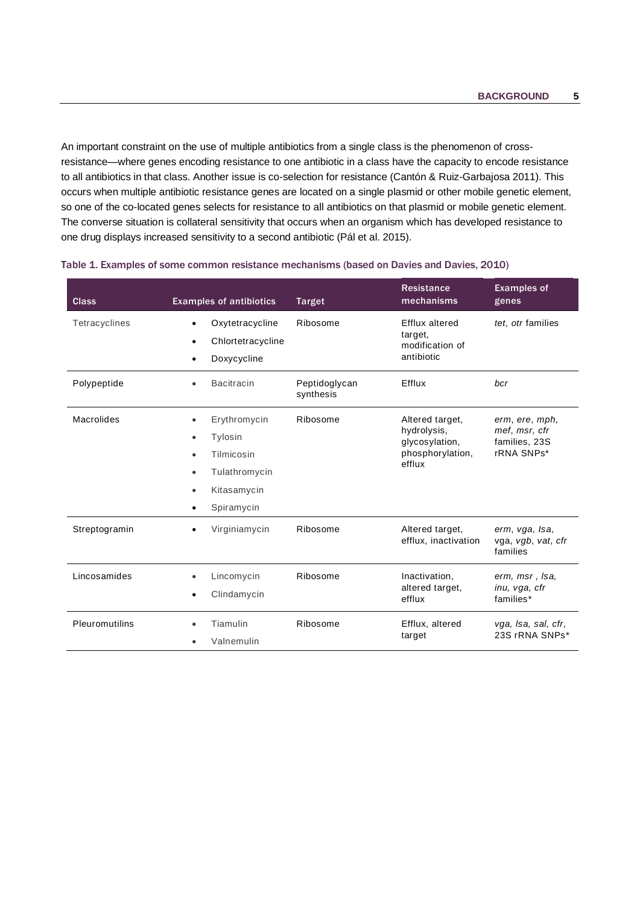An important constraint on the use of multiple antibiotics from a single class is the phenomenon of crossresistance—where genes encoding resistance to one antibiotic in a class have the capacity to encode resistance to all antibiotics in that class. Another issue is co-selection for resistance (Cantón & Ruiz-Garbajosa 2011). This occurs when multiple antibiotic resistance genes are located on a single plasmid or other mobile genetic element, so one of the co-located genes selects for resistance to all antibiotics on that plasmid or mobile genetic element. The converse situation is collateral sensitivity that occurs when an organism which has developed resistance to one drug displays increased sensitivity to a second antibiotic (Pál et al. 2015).

| <b>Class</b>   | <b>Examples of antibiotics</b>                                                                        | <b>Target</b>              | <b>Resistance</b><br>mechanisms                                                | <b>Examples of</b><br>genes                                    |
|----------------|-------------------------------------------------------------------------------------------------------|----------------------------|--------------------------------------------------------------------------------|----------------------------------------------------------------|
| Tetracyclines  | Oxytetracycline<br>$\bullet$<br>Chlortetracycline<br>Doxycycline<br>٠                                 | Ribosome                   | Efflux altered<br>target,<br>modification of<br>antibiotic                     | tet, otr families                                              |
| Polypeptide    | <b>Bacitracin</b><br>$\bullet$                                                                        | Peptidoglycan<br>synthesis | Efflux                                                                         | bcr                                                            |
| Macrolides     | Erythromycin<br>Tylosin<br>Tilmicosin<br>Tulathromycin<br>٠<br>Kitasamycin<br>$\bullet$<br>Spiramycin | Ribosome                   | Altered target,<br>hydrolysis,<br>glycosylation,<br>phosphorylation,<br>efflux | erm, ere, mph,<br>mef, msr, cfr<br>families, 23S<br>rRNA SNPs* |
| Streptogramin  | Virginiamycin                                                                                         | Ribosome                   | Altered target,<br>efflux, inactivation                                        | erm, vga, Isa,<br>vga, vgb, vat, cfr<br>families               |
| Lincosamides   | Lincomycin<br>Clindamycin                                                                             | Ribosome                   | Inactivation,<br>altered target.<br>efflux                                     | erm, msr, Isa,<br>inu, vga, cfr<br>families*                   |
| Pleuromutilins | Tiamulin<br>Valnemulin                                                                                | Ribosome                   | Efflux, altered<br>target                                                      | vga, Isa, sal, cfr,<br>23S rRNA SNPs*                          |

### Table 1. Examples of some common resistance mechanisms (based on Davies and Davies, 2010)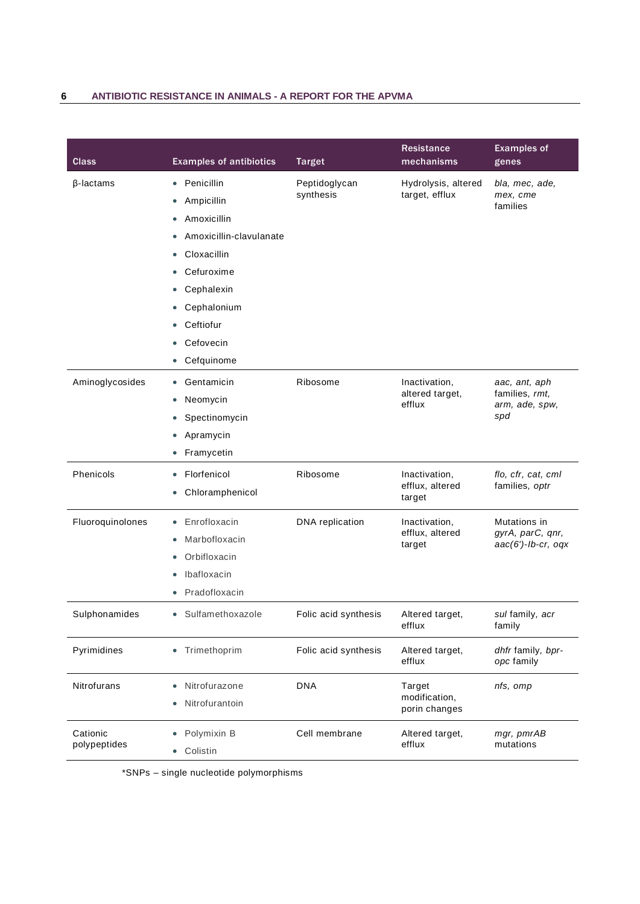## **6 ANTIBIOTIC RESISTANCE IN ANIMALS - A REPORT FOR THE APVMA**

| Class                    | <b>Examples of antibiotics</b>                                                                                                                                                                                                                    | <b>Target</b>              | <b>Resistance</b><br>mechanisms            | <b>Examples of</b><br>genes                               |
|--------------------------|---------------------------------------------------------------------------------------------------------------------------------------------------------------------------------------------------------------------------------------------------|----------------------------|--------------------------------------------|-----------------------------------------------------------|
| $\beta$ -lactams         | Penicillin<br>$\bullet$<br>Ampicillin<br>0<br>Amoxicillin<br>$\bullet$<br>Amoxicillin-clavulanate<br>٠<br>Cloxacillin<br>0<br>Cefuroxime<br>Cephalexin<br>0<br>Cephalonium<br>$\bullet$<br>Ceftiofur<br>Cefovecin<br>0<br>Cefquinome<br>$\bullet$ | Peptidoglycan<br>synthesis | Hydrolysis, altered<br>target, efflux      | bla, mec, ade,<br>mex, cme<br>families                    |
| Aminoglycosides          | Gentamicin<br>$\bullet$<br>Neomycin<br>0<br>Spectinomycin<br>Apramycin<br>$\bullet$<br>Framycetin                                                                                                                                                 | Ribosome                   | Inactivation,<br>altered target,<br>efflux | aac, ant, aph<br>families, rmt,<br>arm, ade, spw,<br>spd  |
| Phenicols                | Florfenicol<br>$\bullet$<br>Chloramphenicol                                                                                                                                                                                                       | Ribosome                   | Inactivation,<br>efflux, altered<br>target | flo, cfr, cat, cml<br>families, optr                      |
| Fluoroquinolones         | Enrofloxacin<br>$\bullet$<br>Marbofloxacin<br>$\bullet$<br>Orbifloxacin<br>٠<br>Ibafloxacin<br>Pradofloxacin                                                                                                                                      | DNA replication            | Inactivation,<br>efflux, altered<br>target | Mutations in<br>gyrA, parC, qnr,<br>$aac(6')$ -lb-cr, oqx |
| Sulphonamides            | Sulfamethoxazole<br>$\bullet$                                                                                                                                                                                                                     | Folic acid synthesis       | Altered target,<br>efflux                  | sul family, acr<br>family                                 |
| Pyrimidines              | Trimethoprim<br>$\bullet$                                                                                                                                                                                                                         | Folic acid synthesis       | Altered target,<br>efflux                  | dhfr family, bpr-<br>opc family                           |
| Nitrofurans              | Nitrofurazone<br>Nitrofurantoin                                                                                                                                                                                                                   | <b>DNA</b>                 | Target<br>modification,<br>porin changes   | nfs, omp                                                  |
| Cationic<br>polypeptides | Polymixin B<br>Colistin<br>$\bullet$                                                                                                                                                                                                              | Cell membrane              | Altered target,<br>efflux                  | mgr, pmrAB<br>mutations                                   |

\*SNPs – single nucleotide polymorphisms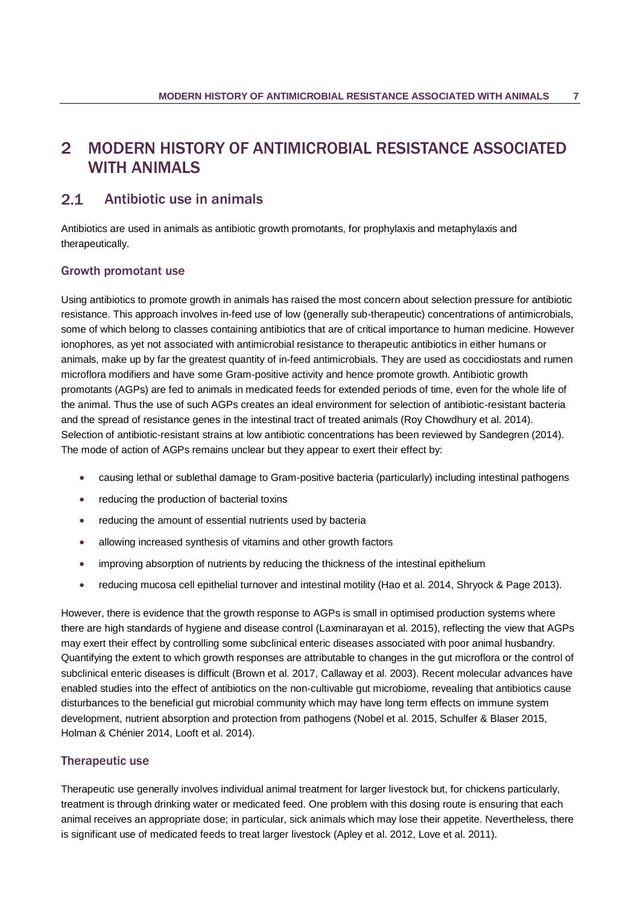# <span id="page-10-0"></span>2 MODERN HISTORY OF ANTIMICROBIAL RESISTANCE ASSOCIATED WITH ANIMALS

#### <span id="page-10-1"></span> $2.1$ Antibiotic use in animals

Antibiotics are used in animals as antibiotic growth promotants, for prophylaxis and metaphylaxis and therapeutically.

## Growth promotant use

Using antibiotics to promote growth in animals has raised the most concern about selection pressure for antibiotic resistance. This approach involves in-feed use of low (generally sub-therapeutic) concentrations of antimicrobials, some of which belong to classes containing antibiotics that are of critical importance to human medicine. However ionophores, as yet not associated with antimicrobial resistance to therapeutic antibiotics in either humans or animals, make up by far the greatest quantity of in-feed antimicrobials. They are used as coccidiostats and rumen microflora modifiers and have some Gram-positive activity and hence promote growth. Antibiotic growth promotants (AGPs) are fed to animals in medicated feeds for extended periods of time, even for the whole life of the animal. Thus the use of such AGPs creates an ideal environment for selection of antibiotic-resistant bacteria and the spread of resistance genes in the intestinal tract of treated animals (Roy Chowdhury et al. 2014). Selection of antibiotic-resistant strains at low antibiotic concentrations has been reviewed by Sandegren (2014). The mode of action of AGPs remains unclear but they appear to exert their effect by:

- causing lethal or sublethal damage to Gram-positive bacteria (particularly) including intestinal pathogens
- reducing the production of bacterial toxins
- reducing the amount of essential nutrients used by bacteria
- allowing increased synthesis of vitamins and other growth factors
- improving absorption of nutrients by reducing the thickness of the intestinal epithelium
- reducing mucosa cell epithelial turnover and intestinal motility (Hao et al. 2014, Shryock & Page 2013).

However, there is evidence that the growth response to AGPs is small in optimised production systems where there are high standards of hygiene and disease control [\(Laxminarayan et al. 2015\)](#page-40-0), reflecting the view that AGPs may exert their effect by controlling some subclinical enteric diseases associated with poor animal husbandry. Quantifying the extent to which growth responses are attributable to changes in the gut microflora or the control of subclinical enteric diseases is difficult [\(Brown et al. 2017,](#page-34-0) [Callaway et al. 2003\)](#page-35-0). Recent molecular advances have enabled studies into the effect of antibiotics on the non-cultivable gut microbiome, revealing that antibiotics cause disturbances to the beneficial gut microbial community which may have long term effects on immune system development, nutrient absorption and protection from pathogens (Nobel et al. 2015, Schulfer & Blaser 2015, Holman & Chénier 2014, Looft et al. 2014).

## Therapeutic use

Therapeutic use generally involves individual animal treatment for larger livestock but, for chickens particularly, treatment is through drinking water or medicated feed. One problem with this dosing route is ensuring that each animal receives an appropriate dose; in particular, sick animals which may lose their appetite. Nevertheless, there is significant use of medicated feeds to treat larger livestock [\(Apley et al. 2012,](#page-33-0) [Love et al. 2011\)](#page-41-0).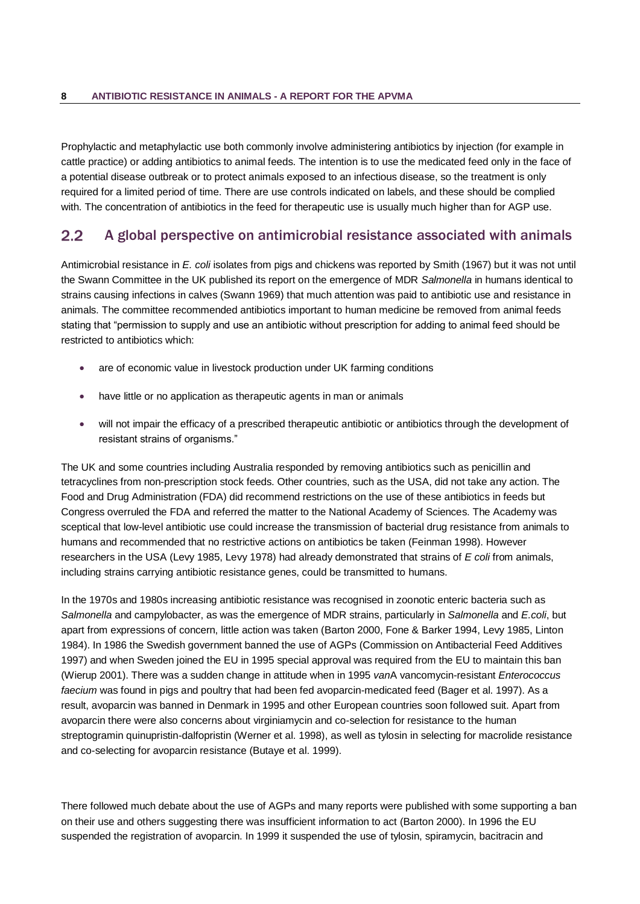Prophylactic and metaphylactic use both commonly involve administering antibiotics by injection (for example in cattle practice) or adding antibiotics to animal feeds. The intention is to use the medicated feed only in the face of a potential disease outbreak or to protect animals exposed to an infectious disease, so the treatment is only required for a limited period of time. There are use controls indicated on labels, and these should be complied with. The concentration of antibiotics in the feed for therapeutic use is usually much higher than for AGP use.

#### <span id="page-11-0"></span> $2.2$ A global perspective on antimicrobial resistance associated with animals

Antimicrobial resistance in *E. coli* isolates from pigs and chickens was reported by Smith (1967) but it was not until the Swann Committee in the UK published its report on the emergence of MDR *Salmonella* in humans identical to strains causing infections in calves (Swann 1969) that much attention was paid to antibiotic use and resistance in animals. The committee recommended antibiotics important to human medicine be removed from animal feeds stating that "permission to supply and use an antibiotic without prescription for adding to animal feed should be restricted to antibiotics which:

- are of economic value in livestock production under UK farming conditions
- have little or no application as therapeutic agents in man or animals
- will not impair the efficacy of a prescribed therapeutic antibiotic or antibiotics through the development of resistant strains of organisms."

The UK and some countries including Australia responded by removing antibiotics such as penicillin and tetracyclines from non-prescription stock feeds. Other countries, such as the USA, did not take any action. The Food and Drug Administration (FDA) did recommend restrictions on the use of these antibiotics in feeds but Congress overruled the FDA and referred the matter to the National Academy of Sciences. The Academy was sceptical that low-level antibiotic use could increase the transmission of bacterial drug resistance from animals to humans and recommended that no restrictive actions on antibiotics be taken [\(Feinman 1998\)](#page-38-0). However researchers in the USA [\(Levy 1985,](#page-40-1) [Levy 1978\)](#page-40-2) had already demonstrated that strains of *E coli* from animals, including strains carrying antibiotic resistance genes, could be transmitted to humans.

In the 1970s and 1980s increasing antibiotic resistance was recognised in zoonotic enteric bacteria such as *Salmonella* and campylobacter, as was the emergence of MDR strains, particularly in *Salmonella* and *E.coli*, but apart from expressions of concern, little action was taken [\(Barton 2000,](#page-34-1) [Fone & Barker 1994,](#page-38-1) [Levy 1985,](#page-40-1) [Linton](#page-41-1)  [1984\)](#page-41-1). In 1986 the Swedish government banned the use of AGPs [\(Commission on Antibacterial Feed Additives](#page-36-0)  [1997\)](#page-36-0) and when Sweden joined the EU in 1995 special approval was required from the EU to maintain this ban [\(Wierup 2001\)](#page-46-0). There was a sudden change in attitude when in 1995 *van*A vancomycin-resistant *Enterococcus faecium* was found in pigs and poultry that had been fed avoparcin-medicated feed [\(Bager et al. 1997\)](#page-33-1). As a result, avoparcin was banned in Denmark in 1995 and other European countries soon followed suit. Apart from avoparcin there were also concerns about virginiamycin and co-selection for resistance to the human streptogramin quinupristin-dalfopristin [\(Werner et al.](#page-46-1) 1998), as well as tylosin in selecting for macrolide resistance and co-selecting for avoparcin resistance [\(Butaye et al. 1999\)](#page-35-1).

There followed much debate about the use of AGPs and many reports were published with some supporting a ban on their use and others suggesting there was insufficient information to act [\(Barton 2000\)](#page-34-1). In 1996 the EU suspended the registration of avoparcin. In 1999 it suspended the use of tylosin, spiramycin, bacitracin and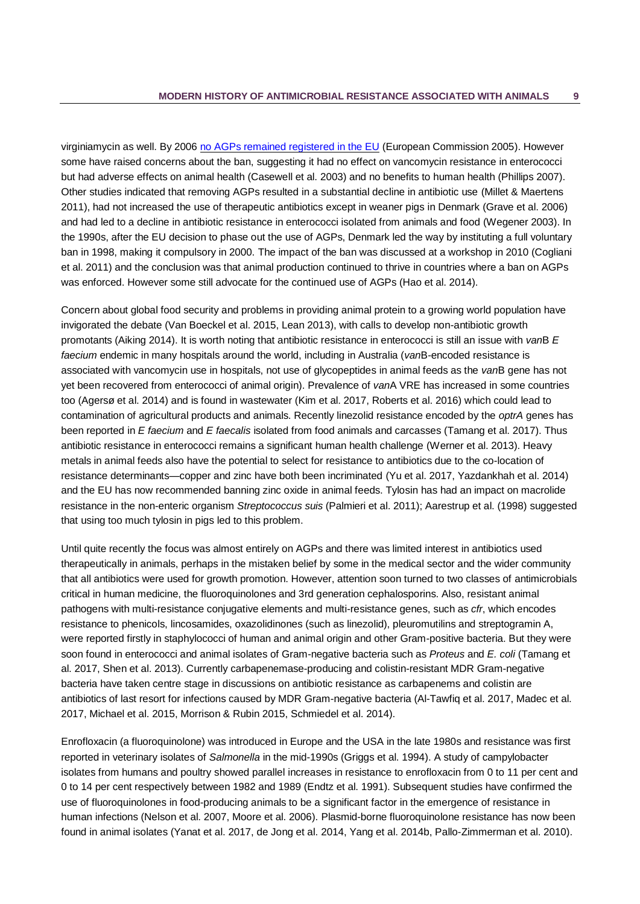virginiamycin as well. By 2006 [no AGPs remained registered in the EU](http://europa.eu/rapid/press-release_IP-05-1687_en.htm) [\(European Commission 2005\)](#page-37-0). However some have raised concerns about the ban, suggesting it had no effect on vancomycin resistance in enterococci but had adverse effects on animal health [\(Casewell et al. 2003\)](#page-35-2) and no benefits to human health [\(Phillips 2007\)](#page-43-0). Other studies indicated that removing AGPs resulted in a substantial decline in antibiotic use [\(Millet & Maertens](#page-41-2)  [2011\)](#page-41-2), had not increased the use of therapeutic antibiotics except in weaner pigs in Denmark [\(Grave et al. 2006\)](#page-38-2) and had led to a decline in antibiotic resistance in enterococci isolated from animals and food [\(Wegener 2003\)](#page-46-2). In the 1990s, after the EU decision to phase out the use of AGPs, Denmark led the way by instituting a full voluntary ban in 1998, making it compulsory in 2000. The impact of the ban was discussed at a workshop in 2010 [\(Cogliani](#page-36-1)  [et al. 2011\)](#page-36-1) and the conclusion was that animal production continued to thrive in countries where a ban on AGPs was enforced. However some still advocate for the continued use of AGPs [\(Hao et al. 2014\)](#page-39-0).

Concern about global food security and problems in providing animal protein to a growing world population have invigorated the debate [\(Van Boeckel et al. 2015,](#page-45-0) [Lean 2013\)](#page-40-3), with calls to develop non-antibiotic growth promotants [\(Aiking 2014\)](#page-32-1). It is worth noting that antibiotic resistance in enterococci is still an issue with *van*B *E faecium* endemic in many hospitals around the world, including in Australia (*van*B-encoded resistance is associated with vancomycin use in hospitals, not use of glycopeptides in animal feeds as the *van*B gene has not yet been recovered from enterococci of animal origin). Prevalence of *van*A VRE has increased in some countries too [\(Agersø et al. 2014\)](#page-32-2) and is found in wastewater [\(Kim et al. 2017,](#page-40-4) [Roberts et al. 2016\)](#page-43-1) which could lead to contamination of agricultural products and animals. Recently linezolid resistance encoded by the *optrA* genes has been reported in *E faecium* and *E faecalis* isolated from food animals and carcasses [\(Tamang et al. 2017\)](#page-45-1). Thus antibiotic resistance in enterococci remains a significant human health challenge [\(Werner et al. 2013\)](#page-46-3). Heavy metals in animal feeds also have the potential to select for resistance to antibiotics due to the co-location of resistance determinants—copper and zinc have both been incriminated [\(Yu et al. 2017,](#page-47-0) [Yazdankhah et al. 2014\)](#page-47-1) and the EU has now recommended banning zinc oxide in animal feeds. Tylosin has had an impact on macrolide resistance in the non-enteric organism *Streptococcus suis* [\(Palmieri et al. 2011\)](#page-43-2); [Aarestrup et al. \(1998\)](#page-32-3) suggested that using too much tylosin in pigs led to this problem.

Until quite recently the focus was almost entirely on AGPs and there was limited interest in antibiotics used therapeutically in animals, perhaps in the mistaken belief by some in the medical sector and the wider community that all antibiotics were used for growth promotion. However, attention soon turned to two classes of antimicrobials critical in human medicine, the fluoroquinolones and 3rd generation cephalosporins. Also, resistant animal pathogens with multi-resistance conjugative elements and multi-resistance genes, such as *cfr*, which encodes resistance to phenicols, lincosamides, oxazolidinones (such as linezolid), pleuromutilins and streptogramin A, were reported firstly in staphylococci of human and animal origin and other Gram-positive bacteria. But they were soon found in enterococci and animal isolates of Gram-negative bacteria such as *Proteus* and *E. coli* [\(Tamang et](#page-45-1)  [al. 2017,](#page-45-1) [Shen et al. 2013\)](#page-44-0). Currently carbapenemase-producing and colistin-resistant MDR Gram-negative bacteria have taken centre stage in discussions on antibiotic resistance as carbapenems and colistin are antibiotics of last resort for infections caused by MDR Gram-negative bacteria [\(Al-Tawfiq et al. 2017,](#page-32-4) [Madec et al.](#page-41-3)  [2017,](#page-41-3) [Michael et al. 2015,](#page-41-4) [Morrison & Rubin 2015,](#page-42-0) [Schmiedel et al. 2014\)](#page-44-1).

Enrofloxacin (a fluoroquinolone) was introduced in Europe and the USA in the late 1980s and resistance was first reported in veterinary isolates of *Salmonella* in the mid-1990s [\(Griggs et al. 1994\)](#page-39-1). A study of campylobacter isolates from humans and poultry showed parallel increases in resistance to enrofloxacin from 0 to 11 per cent and 0 to 14 per cent respectively between 1982 and 1989 [\(Endtz et al. 1991\)](#page-37-1). Subsequent studies have confirmed the use of fluoroquinolones in food-producing animals to be a significant factor in the emergence of resistance in human infections [\(Nelson et al. 2007,](#page-42-1) [Moore et al. 2006\)](#page-42-2). Plasmid-borne fluoroquinolone resistance has now been found in animal isolates [\(Yanat et al. 2017,](#page-46-4) [de Jong et al. 2014,](#page-36-2) [Yang et al. 2014b,](#page-47-2) [Pallo-Zimmerman et al. 2010\)](#page-43-3).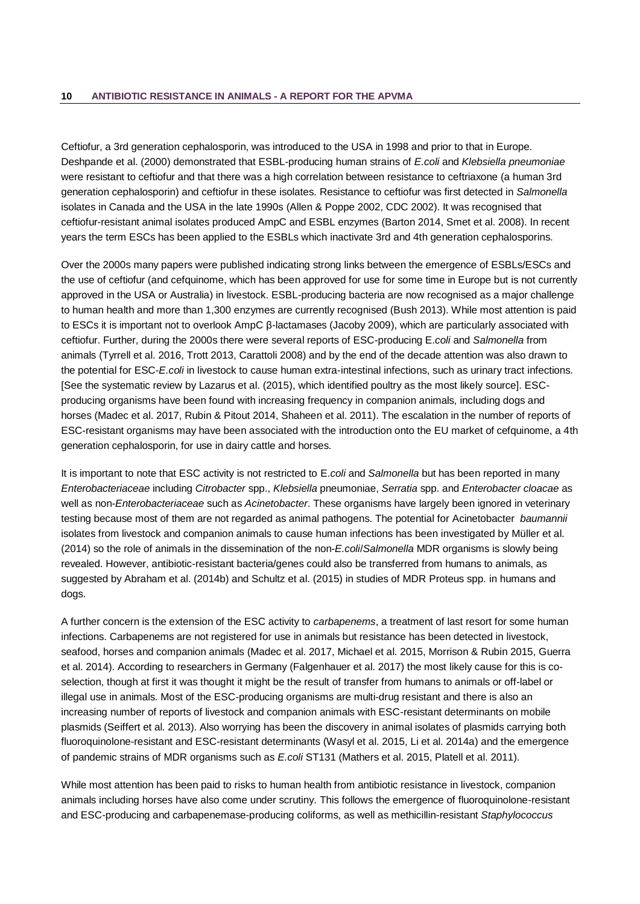Ceftiofur, a 3rd generation cephalosporin, was introduced to the USA in 1998 and prior to that in Europe. [Deshpande et al. \(2000\)](#page-36-3) demonstrated that ESBL-producing human strains of *E.coli* and *Klebsiella pneumoniae* were resistant to ceftiofur and that there was a high correlation between resistance to ceftriaxone (a human 3rd generation cephalosporin) and ceftiofur in these isolates. Resistance to ceftiofur was first detected in *Salmonella* isolates in Canada and the USA in the late 1990s [\(Allen & Poppe 2002,](#page-32-5) [CDC 2002\)](#page-35-3). It was recognised that ceftiofur-resistant animal isolates produced AmpC and ESBL enzymes [\(Barton 2014,](#page-34-2) [Smet et al. 2008\)](#page-44-2). In recent years the term ESCs has been applied to the ESBLs which inactivate 3rd and 4th generation cephalosporins.

Over the 2000s many papers were published indicating strong links between the emergence of ESBLs/ESCs and the use of ceftiofur (and cefquinome, which has been approved for use for some time in Europe but is not currently approved in the USA or Australia) in livestock. ESBL-producing bacteria are now recognised as a major challenge to human health and more than 1,300 enzymes are currently recognised [\(Bush 2013\)](#page-35-4). While most attention is paid to ESCs it is important not to overlook AmpC β-lactamases [\(Jacoby 2009\)](#page-40-5), which are particularly associated with ceftiofur. Further, during the 2000s there were several reports of ESC-producing E.*coli* and *Salmonella* from animals [\(Tyrrell et al. 2016,](#page-45-2) [Trott 2013,](#page-45-3) [Carattoli 2008\)](#page-35-5) and by the end of the decade attention was also drawn to the potential for ESC-*E.coli* in livestock to cause human extra-intestinal infections, such as urinary tract infections. [See the systematic review by [Lazarus et al. \(2015\),](#page-40-6) which identified poultry as the most likely source]. ESCproducing organisms have been found with increasing frequency in companion animals, including dogs and horses [\(Madec et](#page-41-3) al. 2017, [Rubin & Pitout 2014,](#page-44-3) [Shaheen et al. 2011\)](#page-44-4). The escalation in the number of reports of ESC-resistant organisms may have been associated with the introduction onto the EU market of cefquinome, a 4th generation cephalosporin, for use in dairy cattle and horses.

It is important to note that ESC activity is not restricted to E.*coli* and *Salmonella* but has been reported in many *Enterobacteriaceae* including *Citrobacter* spp., *Klebsiella* pneumoniae, *Serratia* spp. and *Enterobacter cloacae* as well as non-*Enterobacteriaceae* such as *Acinetobacter*. These organisms have largely been ignored in veterinary testing because most of them are not regarded as animal pathogens. The potential for Acinetobacter *baumannii* isolates from livestock and companion animals to cause human infections has been investigated by [Müller et al.](#page-42-3)  (2014) so the role of animals in the dissemination of the non-*E.coli*/*Salmonella* MDR organisms is slowly being revealed. However, antibiotic-resistant bacteria/genes could also be transferred from humans to animals, as suggested by [Abraham et al. \(2014b\)](#page-32-6) and [Schultz et al. \(2015\)](#page-44-5) in studies of MDR Proteus spp. in humans and dogs.

A further concern is the extension of the ESC activity to *carbapenems*, a treatment of last resort for some human infections. Carbapenems are not registered for use in animals but resistance has been detected in livestock, seafood, horses and companion animals [\(Madec et al. 2017,](#page-41-3) [Michael et al. 2015,](#page-41-4) [Morrison & Rubin 2015,](#page-42-0) [Guerra](#page-39-2)  [et al. 2014\)](#page-39-2). According to researchers in Germany [\(Falgenhauer et al. 2017\)](#page-37-2) the most likely cause for this is coselection, though at first it was thought it might be the result of transfer from humans to animals or off-label or illegal use in animals. Most of the ESC-producing organisms are multi-drug resistant and there is also an increasing number of reports of livestock and companion animals with ESC-resistant determinants on mobile plasmids [\(Seiffert et al. 2013\)](#page-44-6). Also worrying has been the discovery in animal isolates of plasmids carrying both fluoroquinolone-resistant and ESC-resistant determinants [\(Wasyl et al. 2015,](#page-46-5) [Li et al. 2014a\)](#page-40-7) and the emergence of pandemic strains of MDR organisms such as *E.coli* ST131 [\(Mathers et al. 2015,](#page-41-5) [Platell et al. 2011\)](#page-43-4).

While most attention has been paid to risks to human health from antibiotic resistance in livestock, companion animals including horses have also come under scrutiny. This follows the emergence of fluoroquinolone-resistant and ESC-producing and carbapenemase-producing coliforms, as well as methicillin-resistant *Staphylococcus*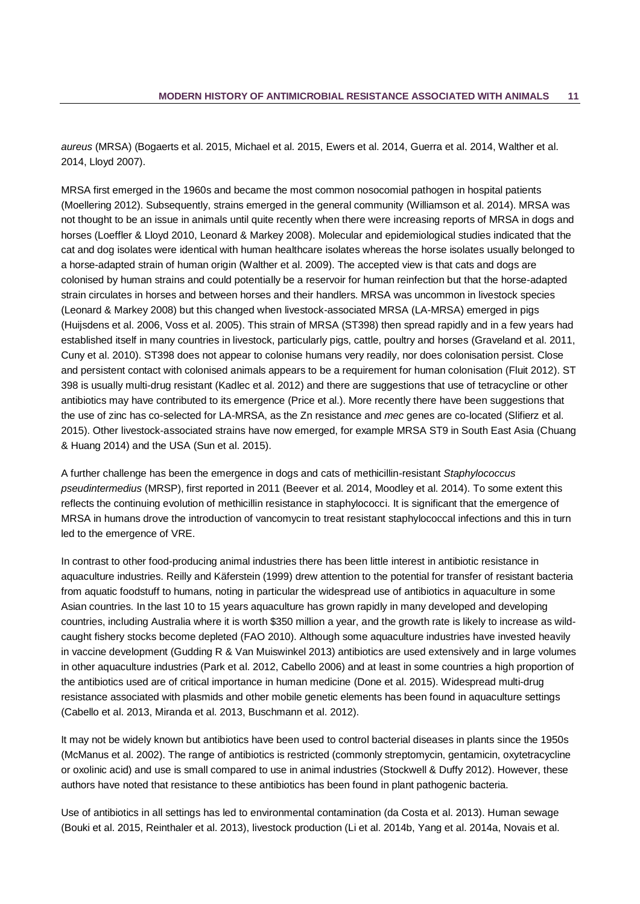*aureus* (MRSA) [\(Bogaerts et al. 2015,](#page-34-3) [Michael et al. 2015,](#page-41-4) [Ewers et al. 2014,](#page-37-3) [Guerra et al. 2014,](#page-39-2) [Walther et al.](#page-46-6)  [2014,](#page-46-6) [Lloyd 2007\)](#page-41-6).

MRSA first emerged in the 1960s and became the most common nosocomial pathogen in hospital patients [\(Moellering 2012\)](#page-42-4). Subsequently, strains emerged in the general community [\(Williamson et al. 2014\)](#page-46-7). MRSA was not thought to be an issue in animals until quite recently when there were increasing reports of MRSA in dogs and horses [\(Loeffler & Lloyd 2010,](#page-41-7) [Leonard & Markey 2008\)](#page-40-8). Molecular and epidemiological studies indicated that the cat and dog isolates were identical with human healthcare isolates whereas the horse isolates usually belonged to a horse-adapted strain of human origin [\(Walther et al. 2009\)](#page-46-8). The accepted view is that cats and dogs are colonised by human strains and could potentially be a reservoir for human reinfection but that the horse-adapted strain circulates in horses and between horses and their handlers. MRSA was uncommon in livestock species [\(Leonard & Markey 2008\)](#page-40-8) but this changed when livestock-associated MRSA (LA-MRSA) emerged in pigs [\(Huijsdens et al. 2006,](#page-39-3) [Voss et al. 2005\)](#page-45-4). This strain of MRSA (ST398) then spread rapidly and in a few years had established itself in many countries in livestock, particularly pigs, cattle, poultry and horses [\(Graveland et al. 2011,](#page-39-4) [Cuny et al. 2010\)](#page-36-4). ST398 does not appear to colonise humans very readily, nor does colonisation persist. Close and persistent contact with colonised animals appears to be a requirement for human colonisation [\(Fluit 2012\)](#page-38-3). ST 398 is usually multi-drug resistant [\(Kadlec et al. 2012\)](#page-40-9) and there are suggestions that use of tetracycline or other antibiotics may have contributed to its emergence [\(Price et al.\)](#page-43-5). More recently there have been suggestions that the use of zinc has co-selected for LA-MRSA, as the Zn resistance and *mec* genes are co-located [\(Slifierz et al.](#page-44-7)  [2015\)](#page-44-7). Other livestock-associated strains have now emerged, for example MRSA ST9 in South East Asia [\(Chuang](#page-35-6)  [& Huang 2014\)](#page-35-6) and the USA [\(Sun et al. 2015\)](#page-45-5).

A further challenge has been the emergence in dogs and cats of methicillin-resistant *Staphylococcus pseudintermedius* (MRSP), first reported in 2011 [\(Beever et al. 2014,](#page-34-4) [Moodley et al. 2014\)](#page-42-5). To some extent this reflects the continuing evolution of methicillin resistance in staphylococci. It is significant that the emergence of MRSA in humans drove the introduction of vancomycin to treat resistant staphylococcal infections and this in turn led to the emergence of VRE.

In contrast to other food-producing animal industries there has been little interest in antibiotic resistance in aquaculture industries. [Reilly and Käferstein \(1999\)](#page-43-6) drew attention to the potential for transfer of resistant bacteria from aquatic foodstuff to humans, noting in particular the widespread use of antibiotics in aquaculture in some Asian countries. In the last 10 to 15 years aquaculture has grown rapidly in many developed and developing countries, including Australia where it is worth \$350 million a year, and the growth rate is likely to increase as wildcaught fishery stocks become depleted [\(FAO 2010\)](#page-38-4). Although some aquaculture industries have invested heavily in vaccine development [\(Gudding R & Van Muiswinkel 2013\)](#page-39-5) antibiotics are used extensively and in large volumes in other aquaculture industries [\(Park et al. 2012,](#page-43-7) [Cabello 2006\)](#page-35-7) and at least in some countries a high proportion of the antibiotics used are of critical importance in human medicine [\(Done et al. 2015\)](#page-37-4). Widespread multi-drug resistance associated with plasmids and other mobile genetic elements has been found in aquaculture settings (Cabello [et al. 2013,](#page-35-8) [Miranda et al. 2013,](#page-41-8) [Buschmann et al. 2012\)](#page-34-5).

It may not be widely known but antibiotics have been used to control bacterial diseases in plants since the 1950s [\(McManus et al. 2002\)](#page-41-9). The range of antibiotics is restricted (commonly streptomycin, gentamicin, oxytetracycline or oxolinic acid) and use is small compared to use in animal industries [\(Stockwell & Duffy 2012\)](#page-45-6). However, these authors have noted that resistance to these antibiotics has been found in plant pathogenic bacteria.

Use of antibiotics in all settings has led to environmental contamination [\(da Costa et al. 2013\)](#page-36-5). Human sewage [\(Bouki et al. 2015,](#page-34-6) [Reinthaler et al. 2013\)](#page-43-8), livestock production [\(Li et al. 2014b,](#page-40-10) [Yang et al. 2014a,](#page-46-9) [Novais et al.](#page-42-6)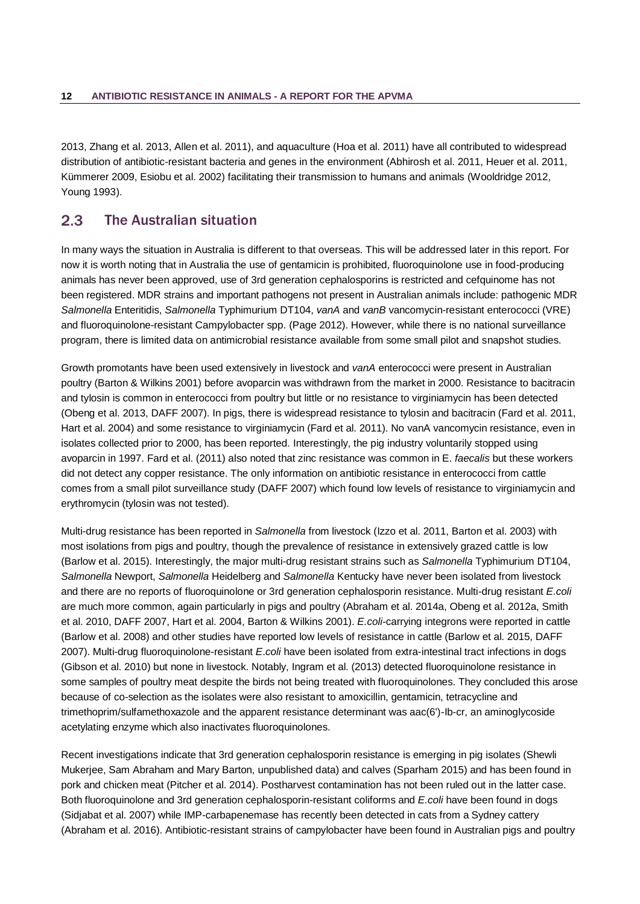[2013,](#page-42-6) [Zhang et al. 2013,](#page-47-3) [Allen et al. 2011\)](#page-33-2), and aquaculture [\(Hoa et al. 2011\)](#page-39-6) have all contributed to widespread distribution of antibiotic-resistant bacteria and genes in the environment [\(Abhirosh et al. 2011,](#page-32-7) [Heuer et al. 2011,](#page-39-7)  [Kümmerer 2009,](#page-40-11) [Esiobu et al. 2002\)](#page-37-5) facilitating their transmission to humans and animals [\(Wooldridge 2012,](#page-46-10) [Young 1993\)](#page-47-4).

#### <span id="page-15-0"></span> $2.3$ The Australian situation

In many ways the situation in Australia is different to that overseas. This will be addressed later in this report. For now it is worth noting that in Australia the use of gentamicin is prohibited, fluoroquinolone use in food-producing animals has never been approved, use of 3rd generation cephalosporins is restricted and cefquinome has not been registered. MDR strains and important pathogens not present in Australian animals include: pathogenic MDR *Salmonella* Enteritidis, *Salmonella* Typhimurium DT104, *vanA* and *vanB* vancomycin-resistant enterococci (VRE) and fluoroquinolone-resistant Campylobacter spp. (Page 2012). However, while there is no national surveillance program, there is limited data on antimicrobial resistance available from some small pilot and snapshot studies.

Growth promotants have been used extensively in livestock and *vanA* enterococci were present in Australian poultry (Barton & Wilkins 2001) before avoparcin was withdrawn from the market in 2000. Resistance to bacitracin and tylosin is common in enterococci from poultry but little or no resistance to virginiamycin has been detected (Obeng et al. 2013, DAFF 2007). In pigs, there is widespread resistance to tylosin and bacitracin (Fard et al. 2011, Hart et al. 2004) and some resistance to virginiamycin (Fard et al. 2011). No vanA vancomycin resistance, even in isolates collected prior to 2000, has been reported. Interestingly, the pig industry voluntarily stopped using avoparcin in 1997. Fard et al. (2011) also noted that zinc resistance was common in E. *faecalis* but these workers did not detect any copper resistance. The only information on antibiotic resistance in enterococci from cattle comes from a small pilot surveillance study (DAFF 2007) which found low levels of resistance to virginiamycin and erythromycin (tylosin was not tested).

Multi-drug resistance has been reported in *Salmonella* from livestock (Izzo et al. 2011, Barton et al. 2003) with most isolations from pigs and poultry, though the prevalence of resistance in extensively grazed cattle is low (Barlow et al. 2015). Interestingly, the major multi-drug resistant strains such as *Salmonella* Typhimurium DT104, *Salmonella* Newport, *Salmonella* Heidelberg and *Salmonella* Kentucky have never been isolated from livestock and there are no reports of fluoroquinolone or 3rd generation cephalosporin resistance. Multi-drug resistant *E.coli* are much more common, again particularly in pigs and poultry (Abraham et al. 2014a, Obeng et al. 2012a, Smith et al. 2010, DAFF 2007, Hart et al. 2004, Barton & Wilkins 2001). *E.coli*-carrying integrons were reported in cattle (Barlow et al. 2008) and other studies have reported low levels of resistance in cattle (Barlow et al. 2015, DAFF 2007). Multi-drug fluoroquinolone-resistant *E*.*coli* have been isolated from extra-intestinal tract infections in dogs (Gibson et al. 2010) but none in livestock. Notably, Ingram et al. (2013) detected fluoroquinolone resistance in some samples of poultry meat despite the birds not being treated with fluoroquinolones. They concluded this arose because of co-selection as the isolates were also resistant to amoxicillin, gentamicin, tetracycline and trimethoprim/sulfamethoxazole and the apparent resistance determinant was aac(6')-Ib-cr, an aminoglycoside acetylating enzyme which also inactivates fluoroquinolones.

Recent investigations indicate that 3rd generation cephalosporin resistance is emerging in pig isolates (Shewli Mukerjee, Sam Abraham and Mary Barton, unpublished data) and calves (Sparham 2015) and has been found in pork and chicken meat (Pitcher et al. 2014). Postharvest contamination has not been ruled out in the latter case. Both fluoroquinolone and 3rd generation cephalosporin-resistant coliforms and *E.coli* have been found in dogs (Sidjabat et al. 2007) while IMP-carbapenemase has recently been detected in cats from a Sydney cattery (Abraham et al. 2016). Antibiotic-resistant strains of campylobacter have been found in Australian pigs and poultry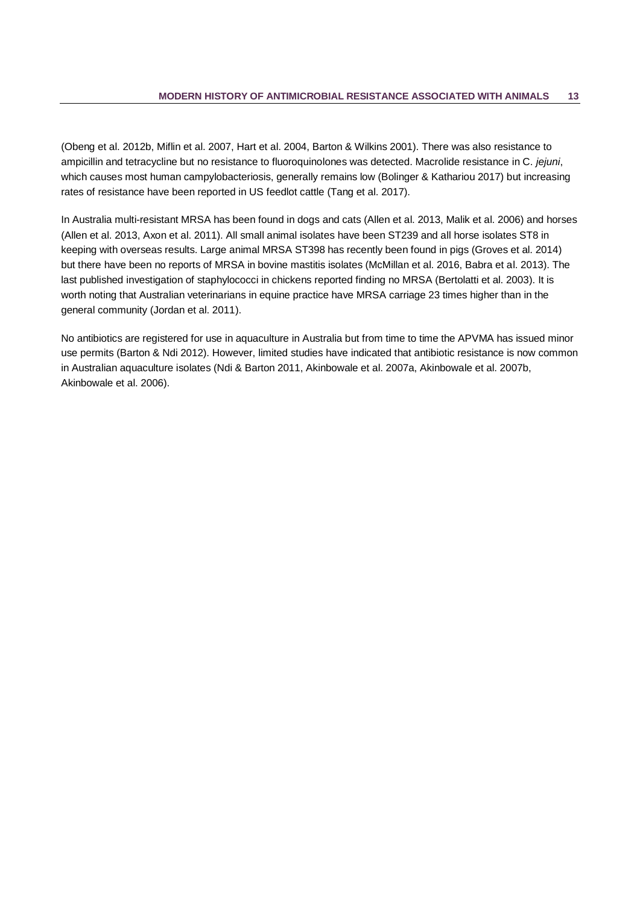(Obeng et al. 2012b, Miflin et al. 2007, Hart et al. 2004, Barton & Wilkins 2001). There was also resistance to ampicillin and tetracycline but no resistance to fluoroquinolones was detected. Macrolide resistance in C. *jejuni*, which causes most human campylobacteriosis, generally remains low (Bolinger & Kathariou 2017) but increasing rates of resistance have been reported in US feedlot cattle (Tang et al. 2017).

In Australia multi-resistant MRSA has been found in dogs and cats (Allen et al. 2013, Malik et al. 2006) and horses (Allen et al. 2013, Axon et al. 2011). All small animal isolates have been ST239 and all horse isolates ST8 in keeping with overseas results. Large animal MRSA ST398 has recently been found in pigs (Groves et al. 2014) but there have been no reports of MRSA in bovine mastitis isolates (McMillan et al. 2016, Babra et al. 2013). The last published investigation of staphylococci in chickens reported finding no MRSA (Bertolatti et al. 2003). It is worth noting that Australian veterinarians in equine practice have MRSA carriage 23 times higher than in the general community (Jordan et al. 2011).

No antibiotics are registered for use in aquaculture in Australia but from time to time the APVMA has issued minor use permits (Barton & Ndi 2012). However, limited studies have indicated that antibiotic resistance is now common in Australian aquaculture isolates (Ndi & Barton 2011, Akinbowale et al. 2007a, Akinbowale et al. 2007b, Akinbowale et al. 2006).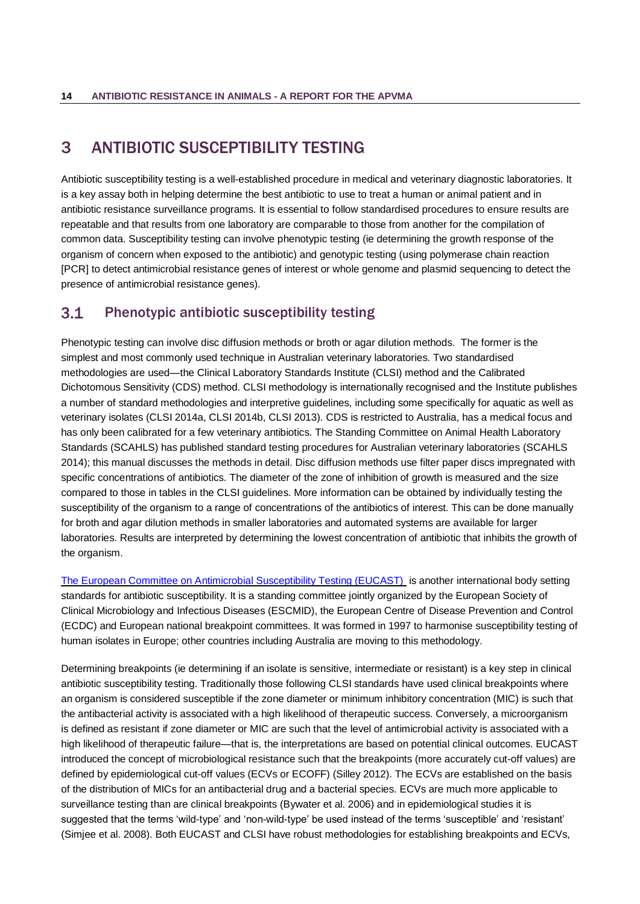## <span id="page-17-0"></span>3 ANTIBIOTIC SUSCEPTIBILITY TESTING

Antibiotic susceptibility testing is a well-established procedure in medical and veterinary diagnostic laboratories. It is a key assay both in helping determine the best antibiotic to use to treat a human or animal patient and in antibiotic resistance surveillance programs. It is essential to follow standardised procedures to ensure results are repeatable and that results from one laboratory are comparable to those from another for the compilation of common data. Susceptibility testing can involve phenotypic testing (ie determining the growth response of the organism of concern when exposed to the antibiotic) and genotypic testing (using polymerase chain reaction [PCR] to detect antimicrobial resistance genes of interest or whole genome and plasmid sequencing to detect the presence of antimicrobial resistance genes).

#### <span id="page-17-1"></span> $3.1$ Phenotypic antibiotic susceptibility testing

Phenotypic testing can involve disc diffusion methods or broth or agar dilution methods. The former is the simplest and most commonly used technique in Australian veterinary laboratories. Two standardised methodologies are used—the Clinical Laboratory Standards Institute (CLSI) method and the Calibrated Dichotomous Sensitivity (CDS) method. CLSI methodology is internationally recognised and the Institute publishes a number of standard methodologies and interpretive guidelines, including some specifically for aquatic as well as veterinary isolates [\(CLSI 2014a,](#page-35-9) [CLSI 2014b,](#page-36-6) [CLSI 2013\)](#page-35-10). CDS is restricted to Australia, has a medical focus and has only been calibrated for a few veterinary antibiotics. The Standing Committee on Animal Health Laboratory Standards (SCAHLS) has published standard testing procedures for Australian veterinary laboratories [\(SCAHLS](#page-44-8)  [2014\)](#page-44-8); this manual discusses the methods in detail. Disc diffusion methods use filter paper discs impregnated with specific concentrations of antibiotics. The diameter of the zone of inhibition of growth is measured and the size compared to those in tables in the CLSI guidelines. More information can be obtained by individually testing the susceptibility of the organism to a range of concentrations of the antibiotics of interest. This can be done manually for broth and agar dilution methods in smaller laboratories and automated systems are available for larger laboratories. Results are interpreted by determining the lowest concentration of antibiotic that inhibits the growth of the organism.

[The European Committee on Antimicrobial Susceptibility Testing \(EUCAST\)](http://www.eucast.org/) is another international body setting standards for antibiotic susceptibility. It is a standing committee jointly organized by the European Society of Clinical Microbiology and Infectious Diseases (ESCMID), the European Centre of Disease Prevention and Control (ECDC) and European national breakpoint committees. It was formed in 1997 to harmonise susceptibility testing of human isolates in Europe; other countries including Australia are moving to this methodology.

Determining breakpoints (ie determining if an isolate is sensitive, intermediate or resistant) is a key step in clinical antibiotic susceptibility testing. Traditionally those following CLSI standards have used clinical breakpoints where an organism is considered susceptible if the zone diameter or minimum inhibitory concentration (MIC) is such that the antibacterial activity is associated with a high likelihood of therapeutic success. Conversely, a microorganism is defined as resistant if zone diameter or MIC are such that the level of antimicrobial activity is associated with a high likelihood of therapeutic failure—that is, the interpretations are based on potential clinical outcomes. EUCAST introduced the concept of microbiological resistance such that the breakpoints (more accurately cut-off values) are defined by epidemiological cut-off values (ECVs or ECOFF) [\(Silley 2012\)](#page-44-9). The ECVs are established on the basis of the distribution of MICs for an antibacterial drug and a bacterial species. ECVs are much more applicable to surveillance testing than are clinical breakpoints [\(Bywater et al. 2006\)](#page-35-11) and in epidemiological studies it is suggested that the terms 'wild-type' and 'non-wild-type' be used instead of the terms 'susceptible' and 'resistant' [\(Simjee et al. 2008\)](#page-44-10). Both EUCAST and CLSI have robust methodologies for establishing breakpoints and ECVs,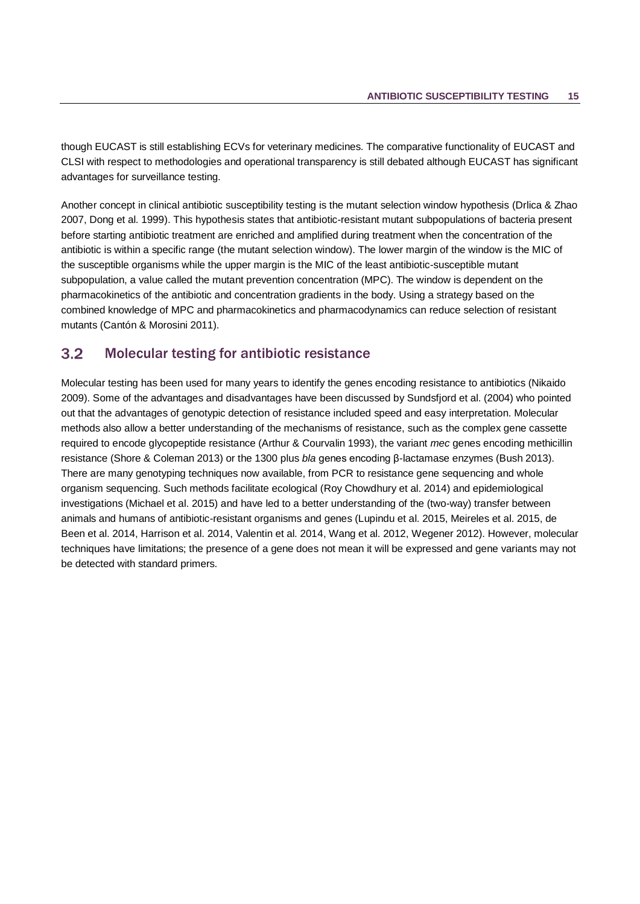though EUCAST is still establishing ECVs for veterinary medicines. The comparative functionality of EUCAST and CLSI with respect to methodologies and operational transparency is still debated although EUCAST has significant advantages for surveillance testing.

Another concept in clinical antibiotic susceptibility testing is the mutant selection window hypothesis [\(Drlica & Zhao](#page-37-6)  [2007,](#page-37-6) [Dong et al. 1999\)](#page-37-7). This hypothesis states that antibiotic-resistant mutant subpopulations of bacteria present before starting antibiotic treatment are enriched and amplified during treatment when the concentration of the antibiotic is within a specific range (the mutant selection window). The lower margin of the window is the MIC of the susceptible organisms while the upper margin is the MIC of the least antibiotic-susceptible mutant subpopulation, a value called the mutant prevention concentration (MPC). The window is dependent on the pharmacokinetics of the antibiotic and concentration gradients in the body. Using a strategy based on the combined knowledge of MPC and pharmacokinetics and pharmacodynamics can reduce selection of resistant mutants [\(Cantón & Morosini 2011\)](#page-35-12).

#### <span id="page-18-0"></span> $3.2$ Molecular testing for antibiotic resistance

Molecular testing has been used for many years to identify the genes encoding resistance to antibiotics (Nikaido 2009). Some of the advantages and disadvantages have been discussed by Sundsfjord et al. (2004) who pointed out that the advantages of genotypic detection of resistance included speed and easy interpretation. Molecular methods also allow a better understanding of the mechanisms of resistance, such as the complex gene cassette required to encode glycopeptide resistance (Arthur & Courvalin 1993), the variant *mec* genes encoding methicillin resistance (Shore & Coleman 2013) or the 1300 plus *bla* genes encoding β-lactamase enzymes (Bush 2013). There are many genotyping techniques now available, from PCR to resistance gene sequencing and whole organism sequencing. Such methods facilitate ecological (Roy Chowdhury et al. 2014) and epidemiological investigations (Michael et al. 2015) and have led to a better understanding of the (two-way) transfer between animals and humans of antibiotic-resistant organisms and genes (Lupindu et al. 2015, Meireles et al. 2015, de Been et al. 2014, Harrison et al. 2014, Valentin et al. 2014, Wang et al. 2012, Wegener 2012). However, molecular techniques have limitations; the presence of a gene does not mean it will be expressed and gene variants may not be detected with standard primers.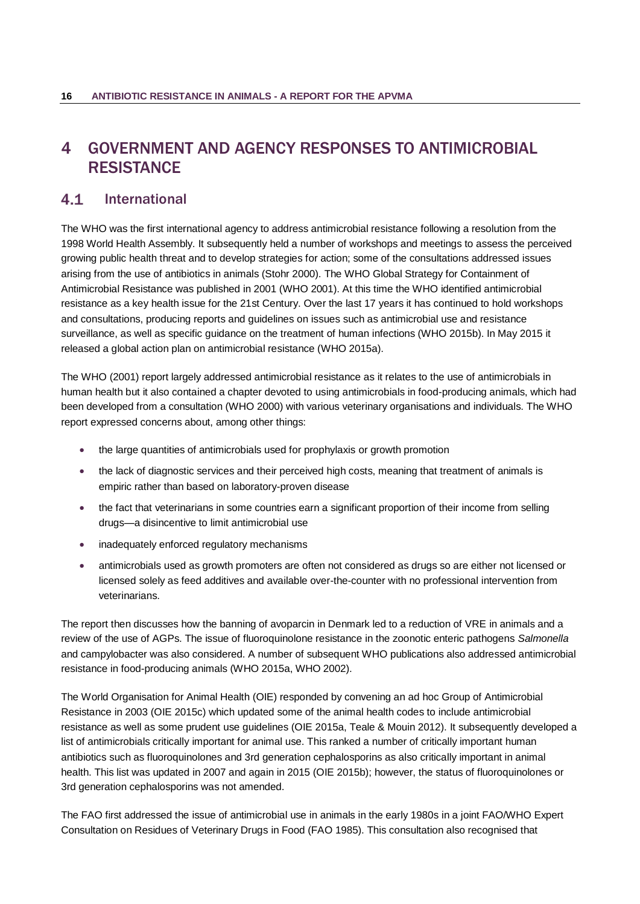# <span id="page-19-0"></span>4 GOVERNMENT AND AGENCY RESPONSES TO ANTIMICROBIAL **RESISTANCE**

#### <span id="page-19-1"></span> $4.1$ International

The WHO was the first international agency to address antimicrobial resistance following a resolution from the 1998 World Health Assembly. It subsequently held a number of workshops and meetings to assess the perceived growing public health threat and to develop strategies for action; some of the consultations addressed issues arising from the use of antibiotics in animals (Stohr 2000). The WHO Global Strategy for Containment of Antimicrobial Resistance was published in 2001 (WHO 2001). At this time the WHO identified antimicrobial resistance as a key health issue for the 21st Century. Over the last 17 years it has continued to hold workshops and consultations, producing reports and guidelines on issues such as antimicrobial use and resistance surveillance, as well as specific guidance on the treatment of human infections (WHO 2015b). In May 2015 it released a global action plan on antimicrobial resistance (WHO 2015a).

The WHO (2001) report largely addressed antimicrobial resistance as it relates to the use of antimicrobials in human health but it also contained a chapter devoted to using antimicrobials in food-producing animals, which had been developed from a consultation (WHO 2000) with various veterinary organisations and individuals. The WHO report expressed concerns about, among other things:

- the large quantities of antimicrobials used for prophylaxis or growth promotion
- the lack of diagnostic services and their perceived high costs, meaning that treatment of animals is empiric rather than based on laboratory-proven disease
- the fact that veterinarians in some countries earn a significant proportion of their income from selling drugs—a disincentive to limit antimicrobial use
- inadequately enforced regulatory mechanisms
- antimicrobials used as growth promoters are often not considered as drugs so are either not licensed or licensed solely as feed additives and available over-the-counter with no professional intervention from veterinarians.

The report then discusses how the banning of avoparcin in Denmark led to a reduction of VRE in animals and a review of the use of AGPs. The issue of fluoroquinolone resistance in the zoonotic enteric pathogens *Salmonella* and campylobacter was also considered. A number of subsequent WHO publications also addressed antimicrobial resistance in food-producing animals [\(WHO 2015a,](#page-46-11) [WHO 2002\)](#page-46-12).

The World Organisation for Animal Health (OIE) responded by convening an ad hoc Group of Antimicrobial Resistance in 2003 [\(OIE 2015c\)](#page-42-7) which updated some of the animal health codes to include antimicrobial resistance as well as some prudent use guidelines [\(OIE 2015a,](#page-42-8) [Teale & Mouin 2012\)](#page-45-7). It subsequently developed a list of antimicrobials critically important for animal use. This ranked a number of critically important human antibiotics such as fluoroquinolones and 3rd generation cephalosporins as also critically important in animal health. This list was updated in 2007 and again in 2015 [\(OIE 2015b\)](#page-42-9); however, the status of fluoroquinolones or 3rd generation cephalosporins was not amended.

The FAO first addressed the issue of antimicrobial use in animals in the early 1980s in a joint FAO/WHO Expert Consultation on Residues of Veterinary Drugs in Food (FAO 1985). This consultation also recognised that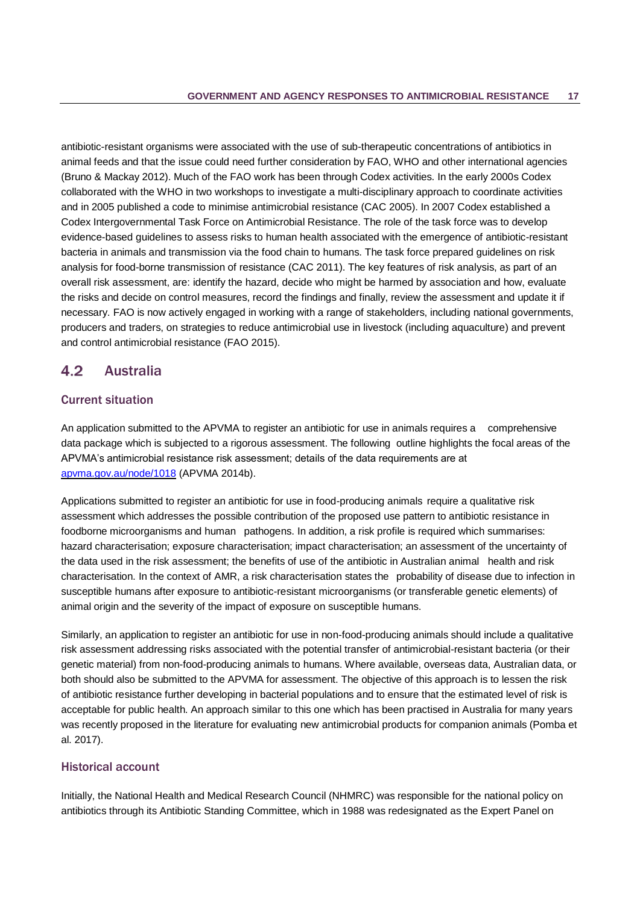antibiotic-resistant organisms were associated with the use of sub-therapeutic concentrations of antibiotics in animal feeds and that the issue could need further consideration by FAO, WHO and other international agencies (Bruno & Mackay 2012). Much of the FAO work has been through Codex activities. In the early 2000s Codex collaborated with the WHO in two workshops to investigate a multi-disciplinary approach to coordinate activities and in 2005 published a code to minimise antimicrobial resistance (CAC 2005). In 2007 Codex established a Codex Intergovernmental Task Force on Antimicrobial Resistance. The role of the task force was to develop evidence-based guidelines to assess risks to human health associated with the emergence of antibiotic-resistant bacteria in animals and transmission via the food chain to humans. The task force prepared guidelines on risk analysis for food-borne transmission of resistance (CAC 2011). The key features of risk analysis, as part of an overall risk assessment, are: identify the hazard, decide who might be harmed by association and how, evaluate the risks and decide on control measures, record the findings and finally, review the assessment and update it if necessary. FAO is now actively engaged in working with a range of stakeholders, including national governments, producers and traders, on strategies to reduce antimicrobial use in livestock (including aquaculture) and prevent and control antimicrobial resistance (FAO 2015).

#### <span id="page-20-0"></span> $4.2$ Australia

### Current situation

An application submitted to the APVMA to register an antibiotic for use in animals requires a comprehensive data package which is subjected to a rigorous assessment. The following outline highlights the focal areas of the APVMA's antimicrobial resistance risk assessment; details of the data requirements are at [apvma.gov.au/node/1018](file:///C:/Users/cambler/AppData/Local/Microsoft/Windows/Temporary%20Internet%20Files/Content.Outlook/ADJ3M3C3/apvma.gov.au/node/1018) (APVMA 2014b).

Applications submitted to register an antibiotic for use in food-producing animals require a qualitative risk assessment which addresses the possible contribution of the proposed use pattern to antibiotic resistance in foodborne microorganisms and human pathogens. In addition, a risk profile is required which summarises: hazard characterisation; exposure characterisation; impact characterisation; an assessment of the uncertainty of the data used in the risk assessment; the benefits of use of the antibiotic in Australian animal health and risk characterisation. In the context of AMR, a risk characterisation states the probability of disease due to infection in susceptible humans after exposure to antibiotic-resistant microorganisms (or transferable genetic elements) of animal origin and the severity of the impact of exposure on susceptible humans.

Similarly, an application to register an antibiotic for use in non-food-producing animals should include a qualitative risk assessment addressing risks associated with the potential transfer of antimicrobial-resistant bacteria (or their genetic material) from non-food-producing animals to humans. Where available, overseas data, Australian data, or both should also be submitted to the APVMA for assessment. The objective of this approach is to lessen the risk of antibiotic resistance further developing in bacterial populations and to ensure that the estimated level of risk is acceptable for public health. An approach similar to this one which has been practised in Australia for many years was recently proposed in the literature for evaluating new antimicrobial products for companion animals (Pomba et al. 2017).

### Historical account

Initially, the National Health and Medical Research Council (NHMRC) was responsible for the national policy on antibiotics through its Antibiotic Standing Committee, which in 1988 was redesignated as the Expert Panel on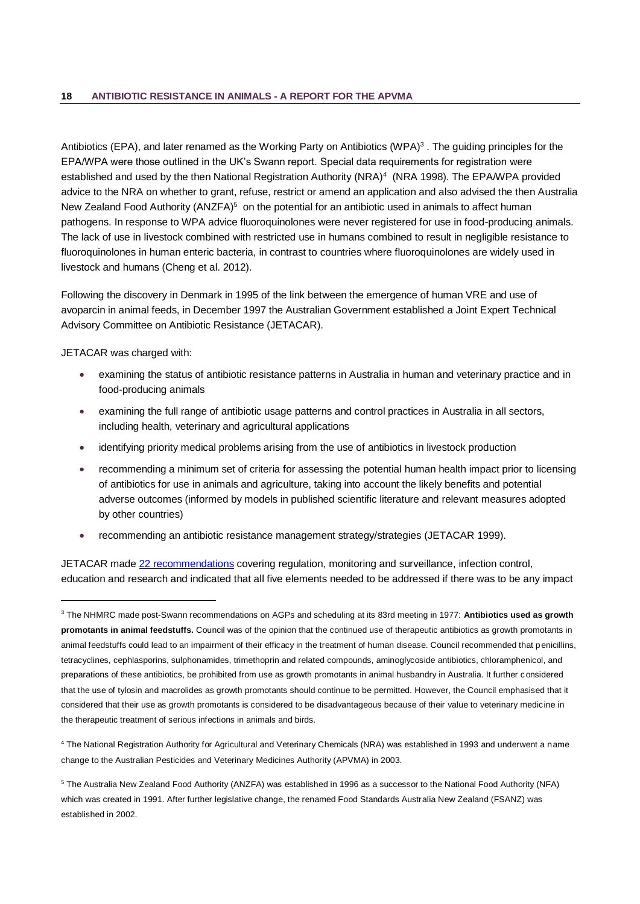Antibiotics (EPA), and later renamed as the Working Party on Antibiotics (WPA) $3$ . The guiding principles for the EPA/WPA were those outlined in the UK's Swann report. Special data requirements for registration were established and used by the then National Registration Authority (NRA)<sup>4</sup> (NRA 1998). The EPA/WPA provided advice to the NRA on whether to grant, refuse, restrict or amend an application and also advised the then Australia New Zealand Food Authority (ANZFA)<sup>5</sup> on the potential for an antibiotic used in animals to affect human pathogens. In response to WPA advice fluoroquinolones were never registered for use in food-producing animals. The lack of use in livestock combined with restricted use in humans combined to result in negligible resistance to fluoroquinolones in human enteric bacteria, in contrast to countries where fluoroquinolones are widely used in livestock and humans (Cheng et al. 2012).

Following the discovery in Denmark in 1995 of the link between the emergence of human VRE and use of avoparcin in animal feeds, in December 1997 the Australian Government established a Joint Expert Technical Advisory Committee on Antibiotic Resistance (JETACAR).

JETACAR was charged with:

l

- examining the status of antibiotic resistance patterns in Australia in human and veterinary practice and in food-producing animals
- examining the full range of antibiotic usage patterns and control practices in Australia in all sectors, including health, veterinary and agricultural applications
- identifying priority medical problems arising from the use of antibiotics in livestock production
- recommending a minimum set of criteria for assessing the potential human health impact prior to licensing of antibiotics for use in animals and agriculture, taking into account the likely benefits and potential adverse outcomes (informed by models in published scientific literature and relevant measures adopted by other countries)
- recommending an antibiotic resistance management strategy/strategies (JETACAR 1999).

JETACAR made [22 recommendations](http://www.aph.gov.au/DocumentStore.ashx?id=1c7e52de-45fc-4657-a742-651a7ff8f234) covering regulation, monitoring and surveillance, infection control, education and research and indicated that all five elements needed to be addressed if there was to be any impact

<sup>4</sup> The National Registration Authority for Agricultural and Veterinary Chemicals (NRA) was established in 1993 and underwent a name change to the Australian Pesticides and Veterinary Medicines Authority (APVMA) in 2003.

<sup>3</sup> The NHMRC made post-Swann recommendations on AGPs and scheduling at its 83rd meeting in 1977: **Antibiotics used as growth promotants in animal feedstuffs.** Council was of the opinion that the continued use of therapeutic antibiotics as growth promotants in animal feedstuffs could lead to an impairment of their efficacy in the treatment of human disease. Council recommended that penicillins, tetracyclines, cephlasporins, sulphonamides, trimethoprin and related compounds, aminoglycoside antibiotics, chloramphenicol, and preparations of these antibiotics, be prohibited from use as growth promotants in animal husbandry in Australia. It further considered that the use of tylosin and macrolides as growth promotants should continue to be permitted. However, the Council emphasised that it considered that their use as growth promotants is considered to be disadvantageous because of their value to veterinary medicine in the therapeutic treatment of serious infections in animals and birds.

<sup>5</sup> The Australia New Zealand Food Authority (ANZFA) was established in 1996 as a successor to the National Food Authority (NFA) which was created in 1991. After further legislative change, the renamed Food Standards Australia New Zealand (FSANZ) was established in 2002.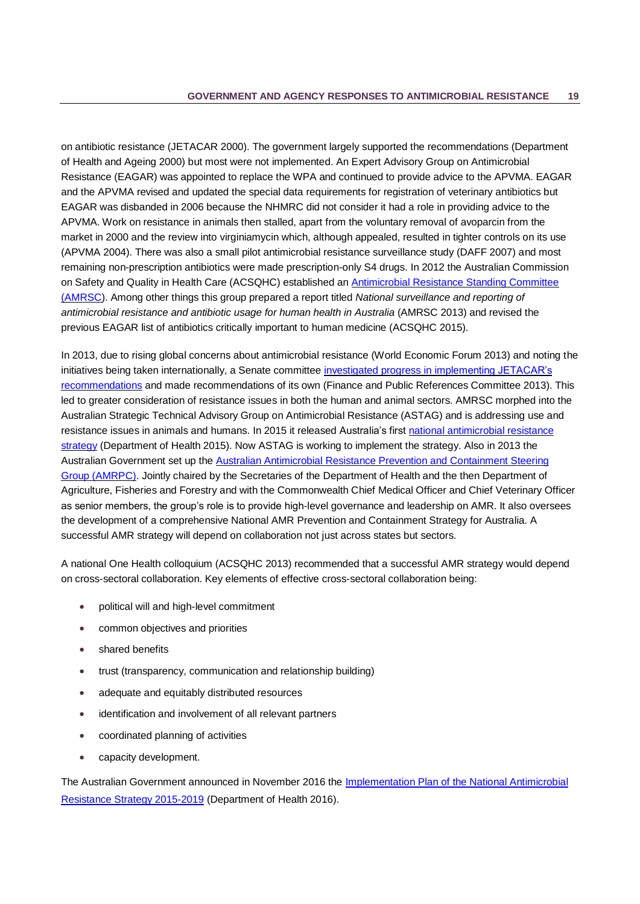on antibiotic resistance (JETACAR 2000). The government largely supported the recommendations (Department of Health and Ageing 2000) but most were not implemented. An Expert Advisory Group on Antimicrobial Resistance (EAGAR) was appointed to replace the WPA and continued to provide advice to the APVMA. EAGAR and the APVMA revised and updated the special data requirements for registration of veterinary antibiotics but EAGAR was disbanded in 2006 because the NHMRC did not consider it had a role in providing advice to the APVMA. Work on resistance in animals then stalled, apart from the voluntary removal of avoparcin from the market in 2000 and the review into virginiamycin which, although appealed, resulted in tighter controls on its use (APVMA 2004). There was also a small pilot antimicrobial resistance surveillance study (DAFF 2007) and most remaining non-prescription antibiotics were made prescription-only S4 drugs. In 2012 the Australian Commission on Safety and Quality in Health Care (ACSQHC) established an [Antimicrobial Resistance Standing Committee](http://www.safetyandquality.gov.au/our-work/healthcare-associated-infection/antimicrobial-resistance-standing-committee/)  [\(AMRSC\)](http://www.safetyandquality.gov.au/our-work/healthcare-associated-infection/antimicrobial-resistance-standing-committee/). Among other things this group prepared a report titled *National surveillance and reporting of antimicrobial resistance and antibiotic usage for human health in Australia* (AMRSC 2013) and revised the previous EAGAR list of antibiotics critically important to human medicine (ACSQHC 2015).

In 2013, due to rising global concerns about antimicrobial resistance (World Economic Forum 2013) and noting the initiatives being taken internationally, a Senate committee [investigated progress in implementing JETACAR's](http://www.aph.gov.au/Parliamentary_Business/Committees/Senate/Finance_and_Public_Administration/Completed_inquiries/2010-13/jetacar/report/index)  [recommendations](http://www.aph.gov.au/Parliamentary_Business/Committees/Senate/Finance_and_Public_Administration/Completed_inquiries/2010-13/jetacar/report/index) and made recommendations of its own (Finance and Public References Committee 2013). This led to greater consideration of resistance issues in both the human and animal sectors. AMRSC morphed into the Australian Strategic Technical Advisory Group on Antimicrobial Resistance (ASTAG) and is addressing use and resistance issues in animals and humans. In 2015 it released Australia's first [national antimicrobial resistance](http://www.health.gov.au/internet/main/publishing.nsf/Content/1803C433C71415CACA257C8400121B1F/$File/amr-strategy-2015-2019.pdf)  [strategy](http://www.health.gov.au/internet/main/publishing.nsf/Content/1803C433C71415CACA257C8400121B1F/$File/amr-strategy-2015-2019.pdf) (Department of Health 2015). Now ASTAG is working to implement the strategy. Also in 2013 the Australian Government set up the [Australian Antimicrobial Resistance Prevention and Containment Steering](https://health.gov.au/internet/main/publishing.nsf/Content/1803C433C71415CACA257C8400121B1F/$File/AMR-TOR-Feb2014.pdf)  [Group \(AMRPC\).](https://health.gov.au/internet/main/publishing.nsf/Content/1803C433C71415CACA257C8400121B1F/$File/AMR-TOR-Feb2014.pdf) Jointly chaired by the Secretaries of the Department of Health and the then Department of Agriculture, Fisheries and Forestry and with the Commonwealth Chief Medical Officer and Chief Veterinary Officer as senior members, the group's role is to provide high-level governance and leadership on AMR. It also oversees the development of a comprehensive National AMR Prevention and Containment Strategy for Australia. A successful AMR strategy will depend on collaboration not just across states but sectors.

A national One Health colloquium (ACSQHC 2013) recommended that a successful AMR strategy would depend on cross-sectoral collaboration. Key elements of effective cross-sectoral collaboration being:

- political will and high-level commitment
- common objectives and priorities
- **•** shared benefits
- trust (transparency, communication and relationship building)
- adequate and equitably distributed resources
- identification and involvement of all relevant partners
- coordinated planning of activities
- capacity development.

The Australian Government announced in November 2016 the [Implementation Plan of the National Antimicrobial](http://www.health.gov.au/internet/main/publishing.nsf/Content/1803C433C71415CACA257C8400121B1F/$File/AMR-Implementation-Plan.pdf)  [Resistance Strategy 2015-2019](http://www.health.gov.au/internet/main/publishing.nsf/Content/1803C433C71415CACA257C8400121B1F/$File/AMR-Implementation-Plan.pdf) [\(Department of Health 2016\)](#page-36-7).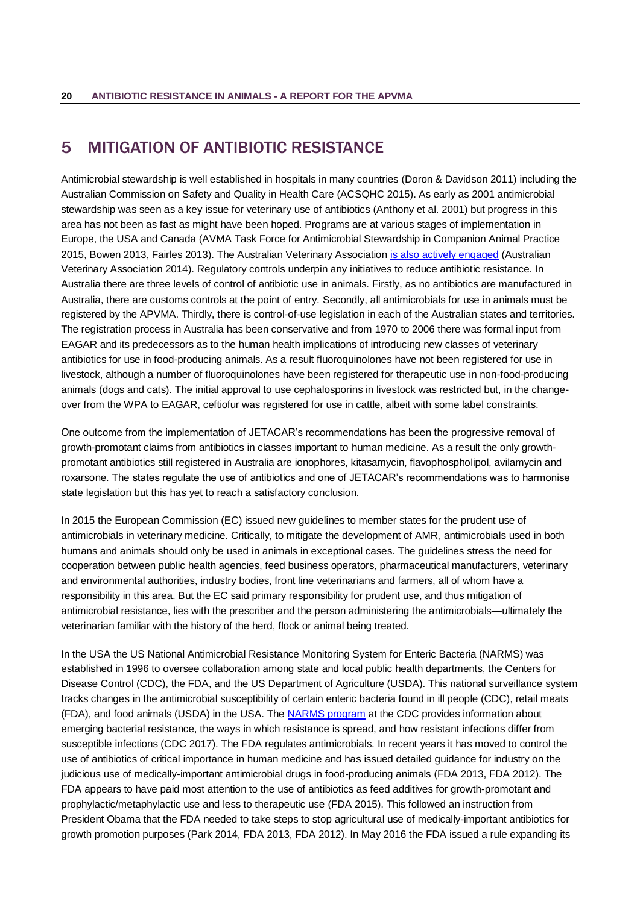## <span id="page-23-0"></span>5 MITIGATION OF ANTIBIOTIC RESISTANCE

Antimicrobial stewardship is well established in hospitals in many countries [\(Doron & Davidson 2011\)](#page-37-8) including the Australian Commission on Safety and Quality in Health Care [\(ACSQHC 2015\)](#page-32-8). As early as 2001 antimicrobial stewardship was seen as a key issue for veterinary use of antibiotics [\(Anthony et al. 2001\)](#page-33-3) but progress in this area has not been as fast as might have been hoped. Programs are at various stages of implementation in Europe, the USA and Canada [\(AVMA Task Force for Antimicrobial Stewardship in Companion Animal Practice](#page-33-4)  [2015,](#page-33-4) [Bowen 2013,](#page-34-7) [Fairles 2013\)](#page-37-9). The Australian Veterinary Association [is also actively engaged](http://www.ava.com.au/amr) [\(Australian](#page-33-5)  [Veterinary Association 2014\)](#page-33-5). Regulatory controls underpin any initiatives to reduce antibiotic resistance. In Australia there are three levels of control of antibiotic use in animals. Firstly, as no antibiotics are manufactured in Australia, there are customs controls at the point of entry. Secondly, all antimicrobials for use in animals must be registered by the APVMA. Thirdly, there is control-of-use legislation in each of the Australian states and territories. The registration process in Australia has been conservative and from 1970 to 2006 there was formal input from EAGAR and its predecessors as to the human health implications of introducing new classes of veterinary antibiotics for use in food-producing animals. As a result fluoroquinolones have not been registered for use in livestock, although a number of fluoroquinolones have been registered for therapeutic use in non-food-producing animals (dogs and cats). The initial approval to use cephalosporins in livestock was restricted but, in the changeover from the WPA to EAGAR, ceftiofur was registered for use in cattle, albeit with some label constraints.

One outcome from the implementation of JETACAR's recommendations has been the progressive removal of growth-promotant claims from antibiotics in classes important to human medicine. As a result the only growthpromotant antibiotics still registered in Australia are ionophores, kitasamycin, flavophospholipol, avilamycin and roxarsone. The states regulate the use of antibiotics and one of JETACAR's recommendations was to harmonise state legislation but this has yet to reach a satisfactory conclusion.

In 2015 the European Commission (EC) issued new guidelines to member states for the prudent use of antimicrobials in veterinary medicine. Critically, to mitigate the development of AMR, antimicrobials used in both humans and animals should only be used in animals in exceptional cases. The guidelines stress the need for cooperation between public health agencies, feed business operators, pharmaceutical manufacturers, veterinary and environmental authorities, industry bodies, front line veterinarians and farmers, all of whom have a responsibility in this area. But the EC said primary responsibility for prudent use, and thus mitigation of antimicrobial resistance, lies with the prescriber and the person administering the antimicrobials—ultimately the veterinarian familiar with the history of the herd, flock or animal being treated.

In the USA the US National Antimicrobial Resistance Monitoring System for Enteric Bacteria (NARMS) was established in 1996 to oversee collaboration among state and local public health departments, the Centers for Disease Control (CDC), the FDA, and the US Department of Agriculture (USDA). This national surveillance system tracks changes in the antimicrobial susceptibility of certain enteric bacteria found in ill people (CDC), retail meats (FDA), and food animals (USDA) in the USA. The [NARMS program](https://www.cdc.gov/narms/) at the CDC provides information about emerging bacterial resistance, the ways in which resistance is spread, and how resistant infections differ from susceptible infections [\(CDC 2017\)](#page-35-13). The FDA regulates antimicrobials. In recent years it has moved to control the use of antibiotics of critical importance in human medicine and has issued detailed guidance for industry on the judicious use of medically-important antimicrobial drugs in food-producing animals [\(FDA 2013,](#page-38-5) [FDA 2012\)](#page-38-6). The FDA appears to have paid most attention to the use of antibiotics as feed additives for growth-promotant and prophylactic/metaphylactic use and less to therapeutic use [\(FDA 2015\)](#page-38-7). This followed an instruction from President Obama that the FDA needed to take steps to stop agricultural use of medically-important antibiotics for growth promotion purposes [\(Park 2014,](#page-43-9) [FDA 2013,](#page-38-5) [FDA 2012\)](#page-38-6). In May 2016 the FDA issued a rule expanding its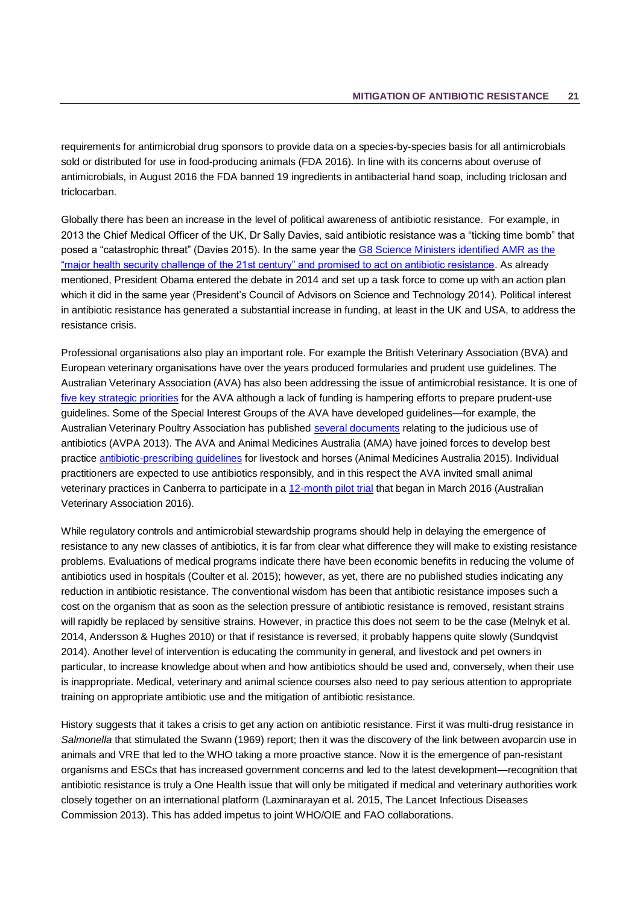requirements for antimicrobial drug sponsors to provide data on a species-by-species basis for all antimicrobials sold or distributed for use in food-producing animals [\(FDA 2016\)](#page-38-8). In line with its concerns about overuse of antimicrobials, in August 2016 the FDA banned 19 ingredients in antibacterial hand soap, including triclosan and triclocarban.

Globally there has been an increase in the level of political awareness of antibiotic resistance. For example, in 2013 the Chief Medical Officer of the UK, Dr Sally Davies, said antibiotic resistance was a "ticking time bomb" that posed a "catastrophic threat" (Davies 2015). In the same year the [G8 Science Ministers identified AMR as the](https://aricjournal.biomedcentral.com/articles/10.1186/2047-2994-2-31)  ["major health security challenge of the 21st century" and promised to act on antibiotic resistance.](https://aricjournal.biomedcentral.com/articles/10.1186/2047-2994-2-31) As already mentioned, President Obama entered the debate in 2014 and set up a task force to come up with an action plan which it did in the same year (President's Council of Advisors on Science and Technology 2014). Political interest in antibiotic resistance has generated a substantial increase in funding, at least in the UK and USA, to address the resistance crisis.

Professional organisations also play an important role. For example the British Veterinary Association (BVA) and European veterinary organisations have over the years produced formularies and prudent use guidelines. The Australian Veterinary Association (AVA) has also been addressing the issue of antimicrobial resistance. It is one of [five key strategic priorities](http://www.ava.com.au/amr) for the AVA although a lack of funding is hampering efforts to prepare prudent-use guidelines. Some of the Special Interest Groups of the AVA have developed guidelines—for example, the Australian Veterinary Poultry Association has published [several documents](http://www.avpa.asn.au/support-for-the-veterinarian/therapeutics-dose-restraints/) relating to the judicious use of antibiotics (AVPA 2013). The AVA and Animal Medicines Australia (AMA) have joined forces to develop best practice [antibiotic-prescribing guidelines](http://animalmedicinesaustralia.org.au/new-prescribing-guidelines-for-livestock-and-horses/) for livestock and horses (Animal Medicines Australia 2015). Individual practitioners are expected to use antibiotics responsibly, and in this respect the AVA invited small animal veterinary practices in Canberra to participate in a [12-month pilot trial](http://www.ava.com.au/ams) that began in March 2016 (Australian Veterinary Association 2016).

While regulatory controls and antimicrobial stewardship programs should help in delaying the emergence of resistance to any new classes of antibiotics, it is far from clear what difference they will make to existing resistance problems. Evaluations of medical programs indicate there have been economic benefits in reducing the volume of antibiotics used in hospitals (Coulter et al. 2015); however, as yet, there are no published studies indicating any reduction in antibiotic resistance. The conventional wisdom has been that antibiotic resistance imposes such a cost on the organism that as soon as the selection pressure of antibiotic resistance is removed, resistant strains will rapidly be replaced by sensitive strains. However, in practice this does not seem to be the case (Melnyk et al. 2014, Andersson & Hughes 2010) or that if resistance is reversed, it probably happens quite slowly (Sundqvist 2014). Another level of intervention is educating the community in general, and livestock and pet owners in particular, to increase knowledge about when and how antibiotics should be used and, conversely, when their use is inappropriate. Medical, veterinary and animal science courses also need to pay serious attention to appropriate training on appropriate antibiotic use and the mitigation of antibiotic resistance.

History suggests that it takes a crisis to get any action on antibiotic resistance. First it was multi-drug resistance in *Salmonella* that stimulated the Swann (1969) report; then it was the discovery of the link between avoparcin use in animals and VRE that led to the WHO taking a more proactive stance. Now it is the emergence of pan-resistant organisms and ESCs that has increased government concerns and led to the latest development—recognition that antibiotic resistance is truly a One Health issue that will only be mitigated if medical and veterinary authorities work closely together on an international platform (Laxminarayan et al. 2015, The Lancet Infectious Diseases Commission 2013). This has added impetus to joint WHO/OIE and FAO collaborations.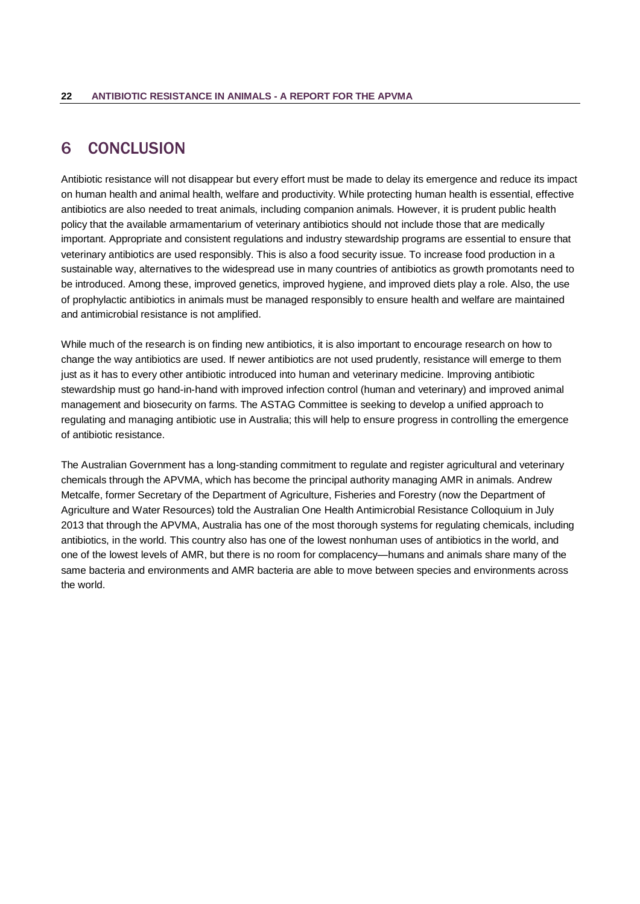## <span id="page-25-0"></span>6 CONCLUSION

Antibiotic resistance will not disappear but every effort must be made to delay its emergence and reduce its impact on human health and animal health, welfare and productivity. While protecting human health is essential, effective antibiotics are also needed to treat animals, including companion animals. However, it is prudent public health policy that the available armamentarium of veterinary antibiotics should not include those that are medically important. Appropriate and consistent regulations and industry stewardship programs are essential to ensure that veterinary antibiotics are used responsibly. This is also a food security issue. To increase food production in a sustainable way, alternatives to the widespread use in many countries of antibiotics as growth promotants need to be introduced. Among these, improved genetics, improved hygiene, and improved diets play a role. Also, the use of prophylactic antibiotics in animals must be managed responsibly to ensure health and welfare are maintained and antimicrobial resistance is not amplified.

While much of the research is on finding new antibiotics, it is also important to encourage research on how to change the way antibiotics are used. If newer antibiotics are not used prudently, resistance will emerge to them just as it has to every other antibiotic introduced into human and veterinary medicine. Improving antibiotic stewardship must go hand-in-hand with improved infection control (human and veterinary) and improved animal management and biosecurity on farms. The ASTAG Committee is seeking to develop a unified approach to regulating and managing antibiotic use in Australia; this will help to ensure progress in controlling the emergence of antibiotic resistance.

The Australian Government has a long-standing commitment to regulate and register agricultural and veterinary chemicals through the APVMA, which has become the principal authority managing AMR in animals. Andrew Metcalfe, former Secretary of the Department of Agriculture, Fisheries and Forestry (now the Department of Agriculture and Water Resources) told the Australian One Health Antimicrobial Resistance Colloquium in July 2013 that through the APVMA, Australia has one of the most thorough systems for regulating chemicals, including antibiotics, in the world. This country also has one of the lowest nonhuman uses of antibiotics in the world, and one of the lowest levels of AMR, but there is no room for complacency—humans and animals share many of the same bacteria and environments and AMR bacteria are able to move between species and environments across the world.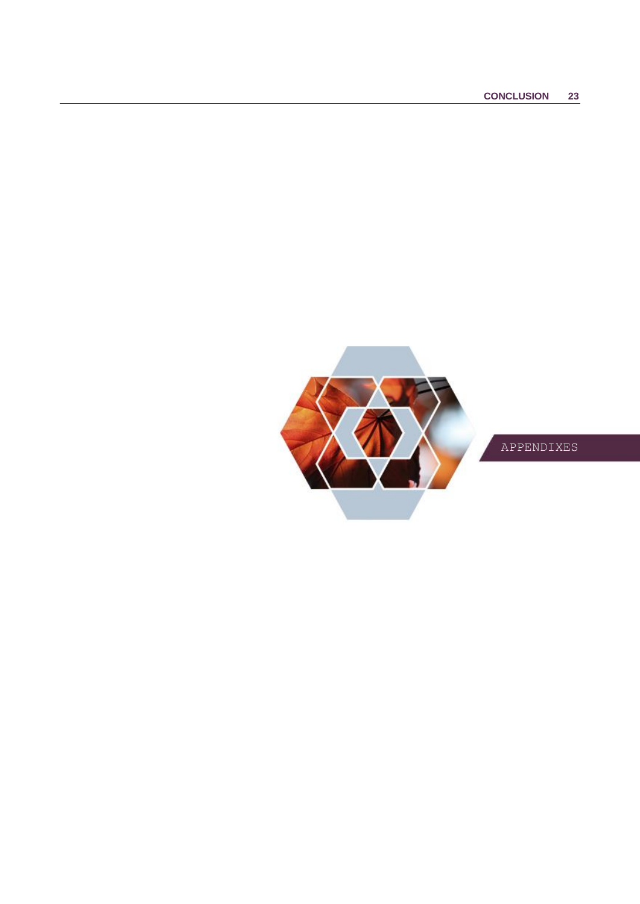

APPENDIXES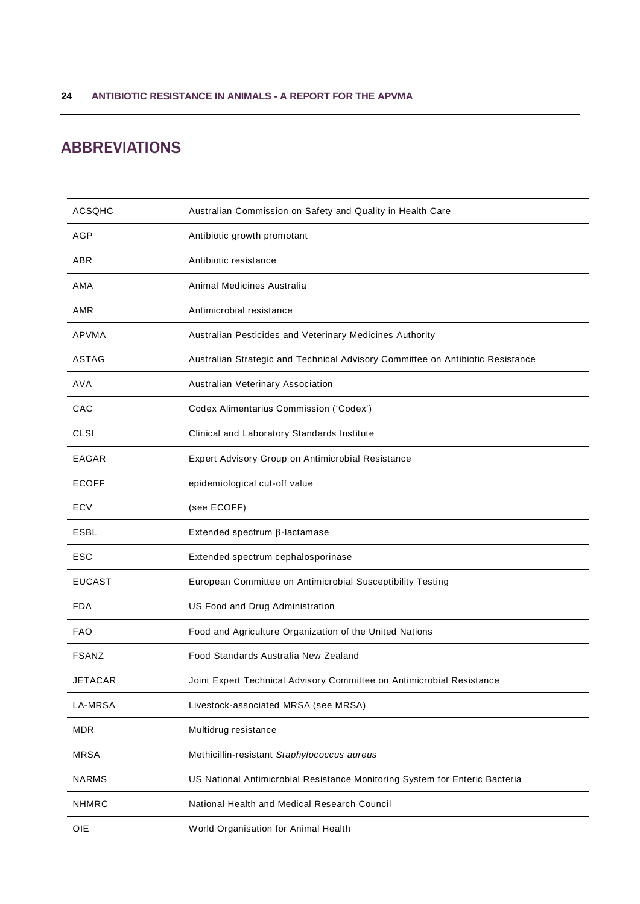# <span id="page-27-0"></span>ABBREVIATIONS

| <b>ACSQHC</b>  | Australian Commission on Safety and Quality in Health Care                     |
|----------------|--------------------------------------------------------------------------------|
| AGP            | Antibiotic growth promotant                                                    |
| ABR            | Antibiotic resistance                                                          |
| AMA            | Animal Medicines Australia                                                     |
| AMR            | Antimicrobial resistance                                                       |
| APVMA          | Australian Pesticides and Veterinary Medicines Authority                       |
| <b>ASTAG</b>   | Australian Strategic and Technical Advisory Committee on Antibiotic Resistance |
| <b>AVA</b>     | Australian Veterinary Association                                              |
| CAC            | Codex Alimentarius Commission ('Codex')                                        |
| CLSI           | Clinical and Laboratory Standards Institute                                    |
| EAGAR          | Expert Advisory Group on Antimicrobial Resistance                              |
| <b>ECOFF</b>   | epidemiological cut-off value                                                  |
| ECV            | (see ECOFF)                                                                    |
|                |                                                                                |
| <b>ESBL</b>    | Extended spectrum β-lactamase                                                  |
| ESC            | Extended spectrum cephalosporinase                                             |
| <b>EUCAST</b>  | European Committee on Antimicrobial Susceptibility Testing                     |
| <b>FDA</b>     | US Food and Drug Administration                                                |
| <b>FAO</b>     | Food and Agriculture Organization of the United Nations                        |
| <b>FSANZ</b>   | Food Standards Australia New Zealand                                           |
| JETACAR        | Joint Expert Technical Advisory Committee on Antimicrobial Resistance          |
| <b>LA-MRSA</b> | Livestock-associated MRSA (see MRSA)                                           |
| <b>MDR</b>     | Multidrug resistance                                                           |
| <b>MRSA</b>    | Methicillin-resistant Staphylococcus aureus                                    |
| <b>NARMS</b>   | US National Antimicrobial Resistance Monitoring System for Enteric Bacteria    |
| <b>NHMRC</b>   | National Health and Medical Research Council                                   |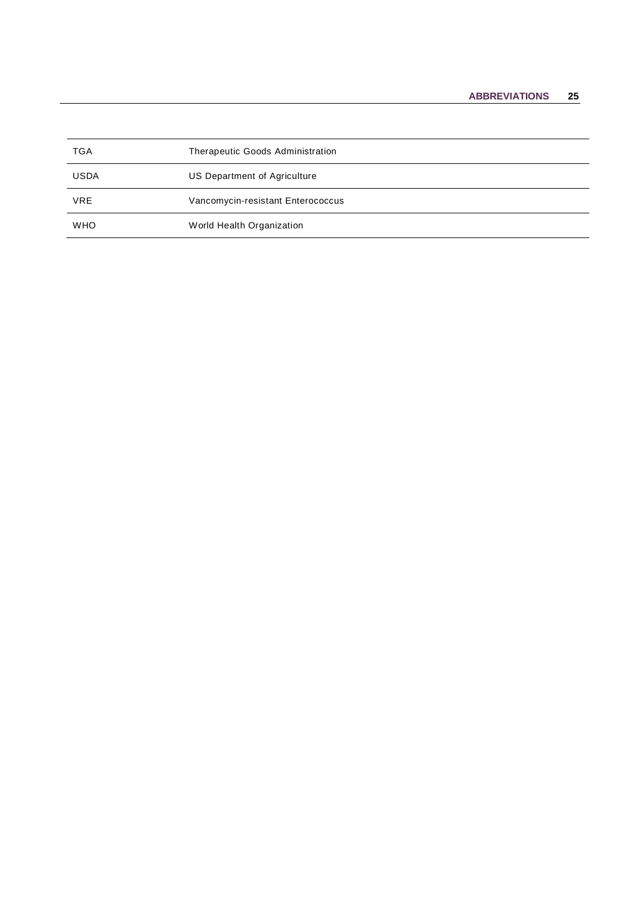| <b>TGA</b>  | Therapeutic Goods Administration  |
|-------------|-----------------------------------|
| <b>USDA</b> | US Department of Agriculture      |
| VRE         | Vancomycin-resistant Enterococcus |
| <b>WHO</b>  | World Health Organization         |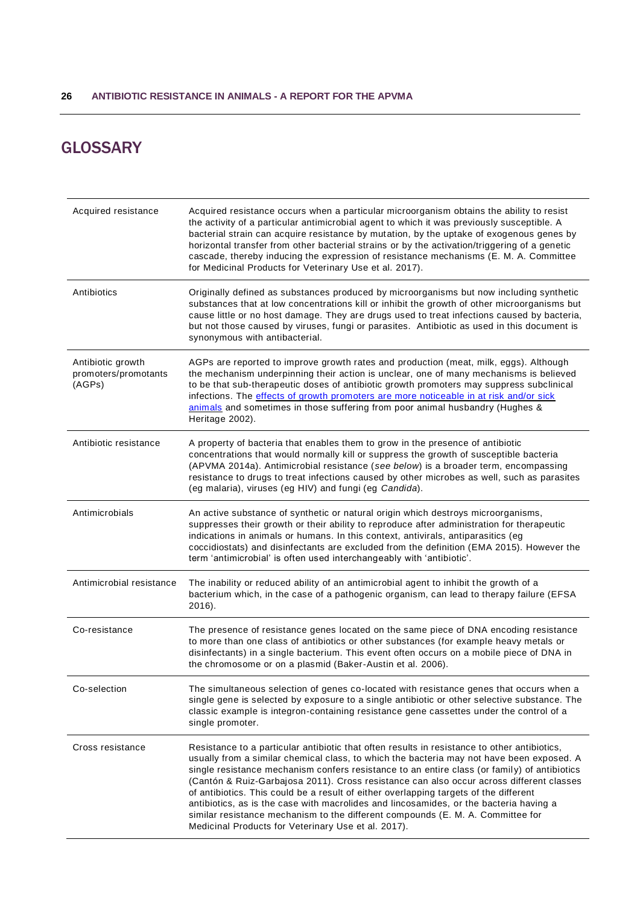# <span id="page-29-0"></span>**GLOSSARY**

| Acquired resistance                                 | Acquired resistance occurs when a particular microorganism obtains the ability to resist<br>the activity of a particular antimicrobial agent to which it was previously susceptible. A<br>bacterial strain can acquire resistance by mutation, by the uptake of exogenous genes by<br>horizontal transfer from other bacterial strains or by the activation/triggering of a genetic<br>cascade, thereby inducing the expression of resistance mechanisms (E. M. A. Committee<br>for Medicinal Products for Veterinary Use et al. 2017).                                                                                                                                                                            |
|-----------------------------------------------------|--------------------------------------------------------------------------------------------------------------------------------------------------------------------------------------------------------------------------------------------------------------------------------------------------------------------------------------------------------------------------------------------------------------------------------------------------------------------------------------------------------------------------------------------------------------------------------------------------------------------------------------------------------------------------------------------------------------------|
| Antibiotics                                         | Originally defined as substances produced by microorganisms but now including synthetic<br>substances that at low concentrations kill or inhibit the growth of other microorganisms but<br>cause little or no host damage. They are drugs used to treat infections caused by bacteria,<br>but not those caused by viruses, fungi or parasites. Antibiotic as used in this document is<br>synonymous with antibacterial.                                                                                                                                                                                                                                                                                            |
| Antibiotic growth<br>promoters/promotants<br>(AGPs) | AGPs are reported to improve growth rates and production (meat, milk, eggs). Although<br>the mechanism underpinning their action is unclear, one of many mechanisms is believed<br>to be that sub-therapeutic doses of antibiotic growth promoters may suppress subclinical<br>infections. The effects of growth promoters are more noticeable in at risk and/or sick<br>animals and sometimes in those suffering from poor animal husbandry (Hughes &<br>Heritage 2002).                                                                                                                                                                                                                                          |
| Antibiotic resistance                               | A property of bacteria that enables them to grow in the presence of antibiotic<br>concentrations that would normally kill or suppress the growth of susceptible bacteria<br>(APVMA 2014a). Antimicrobial resistance (see below) is a broader term, encompassing<br>resistance to drugs to treat infections caused by other microbes as well, such as parasites<br>(eg malaria), viruses (eg HIV) and fungi (eg Candida).                                                                                                                                                                                                                                                                                           |
| Antimicrobials                                      | An active substance of synthetic or natural origin which destroys microorganisms,<br>suppresses their growth or their ability to reproduce after administration for therapeutic<br>indications in animals or humans. In this context, antivirals, antiparasitics (eg<br>coccidiostats) and disinfectants are excluded from the definition (EMA 2015). However the<br>term 'antimicrobial' is often used interchangeably with 'antibiotic'.                                                                                                                                                                                                                                                                         |
| Antimicrobial resistance                            | The inability or reduced ability of an antimicrobial agent to inhibit the growth of a<br>bacterium which, in the case of a pathogenic organism, can lead to therapy failure (EFSA<br>2016).                                                                                                                                                                                                                                                                                                                                                                                                                                                                                                                        |
| Co-resistance                                       | The presence of resistance genes located on the same piece of DNA encoding resistance<br>to more than one class of antibiotics or other substances (for example heavy metals or<br>disinfectants) in a single bacterium. This event often occurs on a mobile piece of DNA in<br>the chromosome or on a plasmid (Baker-Austin et al. 2006).                                                                                                                                                                                                                                                                                                                                                                         |
| Co-selection                                        | The simultaneous selection of genes co-located with resistance genes that occurs when a<br>single gene is selected by exposure to a single antibiotic or other selective substance. The<br>classic example is integron-containing resistance gene cassettes under the control of a<br>single promoter.                                                                                                                                                                                                                                                                                                                                                                                                             |
| Cross resistance                                    | Resistance to a particular antibiotic that often results in resistance to other antibiotics,<br>usually from a similar chemical class, to which the bacteria may not have been exposed. A<br>single resistance mechanism confers resistance to an entire class (or family) of antibiotics<br>(Cantón & Ruiz-Garbajosa 2011). Cross resistance can also occur across different classes<br>of antibiotics. This could be a result of either overlapping targets of the different<br>antibiotics, as is the case with macrolides and lincosamides, or the bacteria having a<br>similar resistance mechanism to the different compounds (E. M. A. Committee for<br>Medicinal Products for Veterinary Use et al. 2017). |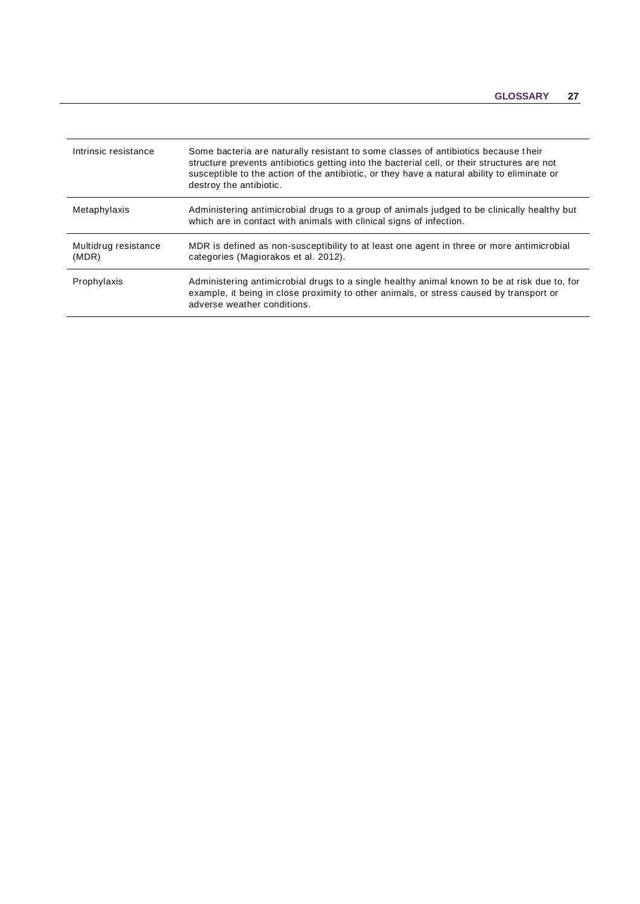| Intrinsic resistance          | Some bacteria are naturally resistant to some classes of antibiotics because their<br>structure prevents antibiotics getting into the bacterial cell, or their structures are not<br>susceptible to the action of the antibiotic, or they have a natural ability to eliminate or<br>destroy the antibiotic. |
|-------------------------------|-------------------------------------------------------------------------------------------------------------------------------------------------------------------------------------------------------------------------------------------------------------------------------------------------------------|
| Metaphylaxis                  | Administering antimicrobial drugs to a group of animals judged to be clinically healthy but<br>which are in contact with animals with clinical signs of infection.                                                                                                                                          |
| Multidrug resistance<br>(MDR) | MDR is defined as non-susceptibility to at least one agent in three or more antimicrobial<br>categories (Magiorakos et al. 2012).                                                                                                                                                                           |
| Prophylaxis                   | Administering antimicrobial drugs to a single healthy animal known to be at risk due to, for<br>example, it being in close proximity to other animals, or stress caused by transport or<br>adverse weather conditions.                                                                                      |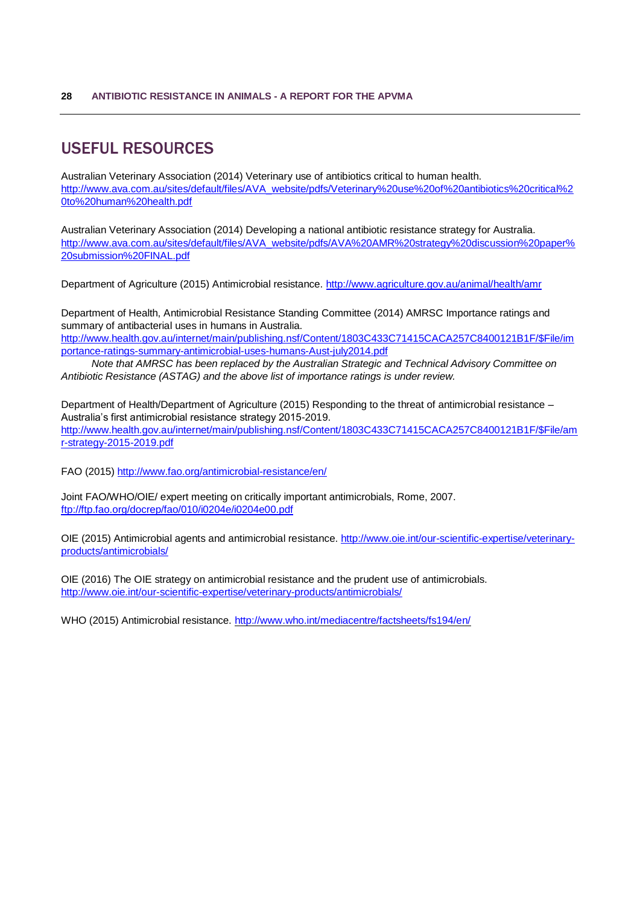# <span id="page-31-0"></span>USEFUL RESOURCES

Australian Veterinary Association (2014) Veterinary use of antibiotics critical to human health. [http://www.ava.com.au/sites/default/files/AVA\\_website/pdfs/Veterinary%20use%20of%20antibiotics%20critical%2](http://www.ava.com.au/sites/default/files/AVA_website/pdfs/Veterinary%20use%20of%20antibiotics%20critical%20to%20human%20health.pdf) [0to%20human%20health.pdf](http://www.ava.com.au/sites/default/files/AVA_website/pdfs/Veterinary%20use%20of%20antibiotics%20critical%20to%20human%20health.pdf)

Australian Veterinary Association (2014) Developing a national antibiotic resistance strategy for Australia. [http://www.ava.com.au/sites/default/files/AVA\\_website/pdfs/AVA%20AMR%20strategy%20discussion%20paper%](http://www.ava.com.au/sites/default/files/AVA_website/pdfs/AVA%20AMR%20strategy%20discussion%20paper%20submission%20FINAL.pdf) [20submission%20FINAL.pdf](http://www.ava.com.au/sites/default/files/AVA_website/pdfs/AVA%20AMR%20strategy%20discussion%20paper%20submission%20FINAL.pdf)

Department of Agriculture (2015) Antimicrobial resistance.<http://www.agriculture.gov.au/animal/health/amr>

Department of Health, Antimicrobial Resistance Standing Committee (2014) AMRSC Importance ratings and summary of antibacterial uses in humans in Australia. [http://www.health.gov.au/internet/main/publishing.nsf/Content/1803C433C71415CACA257C8400121B1F/\\$File/im](http://www.health.gov.au/internet/main/publishing.nsf/Content/1803C433C71415CACA257C8400121B1F/$File/importance-ratings-summary-antimicrobial-uses-humans-Aust-july2014.pdf) [portance-ratings-summary-antimicrobial-uses-humans-Aust-july2014.pdf](http://www.health.gov.au/internet/main/publishing.nsf/Content/1803C433C71415CACA257C8400121B1F/$File/importance-ratings-summary-antimicrobial-uses-humans-Aust-july2014.pdf)

*Note that AMRSC has been replaced by the Australian Strategic and Technical Advisory Committee on Antibiotic Resistance (ASTAG) and the above list of importance ratings is under review.*

Department of Health/Department of Agriculture (2015) Responding to the threat of antimicrobial resistance – Australia's first antimicrobial resistance strategy 2015-2019. [http://www.health.gov.au/internet/main/publishing.nsf/Content/1803C433C71415CACA257C8400121B1F/\\$File/am](http://www.health.gov.au/internet/main/publishing.nsf/Content/1803C433C71415CACA257C8400121B1F/$File/amr-strategy-2015-2019.pdf) [r-strategy-2015-2019.pdf](http://www.health.gov.au/internet/main/publishing.nsf/Content/1803C433C71415CACA257C8400121B1F/$File/amr-strategy-2015-2019.pdf)

FAO (2015)<http://www.fao.org/antimicrobial-resistance/en/>

Joint FAO/WHO/OIE/ expert meeting on critically important antimicrobials, Rome, 2007. <ftp://ftp.fao.org/docrep/fao/010/i0204e/i0204e00.pdf>

OIE (2015) Antimicrobial agents and antimicrobial resistance. [http://www.oie.int/our-scientific-expertise/veterinary](http://www.oie.int/our-scientific-expertise/veterinary-products/antimicrobials/)[products/antimicrobials/](http://www.oie.int/our-scientific-expertise/veterinary-products/antimicrobials/)

OIE (2016) The OIE strategy on antimicrobial resistance and the prudent use of antimicrobials. <http://www.oie.int/our-scientific-expertise/veterinary-products/antimicrobials/>

WHO (2015) Antimicrobial resistance.<http://www.who.int/mediacentre/factsheets/fs194/en/>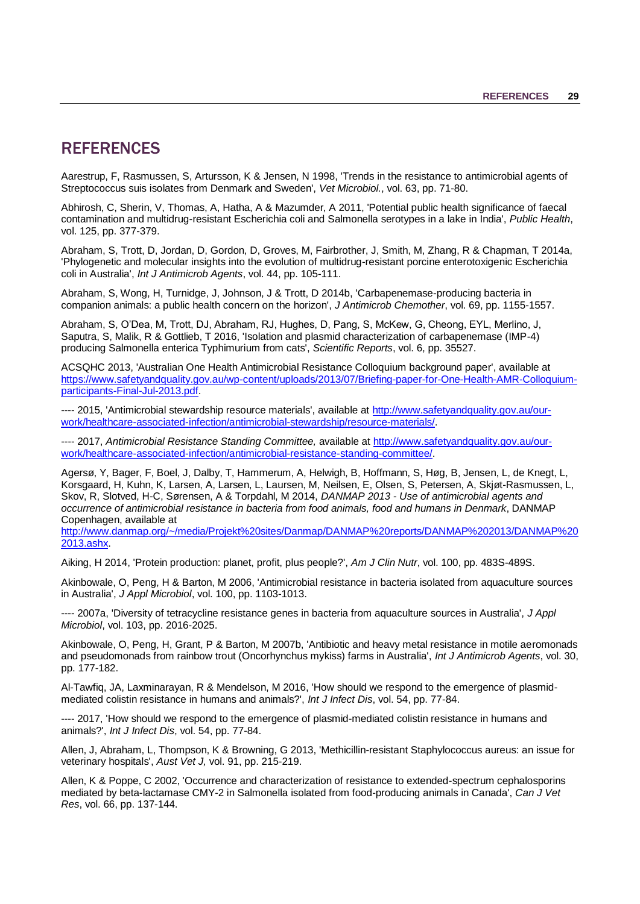## <span id="page-32-0"></span>**REFERENCES**

<span id="page-32-3"></span>Aarestrup, F, Rasmussen, S, Artursson, K & Jensen, N 1998, 'Trends in the resistance to antimicrobial agents of Streptococcus suis isolates from Denmark and Sweden', *Vet Microbiol.*, vol. 63, pp. 71-80.

<span id="page-32-7"></span>Abhirosh, C, Sherin, V, Thomas, A, Hatha, A & Mazumder, A 2011, 'Potential public health significance of faecal contamination and multidrug-resistant Escherichia coli and Salmonella serotypes in a lake in India', *Public Health*, vol. 125, pp. 377-379.

Abraham, S, Trott, D, Jordan, D, Gordon, D, Groves, M, Fairbrother, J, Smith, M, Zhang, R & Chapman, T 2014a, 'Phylogenetic and molecular insights into the evolution of multidrug-resistant porcine enterotoxigenic Escherichia coli in Australia', *Int J Antimicrob Agents*, vol. 44, pp. 105-111.

<span id="page-32-6"></span>Abraham, S, Wong, H, Turnidge, J, Johnson, J & Trott, D 2014b, 'Carbapenemase-producing bacteria in companion animals: a public health concern on the horizon', *J Antimicrob Chemother*, vol. 69, pp. 1155-1557.

Abraham, S, O'Dea, M, Trott, DJ, Abraham, RJ, Hughes, D, Pang, S, McKew, G, Cheong, EYL, Merlino, J, Saputra, S, Malik, R & Gottlieb, T 2016, 'Isolation and plasmid characterization of carbapenemase (IMP-4) producing Salmonella enterica Typhimurium from cats', *Scientific Reports*, vol. 6, pp. 35527.

ACSQHC 2013, 'Australian One Health Antimicrobial Resistance Colloquium background paper', available at [https://www.safetyandquality.gov.au/wp-content/uploads/2013/07/Briefing-paper-for-One-Health-AMR-Colloquium](https://www.safetyandquality.gov.au/wp-content/uploads/2013/07/Briefing-paper-for-One-Health-AMR-Colloquium-participants-Final-Jul-2013.pdf)[participants-Final-Jul-2013.pdf.](https://www.safetyandquality.gov.au/wp-content/uploads/2013/07/Briefing-paper-for-One-Health-AMR-Colloquium-participants-Final-Jul-2013.pdf)

<span id="page-32-8"></span>---- 2015, 'Antimicrobial stewardship resource materials', available at [http://www.safetyandquality.gov.au/our](http://www.safetyandquality.gov.au/our-work/healthcare-associated-infection/antimicrobial-stewardship/resource-materials/)[work/healthcare-associated-infection/antimicrobial-stewardship/resource-materials/.](http://www.safetyandquality.gov.au/our-work/healthcare-associated-infection/antimicrobial-stewardship/resource-materials/)

---- 2017, *Antimicrobial Resistance Standing Committee,* available at [http://www.safetyandquality.gov.au/our](http://www.safetyandquality.gov.au/our-work/healthcare-associated-infection/antimicrobial-resistance-standing-committee/)[work/healthcare-associated-infection/antimicrobial-resistance-standing-committee/.](http://www.safetyandquality.gov.au/our-work/healthcare-associated-infection/antimicrobial-resistance-standing-committee/)

<span id="page-32-2"></span>Agersø, Y, Bager, F, Boel, J, Dalby, T, Hammerum, A, Helwigh, B, Hoffmann, S, Høg, B, Jensen, L, de Knegt, L, Korsgaard, H, Kuhn, K, Larsen, A, Larsen, L, Laursen, M, Neilsen, E, Olsen, S, Petersen, A, Skjøt-Rasmussen, L, Skov, R, Slotved, H-C, Sørensen, A & Torpdahl, M 2014, *DANMAP 2013 - Use of antimicrobial agents and occurrence of antimicrobial resistance in bacteria from food animals, food and humans in Denmark*, DANMAP Copenhagen, available at

[http://www.danmap.org/~/media/Projekt%20sites/Danmap/DANMAP%20reports/DANMAP%202013/DANMAP%20](http://www.danmap.org/~/media/Projekt%20sites/Danmap/DANMAP%20reports/DANMAP%202013/DANMAP%202013.ashx) [2013.ashx.](http://www.danmap.org/~/media/Projekt%20sites/Danmap/DANMAP%20reports/DANMAP%202013/DANMAP%202013.ashx)

<span id="page-32-1"></span>Aiking, H 2014, 'Protein production: planet, profit, plus people?', *Am J Clin Nutr*, vol. 100, pp. 483S-489S.

Akinbowale, O, Peng, H & Barton, M 2006, 'Antimicrobial resistance in bacteria isolated from aquaculture sources in Australia', *J Appl Microbiol*, vol. 100, pp. 1103-1013.

---- 2007a, 'Diversity of tetracycline resistance genes in bacteria from aquaculture sources in Australia', *J Appl Microbiol*, vol. 103, pp. 2016-2025.

Akinbowale, O, Peng, H, Grant, P & Barton, M 2007b, 'Antibiotic and heavy metal resistance in motile aeromonads and pseudomonads from rainbow trout (Oncorhynchus mykiss) farms in Australia', *Int J Antimicrob Agents*, vol. 30, pp. 177-182.

Al-Tawfiq, JA, Laxminarayan, R & Mendelson, M 2016, 'How should we respond to the emergence of plasmidmediated colistin resistance in humans and animals?', *Int J Infect Dis*, vol. 54, pp. 77-84.

<span id="page-32-4"></span>---- 2017, 'How should we respond to the emergence of plasmid-mediated colistin resistance in humans and animals?', *Int J Infect Dis*, vol. 54, pp. 77-84.

Allen, J, Abraham, L, Thompson, K & Browning, G 2013, 'Methicillin-resistant Staphylococcus aureus: an issue for veterinary hospitals', *Aust Vet J,* vol. 91, pp. 215-219.

<span id="page-32-5"></span>Allen, K & Poppe, C 2002, 'Occurrence and characterization of resistance to extended-spectrum cephalosporins mediated by beta-lactamase CMY-2 in Salmonella isolated from food-producing animals in Canada', *Can J Vet Res*, vol. 66, pp. 137-144.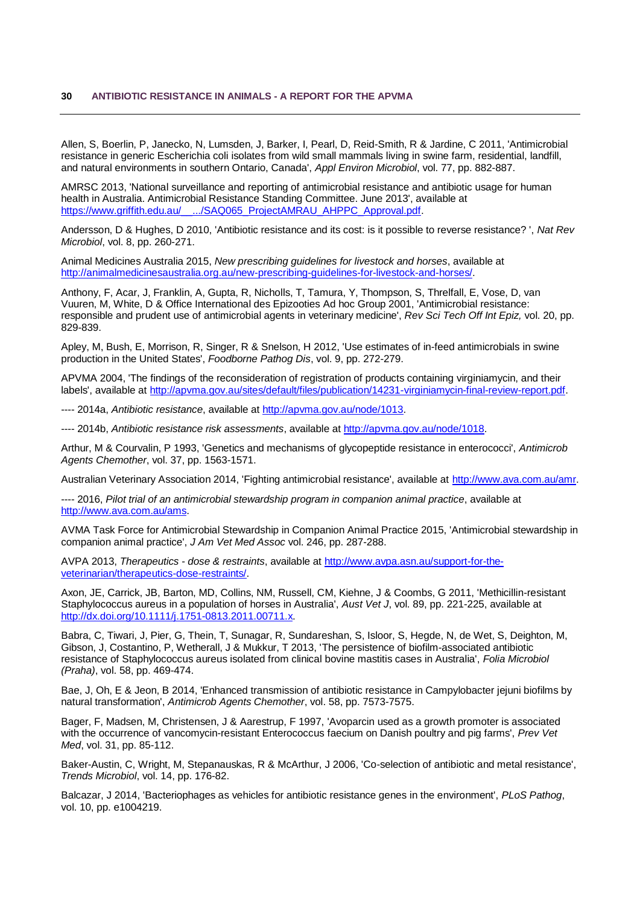<span id="page-33-2"></span>Allen, S, Boerlin, P, Janecko, N, Lumsden, J, Barker, I, Pearl, D, Reid-Smith, R & Jardine, C 2011, 'Antimicrobial resistance in generic Escherichia coli isolates from wild small mammals living in swine farm, residential, landfill, and natural environments in southern Ontario, Canada', *Appl Environ Microbiol*, vol. 77, pp. 882-887.

AMRSC 2013, 'National surveillance and reporting of antimicrobial resistance and antibiotic usage for human health in Australia. Antimicrobial Resistance Standing Committee. June 2013', available at [https://www.griffith.edu.au/\\_\\_.../SAQ065\\_ProjectAMRAU\\_AHPPC\\_Approval.pdf.](https://www.griffith.edu.au/__.../SAQ065_ProjectAMRAU_AHPPC_Approval.pdf)

Andersson, D & Hughes, D 2010, 'Antibiotic resistance and its cost: is it possible to reverse resistance? ', *Nat Rev Microbiol*, vol. 8, pp. 260-271.

Animal Medicines Australia 2015, *New prescribing guidelines for livestock and horses*, available at [http://animalmedicinesaustralia.org.au/new-prescribing-guidelines-for-livestock-and-horses/.](http://animalmedicinesaustralia.org.au/new-prescribing-guidelines-for-livestock-and-horses/)

<span id="page-33-3"></span>Anthony, F, Acar, J, Franklin, A, Gupta, R, Nicholls, T, Tamura, Y, Thompson, S, Threlfall, E, Vose, D, van Vuuren, M, White, D & Office International des Epizooties Ad hoc Group 2001, 'Antimicrobial resistance: responsible and prudent use of antimicrobial agents in veterinary medicine', *Rev Sci Tech Off Int Epiz,* vol. 20, pp. 829-839.

<span id="page-33-0"></span>Apley, M, Bush, E, Morrison, R, Singer, R & Snelson, H 2012, 'Use estimates of in-feed antimicrobials in swine production in the United States', *Foodborne Pathog Dis*, vol. 9, pp. 272-279.

APVMA 2004, 'The findings of the reconsideration of registration of products containing virginiamycin, and their labels', available at [http://apvma.gov.au/sites/default/files/publication/14231-virginiamycin-final-review-report.pdf.](http://apvma.gov.au/sites/default/files/publication/14231-virginiamycin-final-review-report.pdf)

---- 2014a, *Antibiotic resistance*, available at [http://apvma.gov.au/node/1013.](http://apvma.gov.au/node/1013)

---- 2014b, *Antibiotic resistance risk assessments*, available at [http://apvma.gov.au/node/1018.](http://apvma.gov.au/node/1018)

Arthur, M & Courvalin, P 1993, 'Genetics and mechanisms of glycopeptide resistance in enterococci', *Antimicrob Agents Chemother*, vol. 37, pp. 1563-1571.

<span id="page-33-5"></span>Australian Veterinary Association 2014, 'Fighting antimicrobial resistance', available at [http://www.ava.com.au/amr.](http://www.ava.com.au/amr)

---- 2016, *Pilot trial of an antimicrobial stewardship program in companion animal practice*, available at [http://www.ava.com.au/ams.](http://www.ava.com.au/ams)

<span id="page-33-4"></span>AVMA Task Force for Antimicrobial Stewardship in Companion Animal Practice 2015, 'Antimicrobial stewardship in companion animal practice', *J Am Vet Med Assoc* vol. 246, pp. 287-288.

AVPA 2013, *Therapeutics - dose & restraints*, available at [http://www.avpa.asn.au/support-for-the](http://www.avpa.asn.au/support-for-the-veterinarian/therapeutics-dose-restraints/)[veterinarian/therapeutics-dose-restraints/.](http://www.avpa.asn.au/support-for-the-veterinarian/therapeutics-dose-restraints/)

Axon, JE, Carrick, JB, Barton, MD, Collins, NM, Russell, CM, Kiehne, J & Coombs, G 2011, 'Methicillin-resistant Staphylococcus aureus in a population of horses in Australia', *Aust Vet J*, vol. 89, pp. 221-225, available at [http://dx.doi.org/10.1111/j.1751-0813.2011.00711.x.](http://dx.doi.org/10.1111/j.1751-0813.2011.00711.x)

Babra, C, Tiwari, J, Pier, G, Thein, T, Sunagar, R, Sundareshan, S, Isloor, S, Hegde, N, de Wet, S, Deighton, M, Gibson, J, Costantino, P, Wetherall, J & Mukkur, T 2013, 'The persistence of biofilm-associated antibiotic resistance of Staphylococcus aureus isolated from clinical bovine mastitis cases in Australia', *Folia Microbiol (Praha)*, vol. 58, pp. 469-474.

Bae, J, Oh, E & Jeon, B 2014, 'Enhanced transmission of antibiotic resistance in Campylobacter jejuni biofilms by natural transformation', *Antimicrob Agents Chemother*, vol. 58, pp. 7573-7575.

<span id="page-33-1"></span>Bager, F, Madsen, M, Christensen, J & Aarestrup, F 1997, 'Avoparcin used as a growth promoter is associated with the occurrence of vancomycin-resistant Enterococcus faecium on Danish poultry and pig farms', *Prev Vet Med*, vol. 31, pp. 85-112.

Baker-Austin, C, Wright, M, Stepanauskas, R & McArthur, J 2006, 'Co-selection of antibiotic and metal resistance', *Trends Microbiol*, vol. 14, pp. 176-82.

Balcazar, J 2014, 'Bacteriophages as vehicles for antibiotic resistance genes in the environment', *PLoS Pathog*, vol. 10, pp. e1004219.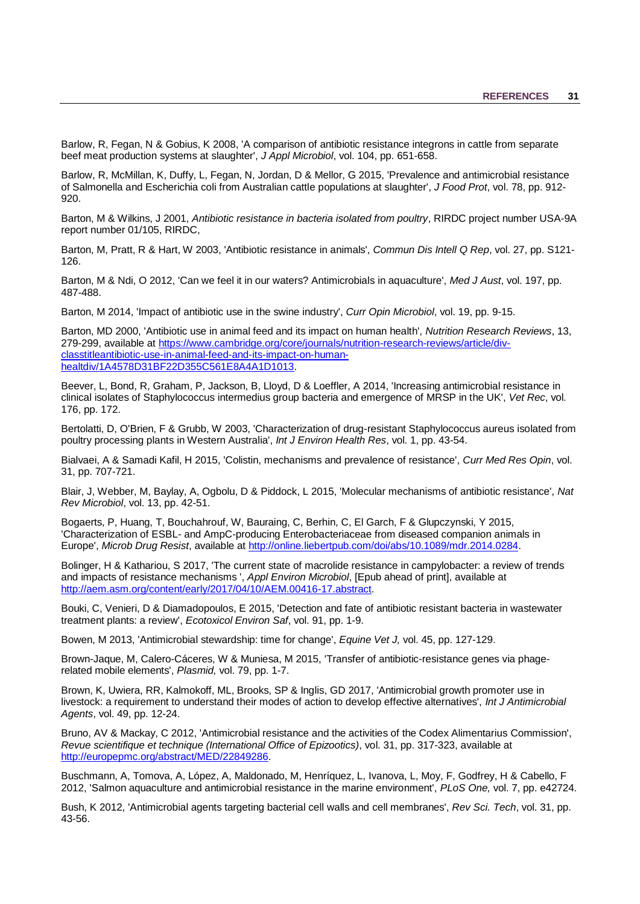Barlow, R, Fegan, N & Gobius, K 2008, 'A comparison of antibiotic resistance integrons in cattle from separate beef meat production systems at slaughter', *J Appl Microbiol*, vol. 104, pp. 651-658.

Barlow, R, McMillan, K, Duffy, L, Fegan, N, Jordan, D & Mellor, G 2015, 'Prevalence and antimicrobial resistance of Salmonella and Escherichia coli from Australian cattle populations at slaughter', *J Food Prot*, vol. 78, pp. 912- 920.

Barton, M & Wilkins, J 2001, *Antibiotic resistance in bacteria isolated from poultry*, RIRDC project number USA-9A report number 01/105, RIRDC,

Barton, M, Pratt, R & Hart, W 2003, 'Antibiotic resistance in animals', *Commun Dis Intell Q Rep*, vol. 27, pp. S121- 126.

Barton, M & Ndi, O 2012, 'Can we feel it in our waters? Antimicrobials in aquaculture', *Med J Aust*, vol. 197, pp. 487-488.

<span id="page-34-2"></span>Barton, M 2014, 'Impact of antibiotic use in the swine industry', *Curr Opin Microbiol*, vol. 19, pp. 9-15.

<span id="page-34-1"></span>Barton, MD 2000, 'Antibiotic use in animal feed and its impact on human health', *Nutrition Research Reviews*, 13, 279-299, available at [https://www.cambridge.org/core/journals/nutrition-research-reviews/article/div](https://www.cambridge.org/core/journals/nutrition-research-reviews/article/div-classtitleantibiotic-use-in-animal-feed-and-its-impact-on-human-healtdiv/1A4578D31BF22D355C561E8A4A1D1013)[classtitleantibiotic-use-in-animal-feed-and-its-impact-on-human](https://www.cambridge.org/core/journals/nutrition-research-reviews/article/div-classtitleantibiotic-use-in-animal-feed-and-its-impact-on-human-healtdiv/1A4578D31BF22D355C561E8A4A1D1013)[healtdiv/1A4578D31BF22D355C561E8A4A1D1013.](https://www.cambridge.org/core/journals/nutrition-research-reviews/article/div-classtitleantibiotic-use-in-animal-feed-and-its-impact-on-human-healtdiv/1A4578D31BF22D355C561E8A4A1D1013)

<span id="page-34-4"></span>Beever, L, Bond, R, Graham, P, Jackson, B, Lloyd, D & Loeffler, A 2014, 'Increasing antimicrobial resistance in clinical isolates of Staphylococcus intermedius group bacteria and emergence of MRSP in the UK', *Vet Rec*, vol. 176, pp. 172.

Bertolatti, D, O'Brien, F & Grubb, W 2003, 'Characterization of drug-resistant Staphylococcus aureus isolated from poultry processing plants in Western Australia', *Int J Environ Health Res*, vol. 1, pp. 43-54.

Bialvaei, A & Samadi Kafil, H 2015, 'Colistin, mechanisms and prevalence of resistance', *Curr Med Res Opin*, vol. 31, pp. 707-721.

Blair, J, Webber, M, Baylay, A, Ogbolu, D & Piddock, L 2015, 'Molecular mechanisms of antibiotic resistance', *Nat Rev Microbiol*, vol. 13, pp. 42-51.

<span id="page-34-3"></span>Bogaerts, P, Huang, T, Bouchahrouf, W, Bauraing, C, Berhin, C, El Garch, F & Glupczynski, Y 2015, 'Characterization of ESBL- and AmpC-producing Enterobacteriaceae from diseased companion animals in Europe', *Microb Drug Resist*, available at [http://online.liebertpub.com/doi/abs/10.1089/mdr.2014.0284.](http://online.liebertpub.com/doi/abs/10.1089/mdr.2014.0284)

Bolinger, H & Kathariou, S 2017, 'The current state of macrolide resistance in campylobacter: a review of trends and impacts of resistance mechanisms ', *Appl Environ Microbiol*, [Epub ahead of print], available at [http://aem.asm.org/content/early/2017/04/10/AEM.00416-17.abstract.](http://aem.asm.org/content/early/2017/04/10/AEM.00416-17.abstract)

<span id="page-34-6"></span>Bouki, C, Venieri, D & Diamadopoulos, E 2015, 'Detection and fate of antibiotic resistant bacteria in wastewater treatment plants: a review', *Ecotoxicol Environ Saf*, vol. 91, pp. 1-9.

<span id="page-34-7"></span>Bowen, M 2013, 'Antimicrobial stewardship: time for change', *Equine Vet J,* vol. 45, pp. 127-129.

Brown-Jaque, M, Calero-Cáceres, W & Muniesa, M 2015, 'Transfer of antibiotic-resistance genes via phagerelated mobile elements', *Plasmid,* vol. 79, pp. 1-7.

<span id="page-34-0"></span>Brown, K, Uwiera, RR, Kalmokoff, ML, Brooks, SP & Inglis, GD 2017, 'Antimicrobial growth promoter use in livestock: a requirement to understand their modes of action to develop effective alternatives', *Int J Antimicrobial Agents*, vol. 49, pp. 12-24.

Bruno, AV & Mackay, C 2012, 'Antimicrobial resistance and the activities of the Codex Alimentarius Commission', *Revue scientifique et technique (International Office of Epizootics)*, vol. 31, pp. 317-323, available at [http://europepmc.org/abstract/MED/22849286.](http://europepmc.org/abstract/MED/22849286)

<span id="page-34-5"></span>Buschmann, A, Tomova, A, López, A, Maldonado, M, Henríquez, L, Ivanova, L, Moy, F, Godfrey, H & Cabello, F 2012, 'Salmon aquaculture and antimicrobial resistance in the marine environment', *PLoS One,* vol. 7, pp. e42724.

Bush, K 2012, 'Antimicrobial agents targeting bacterial cell walls and cell membranes', *Rev Sci. Tech*, vol. 31, pp. 43-56.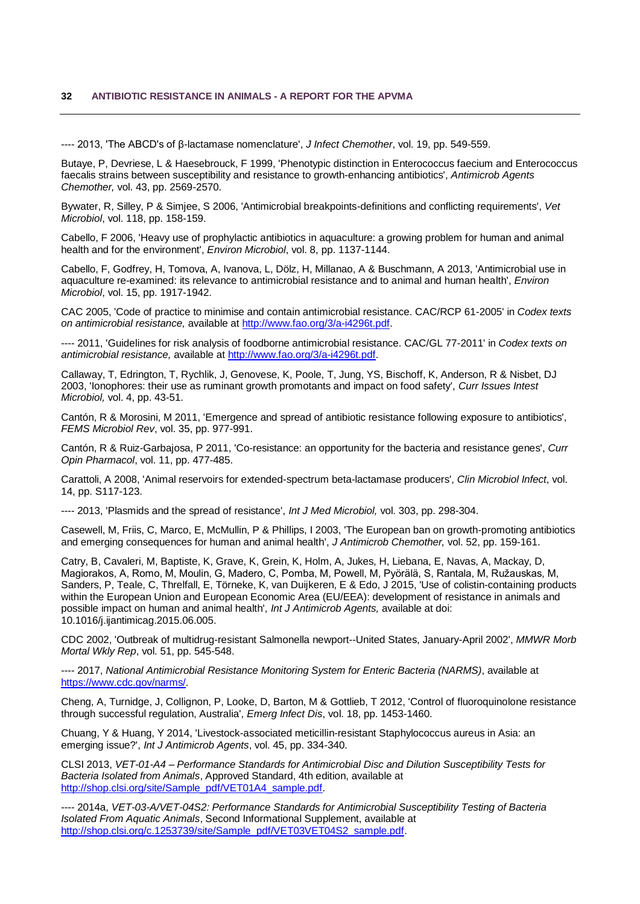<span id="page-35-4"></span>---- 2013, 'The ABCD's of β-lactamase nomenclature', *J Infect Chemother*, vol. 19, pp. 549-559.

<span id="page-35-1"></span>Butaye, P, Devriese, L & Haesebrouck, F 1999, 'Phenotypic distinction in Enterococcus faecium and Enterococcus faecalis strains between susceptibility and resistance to growth-enhancing antibiotics', *Antimicrob Agents Chemother,* vol. 43, pp. 2569-2570.

<span id="page-35-11"></span>Bywater, R, Silley, P & Simjee, S 2006, 'Antimicrobial breakpoints-definitions and conflicting requirements', *Vet Microbiol*, vol. 118, pp. 158-159.

<span id="page-35-7"></span>Cabello, F 2006, 'Heavy use of prophylactic antibiotics in aquaculture: a growing problem for human and animal health and for the environment', *Environ Microbiol*, vol. 8, pp. 1137-1144.

<span id="page-35-8"></span>Cabello, F, Godfrey, H, Tomova, A, Ivanova, L, Dölz, H, Millanao, A & Buschmann, A 2013, 'Antimicrobial use in aquaculture re-examined: its relevance to antimicrobial resistance and to animal and human health', *Environ Microbiol*, vol. 15, pp. 1917-1942.

CAC 2005, 'Code of practice to minimise and contain antimicrobial resistance. CAC/RCP 61-2005' in *Codex texts on antimicrobial resistance,* available at [http://www.fao.org/3/a-i4296t.pdf.](http://www.fao.org/3/a-i4296t.pdf)

---- 2011, 'Guidelines for risk analysis of foodborne antimicrobial resistance. CAC/GL 77-2011' in *Codex texts on antimicrobial resistance,* available at [http://www.fao.org/3/a-i4296t.pdf.](http://www.fao.org/3/a-i4296t.pdf)

<span id="page-35-0"></span>Callaway, T, Edrington, T, Rychlik, J, Genovese, K, Poole, T, Jung, YS, Bischoff, K, Anderson, R & Nisbet, DJ 2003, 'Ionophores: their use as ruminant growth promotants and impact on food safety', *Curr Issues Intest Microbiol,* vol. 4, pp. 43-51.

<span id="page-35-12"></span>Cantón, R & Morosini, M 2011, 'Emergence and spread of antibiotic resistance following exposure to antibiotics', *FEMS Microbiol Rev*, vol. 35, pp. 977-991.

Cantón, R & Ruiz-Garbajosa, P 2011, 'Co-resistance: an opportunity for the bacteria and resistance genes', *Curr Opin Pharmacol*, vol. 11, pp. 477-485.

<span id="page-35-5"></span>Carattoli, A 2008, 'Animal reservoirs for extended-spectrum beta-lactamase producers', *Clin Microbiol Infect*, vol. 14, pp. S117-123.

---- 2013, 'Plasmids and the spread of resistance', *Int J Med Microbiol,* vol. 303, pp. 298-304.

<span id="page-35-2"></span>Casewell, M, Friis, C, Marco, E, McMullin, P & Phillips, I 2003, 'The European ban on growth-promoting antibiotics and emerging consequences for human and animal health', *J Antimicrob Chemother,* vol. 52, pp. 159-161.

Catry, B, Cavaleri, M, Baptiste, K, Grave, K, Grein, K, Holm, A, Jukes, H, Liebana, E, Navas, A, Mackay, D, Magiorakos, A, Romo, M, Moulin, G, Madero, C, Pomba, M, Powell, M, Pyörälä, S, Rantala, M, Ružauskas, M, Sanders, P, Teale, C, Threlfall, E, Törneke, K, van Duijkeren, E & Edo, J 2015, 'Use of colistin-containing products within the European Union and European Economic Area (EU/EEA): development of resistance in animals and possible impact on human and animal health', *Int J Antimicrob Agents,* available at doi: 10.1016/j.ijantimicag.2015.06.005.

<span id="page-35-3"></span>CDC 2002, 'Outbreak of multidrug-resistant Salmonella newport--United States, January-April 2002', *MMWR Morb Mortal Wkly Rep*, vol. 51, pp. 545-548.

<span id="page-35-13"></span>---- 2017, *National Antimicrobial Resistance Monitoring System for Enteric Bacteria (NARMS)*, available at [https://www.cdc.gov/narms/.](https://www.cdc.gov/narms/)

Cheng, A, Turnidge, J, Collignon, P, Looke, D, Barton, M & Gottlieb, T 2012, 'Control of fluoroquinolone resistance through successful regulation, Australia', *Emerg Infect Dis*, vol. 18, pp. 1453-1460.

<span id="page-35-6"></span>Chuang, Y & Huang, Y 2014, 'Livestock-associated meticillin-resistant Staphylococcus aureus in Asia: an emerging issue?', *Int J Antimicrob Agents*, vol. 45, pp. 334-340.

<span id="page-35-10"></span>CLSI 2013, *VET-01-A4 – Performance Standards for Antimicrobial Disc and Dilution Susceptibility Tests for Bacteria Isolated from Animals*, Approved Standard, 4th edition, available at [http://shop.clsi.org/site/Sample\\_pdf/VET01A4\\_sample.pdf.](http://shop.clsi.org/site/Sample_pdf/VET01A4_sample.pdf)

<span id="page-35-9"></span>---- 2014a, *VET-03-A/VET-04S2: Performance Standards for Antimicrobial Susceptibility Testing of Bacteria Isolated From Aquatic Animals*, Second Informational Supplement, available at [http://shop.clsi.org/c.1253739/site/Sample\\_pdf/VET03VET04S2\\_sample.pdf.](http://shop.clsi.org/c.1253739/site/Sample_pdf/VET03VET04S2_sample.pdf)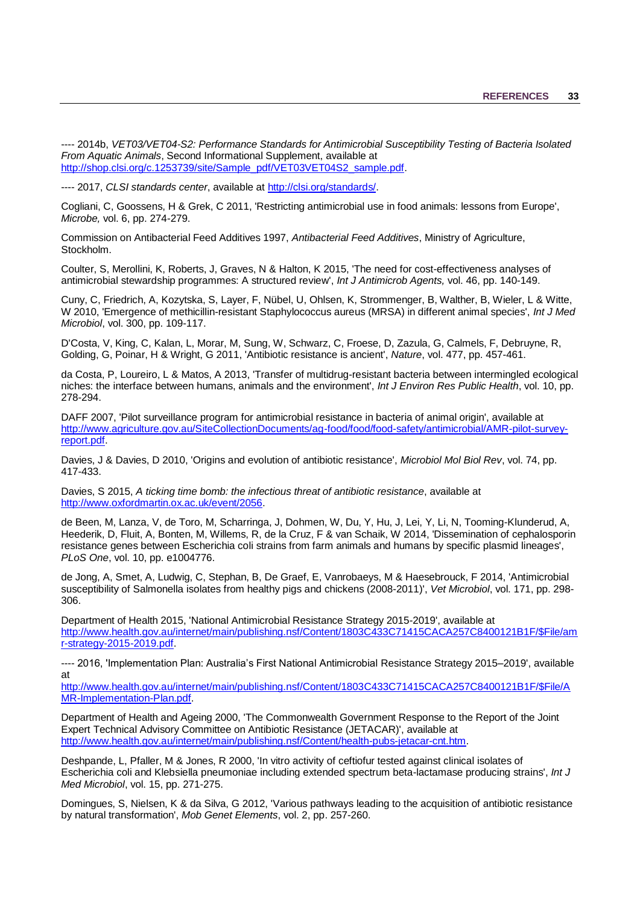<span id="page-36-6"></span>---- 2014b, *VET03/VET04-S2: Performance Standards for Antimicrobial Susceptibility Testing of Bacteria Isolated From Aquatic Animals*, Second Informational Supplement, available at [http://shop.clsi.org/c.1253739/site/Sample\\_pdf/VET03VET04S2\\_sample.pdf.](http://shop.clsi.org/c.1253739/site/Sample_pdf/VET03VET04S2_sample.pdf)

---- 2017, *CLSI standards center*, available at [http://clsi.org/standards/.](http://clsi.org/standards/)

<span id="page-36-1"></span>Cogliani, C, Goossens, H & Grek, C 2011, 'Restricting antimicrobial use in food animals: lessons from Europe', *Microbe,* vol. 6, pp. 274-279.

<span id="page-36-0"></span>Commission on Antibacterial Feed Additives 1997, *Antibacterial Feed Additives*, Ministry of Agriculture, Stockholm.

Coulter, S, Merollini, K, Roberts, J, Graves, N & Halton, K 2015, 'The need for cost-effectiveness analyses of antimicrobial stewardship programmes: A structured review', *Int J Antimicrob Agents,* vol. 46, pp. 140-149.

<span id="page-36-4"></span>Cuny, C, Friedrich, A, Kozytska, S, Layer, F, Nübel, U, Ohlsen, K, Strommenger, B, Walther, B, Wieler, L & Witte, W 2010, 'Emergence of methicillin-resistant Staphylococcus aureus (MRSA) in different animal species', *Int J Med Microbiol*, vol. 300, pp. 109-117.

D'Costa, V, King, C, Kalan, L, Morar, M, Sung, W, Schwarz, C, Froese, D, Zazula, G, Calmels, F, Debruyne, R, Golding, G, Poinar, H & Wright, G 2011, 'Antibiotic resistance is ancient', *Nature*, vol. 477, pp. 457-461.

<span id="page-36-5"></span>da Costa, P, Loureiro, L & Matos, A 2013, 'Transfer of multidrug-resistant bacteria between intermingled ecological niches: the interface between humans, animals and the environment', *Int J Environ Res Public Health*, vol. 10, pp. 278-294.

DAFF 2007, 'Pilot surveillance program for antimicrobial resistance in bacteria of animal origin', available at [http://www.agriculture.gov.au/SiteCollectionDocuments/ag-food/food/food-safety/antimicrobial/AMR-pilot-survey](http://www.agriculture.gov.au/SiteCollectionDocuments/ag-food/food/food-safety/antimicrobial/AMR-pilot-survey-report.pdf)[report.pdf.](http://www.agriculture.gov.au/SiteCollectionDocuments/ag-food/food/food-safety/antimicrobial/AMR-pilot-survey-report.pdf)

Davies, J & Davies, D 2010, 'Origins and evolution of antibiotic resistance', *Microbiol Mol Biol Rev*, vol. 74, pp. 417-433.

Davies, S 2015, *A ticking time bomb: the infectious threat of antibiotic resistance*, available at [http://www.oxfordmartin.ox.ac.uk/event/2056.](http://www.oxfordmartin.ox.ac.uk/event/2056)

de Been, M, Lanza, V, de Toro, M, Scharringa, J, Dohmen, W, Du, Y, Hu, J, Lei, Y, Li, N, Tooming-Klunderud, A, Heederik, D, Fluit, A, Bonten, M, Willems, R, de la Cruz, F & van Schaik, W 2014, 'Dissemination of cephalosporin resistance genes between Escherichia coli strains from farm animals and humans by specific plasmid lineages', *PLoS One*, vol. 10, pp. e1004776.

<span id="page-36-2"></span>de Jong, A, Smet, A, Ludwig, C, Stephan, B, De Graef, E, Vanrobaeys, M & Haesebrouck, F 2014, 'Antimicrobial susceptibility of Salmonella isolates from healthy pigs and chickens (2008-2011)', *Vet Microbiol*, vol. 171, pp. 298- 306.

Department of Health 2015, 'National Antimicrobial Resistance Strategy 2015-2019', available at [http://www.health.gov.au/internet/main/publishing.nsf/Content/1803C433C71415CACA257C8400121B1F/\\$File/am](http://www.health.gov.au/internet/main/publishing.nsf/Content/1803C433C71415CACA257C8400121B1F/$File/amr-strategy-2015-2019.pdf) [r-strategy-2015-2019.pdf.](http://www.health.gov.au/internet/main/publishing.nsf/Content/1803C433C71415CACA257C8400121B1F/$File/amr-strategy-2015-2019.pdf)

<span id="page-36-7"></span>---- 2016, 'Implementation Plan: Australia's First National Antimicrobial Resistance Strategy 2015–2019', available at

[http://www.health.gov.au/internet/main/publishing.nsf/Content/1803C433C71415CACA257C8400121B1F/\\$File/A](http://www.health.gov.au/internet/main/publishing.nsf/Content/1803C433C71415CACA257C8400121B1F/$File/AMR-Implementation-Plan.pdf) [MR-Implementation-Plan.pdf.](http://www.health.gov.au/internet/main/publishing.nsf/Content/1803C433C71415CACA257C8400121B1F/$File/AMR-Implementation-Plan.pdf)

Department of Health and Ageing 2000, 'The Commonwealth Government Response to the Report of the Joint Expert Technical Advisory Committee on Antibiotic Resistance (JETACAR)', available at [http://www.health.gov.au/internet/main/publishing.nsf/Content/health-pubs-jetacar-cnt.htm.](http://www.health.gov.au/internet/main/publishing.nsf/Content/health-pubs-jetacar-cnt.htm)

<span id="page-36-3"></span>Deshpande, L, Pfaller, M & Jones, R 2000, 'In vitro activity of ceftiofur tested against clinical isolates of Escherichia coli and Klebsiella pneumoniae including extended spectrum beta-lactamase producing strains', *Int J Med Microbiol*, vol. 15, pp. 271-275.

Domingues, S, Nielsen, K & da Silva, G 2012, 'Various pathways leading to the acquisition of antibiotic resistance by natural transformation', *Mob Genet Elements*, vol. 2, pp. 257-260.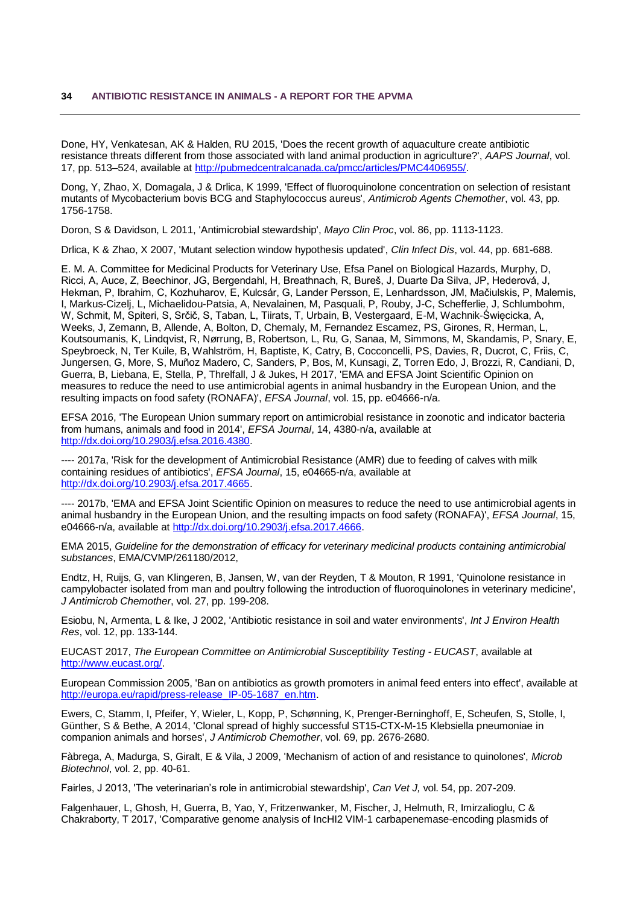<span id="page-37-4"></span>Done, HY, Venkatesan, AK & Halden, RU 2015, 'Does the recent growth of aquaculture create antibiotic resistance threats different from those associated with land animal production in agriculture?', *AAPS Journal*, vol. 17, pp. 513–524, available at [http://pubmedcentralcanada.ca/pmcc/articles/PMC4406955/.](http://pubmedcentralcanada.ca/pmcc/articles/PMC4406955/)

<span id="page-37-7"></span>Dong, Y, Zhao, X, Domagala, J & Drlica, K 1999, 'Effect of fluoroquinolone concentration on selection of resistant mutants of Mycobacterium bovis BCG and Staphylococcus aureus', *Antimicrob Agents Chemother*, vol. 43, pp. 1756-1758.

<span id="page-37-8"></span>Doron, S & Davidson, L 2011, 'Antimicrobial stewardship', *Mayo Clin Proc*, vol. 86, pp. 1113-1123.

<span id="page-37-6"></span>Drlica, K & Zhao, X 2007, 'Mutant selection window hypothesis updated', *Clin Infect Dis*, vol. 44, pp. 681-688.

E. M. A. Committee for Medicinal Products for Veterinary Use, Efsa Panel on Biological Hazards, Murphy, D, Ricci, A, Auce, Z, Beechinor, JG, Bergendahl, H, Breathnach, R, Bureš, J, Duarte Da Silva, JP, Hederová, J, Hekman, P, Ibrahim, C, Kozhuharov, E, Kulcsár, G, Lander Persson, E, Lenhardsson, JM, Mačiulskis, P, Malemis, I, Markus-Cizelj, L, Michaelidou-Patsia, A, Nevalainen, M, Pasquali, P, Rouby, J-C, Schefferlie, J, Schlumbohm, W, Schmit, M, Spiteri, S, Srčič, S, Taban, L, Tiirats, T, Urbain, B, Vestergaard, E-M, Wachnik-Święcicka, A, Weeks, J, Zemann, B, Allende, A, Bolton, D, Chemaly, M, Fernandez Escamez, PS, Girones, R, Herman, L, Koutsoumanis, K, Lindqvist, R, Nørrung, B, Robertson, L, Ru, G, Sanaa, M, Simmons, M, Skandamis, P, Snary, E, Speybroeck, N, Ter Kuile, B, Wahlström, H, Baptiste, K, Catry, B, Cocconcelli, PS, Davies, R, Ducrot, C, Friis, C, Jungersen, G, More, S, Muñoz Madero, C, Sanders, P, Bos, M, Kunsagi, Z, Torren Edo, J, Brozzi, R, Candiani, D, Guerra, B, Liebana, E, Stella, P, Threlfall, J & Jukes, H 2017, 'EMA and EFSA Joint Scientific Opinion on measures to reduce the need to use antimicrobial agents in animal husbandry in the European Union, and the resulting impacts on food safety (RONAFA)', *EFSA Journal*, vol. 15, pp. e04666-n/a.

EFSA 2016, 'The European Union summary report on antimicrobial resistance in zoonotic and indicator bacteria from humans, animals and food in 2014', *EFSA Journal*, 14, 4380-n/a, available at [http://dx.doi.org/10.2903/j.efsa.2016.4380.](http://dx.doi.org/10.2903/j.efsa.2016.4380)

---- 2017a, 'Risk for the development of Antimicrobial Resistance (AMR) due to feeding of calves with milk containing residues of antibiotics', *EFSA Journal*, 15, e04665-n/a, available at [http://dx.doi.org/10.2903/j.efsa.2017.4665.](http://dx.doi.org/10.2903/j.efsa.2017.4665)

---- 2017b, 'EMA and EFSA Joint Scientific Opinion on measures to reduce the need to use antimicrobial agents in animal husbandry in the European Union, and the resulting impacts on food safety (RONAFA)', *EFSA Journal*, 15, e04666-n/a, available at [http://dx.doi.org/10.2903/j.efsa.2017.4666.](http://dx.doi.org/10.2903/j.efsa.2017.4666)

EMA 2015, *Guideline for the demonstration of efficacy for veterinary medicinal products containing antimicrobial substances*, EMA/CVMP/261180/2012,

<span id="page-37-1"></span>Endtz, H, Ruijs, G, van Klingeren, B, Jansen, W, van der Reyden, T & Mouton, R 1991, 'Quinolone resistance in campylobacter isolated from man and poultry following the introduction of fluoroquinolones in veterinary medicine', *J Antimicrob Chemother*, vol. 27, pp. 199-208.

<span id="page-37-5"></span>Esiobu, N, Armenta, L & Ike, J 2002, 'Antibiotic resistance in soil and water environments', *Int J Environ Health Res*, vol. 12, pp. 133-144.

EUCAST 2017, *The European Committee on Antimicrobial Susceptibility Testing - EUCAST*, available at [http://www.eucast.org/.](http://www.eucast.org/)

<span id="page-37-0"></span>European Commission 2005, 'Ban on antibiotics as growth promoters in animal feed enters into effect', available at [http://europa.eu/rapid/press-release\\_IP-05-1687\\_en.htm.](http://europa.eu/rapid/press-release_IP-05-1687_en.htm)

<span id="page-37-3"></span>Ewers, C, Stamm, I, Pfeifer, Y, Wieler, L, Kopp, P, Schønning, K, Prenger-Berninghoff, E, Scheufen, S, Stolle, I, Günther, S & Bethe, A 2014, 'Clonal spread of highly successful ST15-CTX-M-15 Klebsiella pneumoniae in companion animals and horses', *J Antimicrob Chemother*, vol. 69, pp. 2676-2680.

Fàbrega, A, Madurga, S, Giralt, E & Vila, J 2009, 'Mechanism of action of and resistance to quinolones', *Microb Biotechnol*, vol. 2, pp. 40-61.

<span id="page-37-9"></span>Fairles, J 2013, 'The veterinarian's role in antimicrobial stewardship', *Can Vet J,* vol. 54, pp. 207-209.

<span id="page-37-2"></span>Falgenhauer, L, Ghosh, H, Guerra, B, Yao, Y, Fritzenwanker, M, Fischer, J, Helmuth, R, Imirzalioglu, C & Chakraborty, T 2017, 'Comparative genome analysis of IncHI2 VIM-1 carbapenemase-encoding plasmids of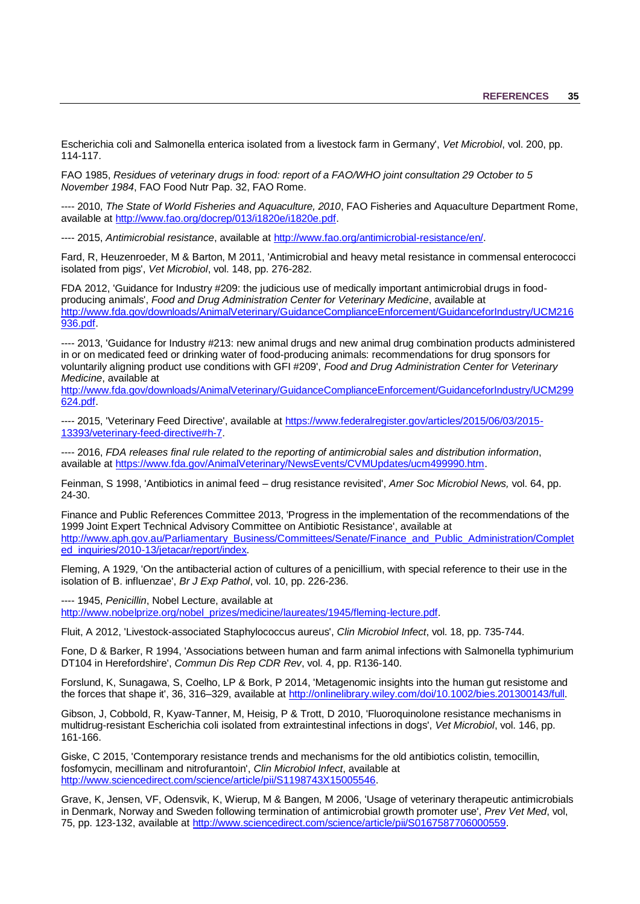Escherichia coli and Salmonella enterica isolated from a livestock farm in Germany', *Vet Microbiol*, vol. 200, pp. 114-117.

FAO 1985, *Residues of veterinary drugs in food: report of a FAO/WHO joint consultation 29 October to 5 November 1984*, FAO Food Nutr Pap. 32, FAO Rome.

<span id="page-38-4"></span>---- 2010, *The State of World Fisheries and Aquaculture, 2010*, FAO Fisheries and Aquaculture Department Rome, available at [http://www.fao.org/docrep/013/i1820e/i1820e.pdf.](http://www.fao.org/docrep/013/i1820e/i1820e.pdf)

---- 2015, *Antimicrobial resistance*, available at [http://www.fao.org/antimicrobial-resistance/en/.](http://www.fao.org/antimicrobial-resistance/en/)

Fard, R, Heuzenroeder, M & Barton, M 2011, 'Antimicrobial and heavy metal resistance in commensal enterococci isolated from pigs', *Vet Microbiol*, vol. 148, pp. 276-282.

<span id="page-38-6"></span>FDA 2012, 'Guidance for Industry #209: the judicious use of medically important antimicrobial drugs in foodproducing animals', *Food and Drug Administration Center for Veterinary Medicine*, available at [http://www.fda.gov/downloads/AnimalVeterinary/GuidanceComplianceEnforcement/GuidanceforIndustry/UCM216](http://www.fda.gov/downloads/AnimalVeterinary/GuidanceComplianceEnforcement/GuidanceforIndustry/UCM216936.pdf) [936.pdf.](http://www.fda.gov/downloads/AnimalVeterinary/GuidanceComplianceEnforcement/GuidanceforIndustry/UCM216936.pdf)

<span id="page-38-5"></span>---- 2013, 'Guidance for Industry #213: new animal drugs and new animal drug combination products administered in or on medicated feed or drinking water of food-producing animals: recommendations for drug sponsors for voluntarily aligning product use conditions with GFI #209', *Food and Drug Administration Center for Veterinary Medicine*, available at

[http://www.fda.gov/downloads/AnimalVeterinary/GuidanceComplianceEnforcement/GuidanceforIndustry/UCM299](http://www.fda.gov/downloads/AnimalVeterinary/GuidanceComplianceEnforcement/GuidanceforIndustry/UCM299624.pdf) [624.pdf.](http://www.fda.gov/downloads/AnimalVeterinary/GuidanceComplianceEnforcement/GuidanceforIndustry/UCM299624.pdf)

<span id="page-38-7"></span>---- 2015, 'Veterinary Feed Directive', available at [https://www.federalregister.gov/articles/2015/06/03/2015-](https://www.federalregister.gov/articles/2015/06/03/2015-13393/veterinary-feed-directive#h-7) [13393/veterinary-feed-directive#h-7.](https://www.federalregister.gov/articles/2015/06/03/2015-13393/veterinary-feed-directive#h-7)

<span id="page-38-8"></span>---- 2016, *FDA releases final rule related to the reporting of antimicrobial sales and distribution information*, available at [https://www.fda.gov/AnimalVeterinary/NewsEvents/CVMUpdates/ucm499990.htm.](https://www.fda.gov/AnimalVeterinary/NewsEvents/CVMUpdates/ucm499990.htm)

<span id="page-38-0"></span>Feinman, S 1998, 'Antibiotics in animal feed – drug resistance revisited', *Amer Soc Microbiol News,* vol. 64, pp. 24-30.

Finance and Public References Committee 2013, 'Progress in the implementation of the recommendations of the 1999 Joint Expert Technical Advisory Committee on Antibiotic Resistance', available at [http://www.aph.gov.au/Parliamentary\\_Business/Committees/Senate/Finance\\_and\\_Public\\_Administration/Complet](http://www.aph.gov.au/Parliamentary_Business/Committees/Senate/Finance_and_Public_Administration/Completed_inquiries/2010-13/jetacar/report/index) [ed\\_inquiries/2010-13/jetacar/report/index.](http://www.aph.gov.au/Parliamentary_Business/Committees/Senate/Finance_and_Public_Administration/Completed_inquiries/2010-13/jetacar/report/index)

Fleming, A 1929, 'On the antibacterial action of cultures of a penicillium, with special reference to their use in the isolation of B. influenzae', *Br J Exp Pathol*, vol. 10, pp. 226-236.

---- 1945, *Penicillin*, Nobel Lecture, available at [http://www.nobelprize.org/nobel\\_prizes/medicine/laureates/1945/fleming-lecture.pdf.](http://www.nobelprize.org/nobel_prizes/medicine/laureates/1945/fleming-lecture.pdf)

<span id="page-38-3"></span>Fluit, A 2012, 'Livestock-associated Staphylococcus aureus', *Clin Microbiol Infect*, vol. 18, pp. 735-744.

<span id="page-38-1"></span>Fone, D & Barker, R 1994, 'Associations between human and farm animal infections with Salmonella typhimurium DT104 in Herefordshire', *Commun Dis Rep CDR Rev*, vol. 4, pp. R136-140.

Forslund, K, Sunagawa, S, Coelho, LP & Bork, P 2014, 'Metagenomic insights into the human gut resistome and the forces that shape it', 36, 316–329, available at [http://onlinelibrary.wiley.com/doi/10.1002/bies.201300143/full.](http://onlinelibrary.wiley.com/doi/10.1002/bies.201300143/full)

Gibson, J, Cobbold, R, Kyaw-Tanner, M, Heisig, P & Trott, D 2010, 'Fluoroquinolone resistance mechanisms in multidrug-resistant Escherichia coli isolated from extraintestinal infections in dogs', *Vet Microbiol*, vol. 146, pp. 161-166.

Giske, C 2015, 'Contemporary resistance trends and mechanisms for the old antibiotics colistin, temocillin, fosfomycin, mecillinam and nitrofurantoin', *Clin Microbiol Infect*, available at [http://www.sciencedirect.com/science/article/pii/S1198743X15005546.](http://www.sciencedirect.com/science/article/pii/S1198743X15005546)

<span id="page-38-2"></span>Grave, K, Jensen, VF, Odensvik, K, Wierup, M & Bangen, M 2006, 'Usage of veterinary therapeutic antimicrobials in Denmark, Norway and Sweden following termination of antimicrobial growth promoter use', *Prev Vet Med*, vol, 75, pp. 123-132, available at [http://www.sciencedirect.com/science/article/pii/S0167587706000559.](http://www.sciencedirect.com/science/article/pii/S0167587706000559)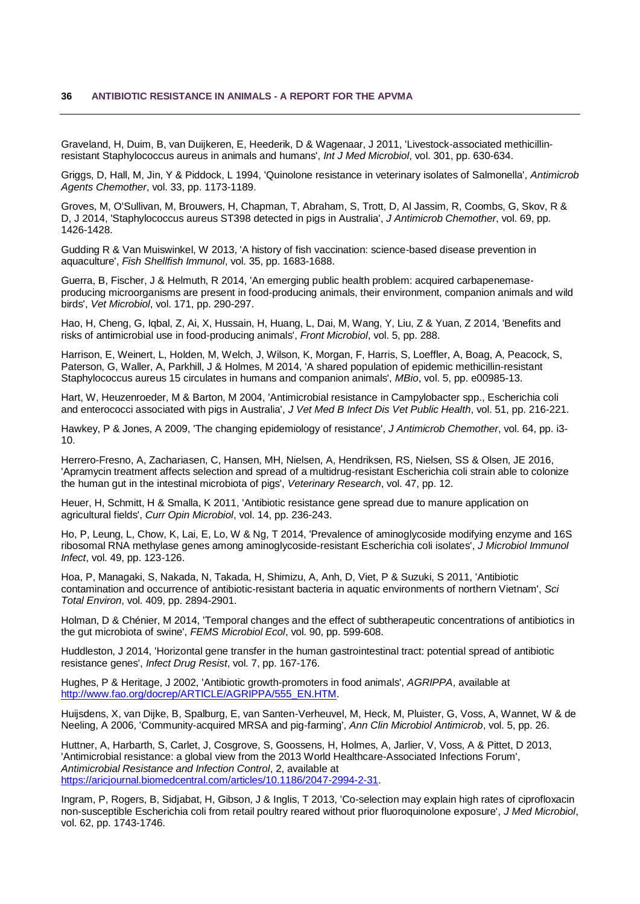<span id="page-39-4"></span>Graveland, H, Duim, B, van Duijkeren, E, Heederik, D & Wagenaar, J 2011, 'Livestock-associated methicillinresistant Staphylococcus aureus in animals and humans', *Int J Med Microbiol*, vol. 301, pp. 630-634.

<span id="page-39-1"></span>Griggs, D, Hall, M, Jin, Y & Piddock, L 1994, 'Quinolone resistance in veterinary isolates of Salmonella', *Antimicrob Agents Chemother*, vol. 33, pp. 1173-1189.

Groves, M, O'Sullivan, M, Brouwers, H, Chapman, T, Abraham, S, Trott, D, Al Jassim, R, Coombs, G, Skov, R & D, J 2014, 'Staphylococcus aureus ST398 detected in pigs in Australia', *J Antimicrob Chemother*, vol. 69, pp. 1426-1428.

<span id="page-39-5"></span>Gudding R & Van Muiswinkel, W 2013, 'A history of fish vaccination: science-based disease prevention in aquaculture', *Fish Shellfish Immunol*, vol. 35, pp. 1683-1688.

<span id="page-39-2"></span>Guerra, B, Fischer, J & Helmuth, R 2014, 'An emerging public health problem: acquired carbapenemaseproducing microorganisms are present in food-producing animals, their environment, companion animals and wild birds', *Vet Microbiol*, vol. 171, pp. 290-297.

<span id="page-39-0"></span>Hao, H, Cheng, G, Iqbal, Z, Ai, X, Hussain, H, Huang, L, Dai, M, Wang, Y, Liu, Z & Yuan, Z 2014, 'Benefits and risks of antimicrobial use in food-producing animals', *Front Microbiol*, vol. 5, pp. 288.

Harrison, E, Weinert, L, Holden, M, Welch, J, Wilson, K, Morgan, F, Harris, S, Loeffler, A, Boag, A, Peacock, S, Paterson, G, Waller, A, Parkhill, J & Holmes, M 2014, 'A shared population of epidemic methicillin-resistant Staphylococcus aureus 15 circulates in humans and companion animals', *MBio*, vol. 5, pp. e00985-13.

Hart, W, Heuzenroeder, M & Barton, M 2004, 'Antimicrobial resistance in Campylobacter spp., Escherichia coli and enterococci associated with pigs in Australia', *J Vet Med B Infect Dis Vet Public Health*, vol. 51, pp. 216-221.

Hawkey, P & Jones, A 2009, 'The changing epidemiology of resistance', *J Antimicrob Chemother*, vol. 64, pp. i3- 10.

Herrero-Fresno, A, Zachariasen, C, Hansen, MH, Nielsen, A, Hendriksen, RS, Nielsen, SS & Olsen, JE 2016, 'Apramycin treatment affects selection and spread of a multidrug-resistant Escherichia coli strain able to colonize the human gut in the intestinal microbiota of pigs', *Veterinary Research*, vol. 47, pp. 12.

<span id="page-39-7"></span>Heuer, H, Schmitt, H & Smalla, K 2011, 'Antibiotic resistance gene spread due to manure application on agricultural fields', *Curr Opin Microbiol*, vol. 14, pp. 236-243.

Ho, P, Leung, L, Chow, K, Lai, E, Lo, W & Ng, T 2014, 'Prevalence of aminoglycoside modifying enzyme and 16S ribosomal RNA methylase genes among aminoglycoside-resistant Escherichia coli isolates', *J Microbiol Immunol Infect*, vol. 49, pp. 123-126.

<span id="page-39-6"></span>Hoa, P, Managaki, S, Nakada, N, Takada, H, Shimizu, A, Anh, D, Viet, P & Suzuki, S 2011, 'Antibiotic contamination and occurrence of antibiotic-resistant bacteria in aquatic environments of northern Vietnam', *Sci Total Environ*, vol. 409, pp. 2894-2901.

Holman, D & Chénier, M 2014, 'Temporal changes and the effect of subtherapeutic concentrations of antibiotics in the gut microbiota of swine', *FEMS Microbiol Ecol*, vol. 90, pp. 599-608.

Huddleston, J 2014, 'Horizontal gene transfer in the human gastrointestinal tract: potential spread of antibiotic resistance genes', *Infect Drug Resist*, vol. 7, pp. 167-176.

Hughes, P & Heritage, J 2002, 'Antibiotic growth-promoters in food animals', *AGRIPPA*, available at [http://www.fao.org/docrep/ARTICLE/AGRIPPA/555\\_EN.HTM.](http://www.fao.org/docrep/ARTICLE/AGRIPPA/555_EN.HTM)

<span id="page-39-3"></span>Huijsdens, X, van Dijke, B, Spalburg, E, van Santen-Verheuvel, M, Heck, M, Pluister, G, Voss, A, Wannet, W & de Neeling, A 2006, 'Community-acquired MRSA and pig-farming', *Ann Clin Microbiol Antimicrob*, vol. 5, pp. 26.

Huttner, A, Harbarth, S, Carlet, J, Cosgrove, S, Goossens, H, Holmes, A, Jarlier, V, Voss, A & Pittet, D 2013, 'Antimicrobial resistance: a global view from the 2013 World Healthcare-Associated Infections Forum', *Antimicrobial Resistance and Infection Control*, 2, available at [https://aricjournal.biomedcentral.com/articles/10.1186/2047-2994-2-31.](https://aricjournal.biomedcentral.com/articles/10.1186/2047-2994-2-31)

Ingram, P, Rogers, B, Sidjabat, H, Gibson, J & Inglis, T 2013, 'Co-selection may explain high rates of ciprofloxacin non-susceptible Escherichia coli from retail poultry reared without prior fluoroquinolone exposure', *J Med Microbiol*, vol. 62, pp. 1743-1746.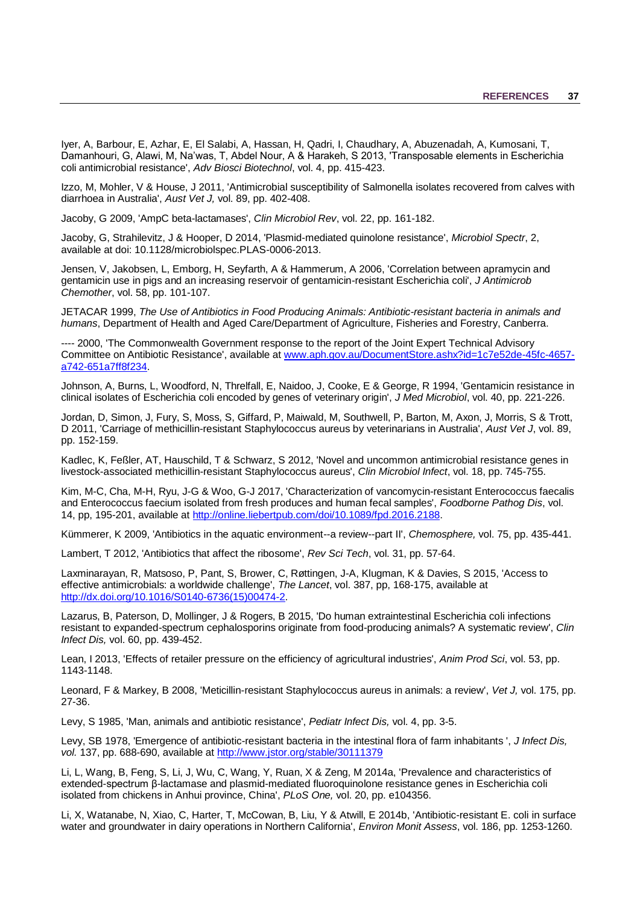Iyer, A, Barbour, E, Azhar, E, El Salabi, A, Hassan, H, Qadri, I, Chaudhary, A, Abuzenadah, A, Kumosani, T, Damanhouri, G, Alawi, M, Na'was, T, Abdel Nour, A & Harakeh, S 2013, 'Transposable elements in Escherichia coli antimicrobial resistance', *Adv Biosci Biotechnol*, vol. 4, pp. 415-423.

Izzo, M, Mohler, V & House, J 2011, 'Antimicrobial susceptibility of Salmonella isolates recovered from calves with diarrhoea in Australia', *Aust Vet J,* vol. 89, pp. 402-408.

<span id="page-40-5"></span>Jacoby, G 2009, 'AmpC beta-lactamases', *Clin Microbiol Rev*, vol. 22, pp. 161-182.

Jacoby, G, Strahilevitz, J & Hooper, D 2014, 'Plasmid-mediated quinolone resistance', *Microbiol Spectr*, 2, available at doi: 10.1128/microbiolspec.PLAS-0006-2013.

Jensen, V, Jakobsen, L, Emborg, H, Seyfarth, A & Hammerum, A 2006, 'Correlation between apramycin and gentamicin use in pigs and an increasing reservoir of gentamicin-resistant Escherichia coli', *J Antimicrob Chemother*, vol. 58, pp. 101-107.

JETACAR 1999, *The Use of Antibiotics in Food Producing Animals: Antibiotic-resistant bacteria in animals and humans*, Department of Health and Aged Care/Department of Agriculture, Fisheries and Forestry, Canberra.

---- 2000, 'The Commonwealth Government response to the report of the Joint Expert Technical Advisory Committee on Antibiotic Resistance', available at [www.aph.gov.au/DocumentStore.ashx?id=1c7e52de-45fc-4657](http://www.aph.gov.au/DocumentStore.ashx?id=1c7e52de-45fc-4657-a742-651a7ff8f234) [a742-651a7ff8f234.](http://www.aph.gov.au/DocumentStore.ashx?id=1c7e52de-45fc-4657-a742-651a7ff8f234)

Johnson, A, Burns, L, Woodford, N, Threlfall, E, Naidoo, J, Cooke, E & George, R 1994, 'Gentamicin resistance in clinical isolates of Escherichia coli encoded by genes of veterinary origin', *J Med Microbiol*, vol. 40, pp. 221-226.

Jordan, D, Simon, J, Fury, S, Moss, S, Giffard, P, Maiwald, M, Southwell, P, Barton, M, Axon, J, Morris, S & Trott, D 2011, 'Carriage of methicillin-resistant Staphylococcus aureus by veterinarians in Australia', *Aust Vet J*, vol. 89, pp. 152-159.

<span id="page-40-9"></span>Kadlec, K, Feßler, AT, Hauschild, T & Schwarz, S 2012, 'Novel and uncommon antimicrobial resistance genes in livestock-associated methicillin-resistant Staphylococcus aureus', *Clin Microbiol Infect*, vol. 18, pp. 745-755.

<span id="page-40-4"></span>Kim, M-C, Cha, M-H, Ryu, J-G & Woo, G-J 2017, 'Characterization of vancomycin-resistant Enterococcus faecalis and Enterococcus faecium isolated from fresh produces and human fecal samples', *Foodborne Pathog Dis*, vol. 14, pp, 195-201, available at [http://online.liebertpub.com/doi/10.1089/fpd.2016.2188.](http://online.liebertpub.com/doi/10.1089/fpd.2016.2188)

<span id="page-40-11"></span>Kümmerer, K 2009, 'Antibiotics in the aquatic environment--a review--part II', *Chemosphere,* vol. 75, pp. 435-441.

Lambert, T 2012, 'Antibiotics that affect the ribosome', *Rev Sci Tech*, vol. 31, pp. 57-64.

<span id="page-40-0"></span>Laxminarayan, R, Matsoso, P, Pant, S, Brower, C, Røttingen, J-A, Klugman, K & Davies, S 2015, 'Access to effective antimicrobials: a worldwide challenge', *The Lancet*, vol. 387, pp, 168-175, available at [http://dx.doi.org/10.1016/S0140-6736\(15\)00474-2.](http://dx.doi.org/10.1016/S0140-6736(15)00474-2)

<span id="page-40-6"></span>Lazarus, B, Paterson, D, Mollinger, J & Rogers, B 2015, 'Do human extraintestinal Escherichia coli infections resistant to expanded-spectrum cephalosporins originate from food-producing animals? A systematic review', *Clin Infect Dis,* vol. 60, pp. 439-452.

<span id="page-40-3"></span>Lean, I 2013, 'Effects of retailer pressure on the efficiency of agricultural industries', *Anim Prod Sci*, vol. 53, pp. 1143-1148.

<span id="page-40-8"></span>Leonard, F & Markey, B 2008, 'Meticillin-resistant Staphylococcus aureus in animals: a review', *Vet J,* vol. 175, pp. 27-36.

<span id="page-40-1"></span>Levy, S 1985, 'Man, animals and antibiotic resistance', *Pediatr Infect Dis,* vol. 4, pp. 3-5.

<span id="page-40-2"></span>Levy, SB 1978, 'Emergence of antibiotic-resistant bacteria in the intestinal flora of farm inhabitants ', *J Infect Dis, vol.* 137, pp. 688-690, available at<http://www.jstor.org/stable/30111379>

<span id="page-40-7"></span>Li, L, Wang, B, Feng, S, Li, J, Wu, C, Wang, Y, Ruan, X & Zeng, M 2014a, 'Prevalence and characteristics of extended-spectrum β-lactamase and plasmid-mediated fluoroquinolone resistance genes in Escherichia coli isolated from chickens in Anhui province, China', *PLoS One,* vol. 20, pp. e104356.

<span id="page-40-10"></span>Li, X, Watanabe, N, Xiao, C, Harter, T, McCowan, B, Liu, Y & Atwill, E 2014b, 'Antibiotic-resistant E. coli in surface water and groundwater in dairy operations in Northern California', *Environ Monit Assess*, vol. 186, pp. 1253-1260.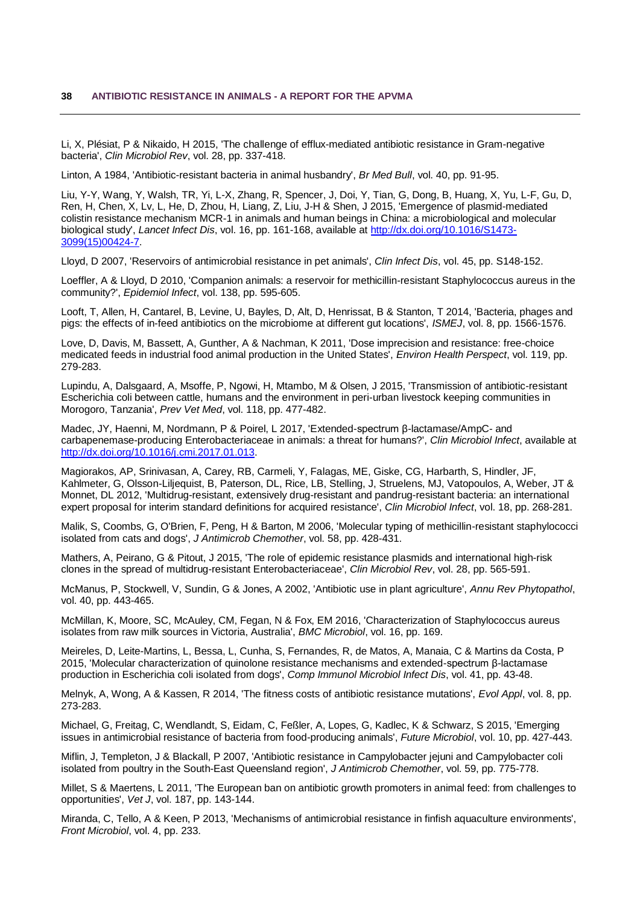Li, X, Plésiat, P & Nikaido, H 2015, 'The challenge of efflux-mediated antibiotic resistance in Gram-negative bacteria', *Clin Microbiol Rev*, vol. 28, pp. 337-418.

<span id="page-41-1"></span>Linton, A 1984, 'Antibiotic-resistant bacteria in animal husbandry', *Br Med Bull*, vol. 40, pp. 91-95.

Liu, Y-Y, Wang, Y, Walsh, TR, Yi, L-X, Zhang, R, Spencer, J, Doi, Y, Tian, G, Dong, B, Huang, X, Yu, L-F, Gu, D, Ren, H, Chen, X, Lv, L, He, D, Zhou, H, Liang, Z, Liu, J-H & Shen, J 2015, 'Emergence of plasmid-mediated colistin resistance mechanism MCR-1 in animals and human beings in China: a microbiological and molecular biological study', *Lancet Infect Dis*, vol. 16, pp. 161-168, available at [http://dx.doi.org/10.1016/S1473-](http://dx.doi.org/10.1016/S1473-3099(15)00424-7) [3099\(15\)00424-7.](http://dx.doi.org/10.1016/S1473-3099(15)00424-7)

<span id="page-41-6"></span>Lloyd, D 2007, 'Reservoirs of antimicrobial resistance in pet animals', *Clin Infect Dis*, vol. 45, pp. S148-152.

<span id="page-41-7"></span>Loeffler, A & Lloyd, D 2010, 'Companion animals: a reservoir for methicillin-resistant Staphylococcus aureus in the community?', *Epidemiol Infect*, vol. 138, pp. 595-605.

Looft, T, Allen, H, Cantarel, B, Levine, U, Bayles, D, Alt, D, Henrissat, B & Stanton, T 2014, 'Bacteria, phages and pigs: the effects of in-feed antibiotics on the microbiome at different gut locations', *ISMEJ*, vol. 8, pp. 1566-1576.

<span id="page-41-0"></span>Love, D, Davis, M, Bassett, A, Gunther, A & Nachman, K 2011, 'Dose imprecision and resistance: free-choice medicated feeds in industrial food animal production in the United States', *Environ Health Perspect*, vol. 119, pp. 279-283.

Lupindu, A, Dalsgaard, A, Msoffe, P, Ngowi, H, Mtambo, M & Olsen, J 2015, 'Transmission of antibiotic-resistant Escherichia coli between cattle, humans and the environment in peri-urban livestock keeping communities in Morogoro, Tanzania', *Prev Vet Med*, vol. 118, pp. 477-482.

<span id="page-41-3"></span>Madec, JY, Haenni, M, Nordmann, P & Poirel, L 2017, 'Extended-spectrum β-lactamase/AmpC- and carbapenemase-producing Enterobacteriaceae in animals: a threat for humans?', *Clin Microbiol Infect*, available at [http://dx.doi.org/10.1016/j.cmi.2017.01.013.](http://dx.doi.org/10.1016/j.cmi.2017.01.013)

Magiorakos, AP, Srinivasan, A, Carey, RB, Carmeli, Y, Falagas, ME, Giske, CG, Harbarth, S, Hindler, JF, Kahlmeter, G, Olsson-Liljequist, B, Paterson, DL, Rice, LB, Stelling, J, Struelens, MJ, Vatopoulos, A, Weber, JT & Monnet, DL 2012, 'Multidrug-resistant, extensively drug-resistant and pandrug-resistant bacteria: an international expert proposal for interim standard definitions for acquired resistance', *Clin Microbiol Infect*, vol. 18, pp. 268-281.

Malik, S, Coombs, G, O'Brien, F, Peng, H & Barton, M 2006, 'Molecular typing of methicillin-resistant staphylococci isolated from cats and dogs', *J Antimicrob Chemother*, vol. 58, pp. 428-431.

<span id="page-41-5"></span>Mathers, A, Peirano, G & Pitout, J 2015, 'The role of epidemic resistance plasmids and international high-risk clones in the spread of multidrug-resistant Enterobacteriaceae', *Clin Microbiol Rev*, vol. 28, pp. 565-591.

<span id="page-41-9"></span>McManus, P, Stockwell, V, Sundin, G & Jones, A 2002, 'Antibiotic use in plant agriculture', *Annu Rev Phytopathol*, vol. 40, pp. 443-465.

McMillan, K, Moore, SC, McAuley, CM, Fegan, N & Fox, EM 2016, 'Characterization of Staphylococcus aureus isolates from raw milk sources in Victoria, Australia', *BMC Microbiol*, vol. 16, pp. 169.

Meireles, D, Leite-Martins, L, Bessa, L, Cunha, S, Fernandes, R, de Matos, A, Manaia, C & Martins da Costa, P 2015, 'Molecular characterization of quinolone resistance mechanisms and extended-spectrum β-lactamase production in Escherichia coli isolated from dogs', *Comp Immunol Microbiol Infect Dis*, vol. 41, pp. 43-48.

Melnyk, A, Wong, A & Kassen, R 2014, 'The fitness costs of antibiotic resistance mutations', *Evol Appl*, vol. 8, pp. 273-283.

<span id="page-41-4"></span>Michael, G, Freitag, C, Wendlandt, S, Eidam, C, Feßler, A, Lopes, G, Kadlec, K & Schwarz, S 2015, 'Emerging issues in antimicrobial resistance of bacteria from food-producing animals', *Future Microbiol*, vol. 10, pp. 427-443.

Miflin, J, Templeton, J & Blackall, P 2007, 'Antibiotic resistance in Campylobacter jejuni and Campylobacter coli isolated from poultry in the South-East Queensland region', *J Antimicrob Chemother*, vol. 59, pp. 775-778.

<span id="page-41-2"></span>Millet, S & Maertens, L 2011, 'The European ban on antibiotic growth promoters in animal feed: from challenges to opportunities', *Vet J*, vol. 187, pp. 143-144.

<span id="page-41-8"></span>Miranda, C, Tello, A & Keen, P 2013, 'Mechanisms of antimicrobial resistance in finfish aquaculture environments', *Front Microbiol*, vol. 4, pp. 233.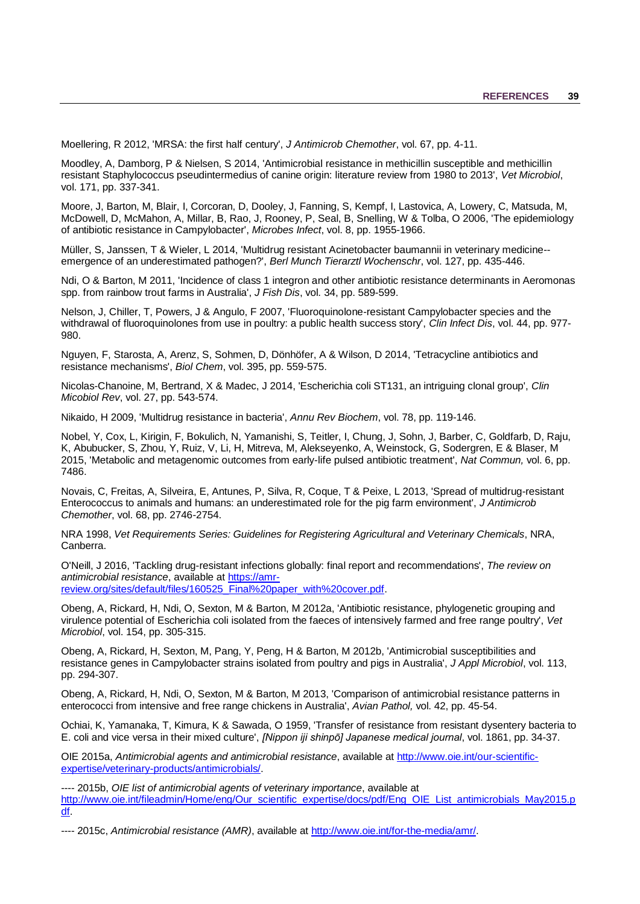<span id="page-42-4"></span>Moellering, R 2012, 'MRSA: the first half century', *J Antimicrob Chemother*, vol. 67, pp. 4-11.

<span id="page-42-5"></span>Moodley, A, Damborg, P & Nielsen, S 2014, 'Antimicrobial resistance in methicillin susceptible and methicillin resistant Staphylococcus pseudintermedius of canine origin: literature review from 1980 to 2013', *Vet Microbiol*, vol. 171, pp. 337-341.

<span id="page-42-2"></span><span id="page-42-0"></span>Moore, J, Barton, M, Blair, I, Corcoran, D, Dooley, J, Fanning, S, Kempf, I, Lastovica, A, Lowery, C, Matsuda, M, McDowell, D, McMahon, A, Millar, B, Rao, J, Rooney, P, Seal, B, Snelling, W & Tolba, O 2006, 'The epidemiology of antibiotic resistance in Campylobacter', *Microbes Infect*, vol. 8, pp. 1955-1966.

<span id="page-42-3"></span>Müller, S, Janssen, T & Wieler, L 2014, 'Multidrug resistant Acinetobacter baumannii in veterinary medicine- emergence of an underestimated pathogen?', *Berl Munch Tierarztl Wochenschr*, vol. 127, pp. 435-446.

Ndi, O & Barton, M 2011, 'Incidence of class 1 integron and other antibiotic resistance determinants in Aeromonas spp. from rainbow trout farms in Australia', *J Fish Dis*, vol. 34, pp. 589-599.

<span id="page-42-1"></span>Nelson, J, Chiller, T, Powers, J & Angulo, F 2007, 'Fluoroquinolone-resistant Campylobacter species and the withdrawal of fluoroquinolones from use in poultry: a public health success story', *Clin Infect Dis*, vol. 44, pp. 977- 980.

Nguyen, F, Starosta, A, Arenz, S, Sohmen, D, Dönhöfer, A & Wilson, D 2014, 'Tetracycline antibiotics and resistance mechanisms', *Biol Chem*, vol. 395, pp. 559-575.

Nicolas-Chanoine, M, Bertrand, X & Madec, J 2014, 'Escherichia coli ST131, an intriguing clonal group', *Clin Micobiol Rev*, vol. 27, pp. 543-574.

Nikaido, H 2009, 'Multidrug resistance in bacteria', *Annu Rev Biochem*, vol. 78, pp. 119-146.

Nobel, Y, Cox, L, Kirigin, F, Bokulich, N, Yamanishi, S, Teitler, I, Chung, J, Sohn, J, Barber, C, Goldfarb, D, Raju, K, Abubucker, S, Zhou, Y, Ruiz, V, Li, H, Mitreva, M, Alekseyenko, A, Weinstock, G, Sodergren, E & Blaser, M 2015, 'Metabolic and metagenomic outcomes from early-life pulsed antibiotic treatment', *Nat Commun,* vol. 6, pp. 7486.

<span id="page-42-6"></span>Novais, C, Freitas, A, Silveira, E, Antunes, P, Silva, R, Coque, T & Peixe, L 2013, 'Spread of multidrug-resistant Enterococcus to animals and humans: an underestimated role for the pig farm environment', *J Antimicrob Chemother*, vol. 68, pp. 2746-2754.

NRA 1998, *Vet Requirements Series: Guidelines for Registering Agricultural and Veterinary Chemicals*, NRA, Canberra.

O'Neill, J 2016, 'Tackling drug-resistant infections globally: final report and recommendations', *The review on antimicrobial resistance*, available at [https://amr](https://amr-review.org/sites/default/files/160525_Final%20paper_with%20cover.pdf)[review.org/sites/default/files/160525\\_Final%20paper\\_with%20cover.pdf.](https://amr-review.org/sites/default/files/160525_Final%20paper_with%20cover.pdf)

Obeng, A, Rickard, H, Ndi, O, Sexton, M & Barton, M 2012a, 'Antibiotic resistance, phylogenetic grouping and virulence potential of Escherichia coli isolated from the faeces of intensively farmed and free range poultry', *Vet Microbiol*, vol. 154, pp. 305-315.

Obeng, A, Rickard, H, Sexton, M, Pang, Y, Peng, H & Barton, M 2012b, 'Antimicrobial susceptibilities and resistance genes in Campylobacter strains isolated from poultry and pigs in Australia', *J Appl Microbiol*, vol. 113, pp. 294-307.

Obeng, A, Rickard, H, Ndi, O, Sexton, M & Barton, M 2013, 'Comparison of antimicrobial resistance patterns in enterococci from intensive and free range chickens in Australia', *Avian Pathol,* vol. 42, pp. 45-54.

Ochiai, K, Yamanaka, T, Kimura, K & Sawada, O 1959, 'Transfer of resistance from resistant dysentery bacteria to E. coli and vice versa in their mixed culture', *[Nippon iji shinpō] Japanese medical journal*, vol. 1861, pp. 34-37.

<span id="page-42-8"></span>OIE 2015a, *Antimicrobial agents and antimicrobial resistance*, available at [http://www.oie.int/our-scientific](http://www.oie.int/our-scientific-expertise/veterinary-products/antimicrobials/)[expertise/veterinary-products/antimicrobials/.](http://www.oie.int/our-scientific-expertise/veterinary-products/antimicrobials/)

<span id="page-42-9"></span>---- 2015b, *OIE list of antimicrobial agents of veterinary importance*, available at [http://www.oie.int/fileadmin/Home/eng/Our\\_scientific\\_expertise/docs/pdf/Eng\\_OIE\\_List\\_antimicrobials\\_May2015.p](http://www.oie.int/fileadmin/Home/eng/Our_scientific_expertise/docs/pdf/Eng_OIE_List_antimicrobials_May2015.pdf) [df.](http://www.oie.int/fileadmin/Home/eng/Our_scientific_expertise/docs/pdf/Eng_OIE_List_antimicrobials_May2015.pdf)

<span id="page-42-7"></span>---- 2015c, *Antimicrobial resistance (AMR)*, available at [http://www.oie.int/for-the-media/amr/.](http://www.oie.int/for-the-media/amr/)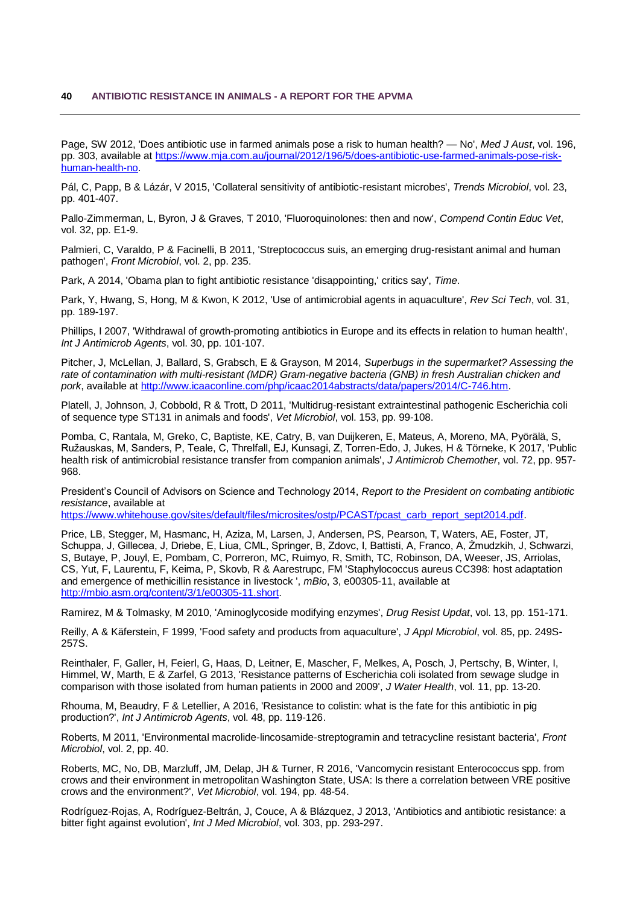Page, SW 2012, 'Does antibiotic use in farmed animals pose a risk to human health? — No', *Med J Aust*, vol. 196, pp. 303, available at [https://www.mja.com.au/journal/2012/196/5/does-antibiotic-use-farmed-animals-pose-risk](https://www.mja.com.au/journal/2012/196/5/does-antibiotic-use-farmed-animals-pose-risk-human-health-no)[human-health-no.](https://www.mja.com.au/journal/2012/196/5/does-antibiotic-use-farmed-animals-pose-risk-human-health-no)

Pál, C, Papp, B & Lázár, V 2015, 'Collateral sensitivity of antibiotic-resistant microbes', *Trends Microbiol*, vol. 23, pp. 401-407.

<span id="page-43-3"></span>Pallo-Zimmerman, L, Byron, J & Graves, T 2010, 'Fluoroquinolones: then and now', *Compend Contin Educ Vet*, vol. 32, pp. E1-9.

<span id="page-43-2"></span>Palmieri, C, Varaldo, P & Facinelli, B 2011, 'Streptococcus suis, an emerging drug-resistant animal and human pathogen', *Front Microbiol*, vol. 2, pp. 235.

<span id="page-43-9"></span>Park, A 2014, 'Obama plan to fight antibiotic resistance 'disappointing,' critics say', *Time*.

<span id="page-43-7"></span>Park, Y, Hwang, S, Hong, M & Kwon, K 2012, 'Use of antimicrobial agents in aquaculture', *Rev Sci Tech*, vol. 31, pp. 189-197.

<span id="page-43-0"></span>Phillips, I 2007, 'Withdrawal of growth-promoting antibiotics in Europe and its effects in relation to human health', *Int J Antimicrob Agents*, vol. 30, pp. 101-107.

Pitcher, J, McLellan, J, Ballard, S, Grabsch, E & Grayson, M 2014, *Superbugs in the supermarket? Assessing the rate of contamination with multi-resistant (MDR) Gram-negative bacteria (GNB) in fresh Australian chicken and pork*, available at [http://www.icaaconline.com/php/icaac2014abstracts/data/papers/2014/C-746.htm.](http://www.icaaconline.com/php/icaac2014abstracts/data/papers/2014/C-746.htm)

<span id="page-43-4"></span>Platell, J, Johnson, J, Cobbold, R & Trott, D 2011, 'Multidrug-resistant extraintestinal pathogenic Escherichia coli of sequence type ST131 in animals and foods', *Vet Microbiol*, vol. 153, pp. 99-108.

Pomba, C, Rantala, M, Greko, C, Baptiste, KE, Catry, B, van Duijkeren, E, Mateus, A, Moreno, MA, Pyörälä, S, Ružauskas, M, Sanders, P, Teale, C, Threlfall, EJ, Kunsagi, Z, Torren-Edo, J, Jukes, H & Törneke, K 2017, 'Public health risk of antimicrobial resistance transfer from companion animals', *J Antimicrob Chemother*, vol. 72, pp. 957- 968.

President's Council of Advisors on Science and Technology 2014, *Report to the President on combating antibiotic resistance*, available at

[https://www.whitehouse.gov/sites/default/files/microsites/ostp/PCAST/pcast\\_carb\\_report\\_sept2014.pdf.](https://www.whitehouse.gov/sites/default/files/microsites/ostp/PCAST/pcast_carb_report_sept2014.pdf)

<span id="page-43-5"></span>Price, LB, Stegger, M, Hasmanc, H, Aziza, M, Larsen, J, Andersen, PS, Pearson, T, Waters, AE, Foster, JT, Schuppa, J, Gillecea, J, Driebe, E, Liua, CML, Springer, B, Zdovc, I, Battisti, A, Franco, A, Żmudzkih, J, Schwarzi, S, Butaye, P, Jouyl, E, Pombam, C, Porreron, MC, Ruimyo, R, Smith, TC, Robinson, DA, Weeser, JS, Arriolas, CS, Yut, F, Laurentu, F, Keima, P, Skovb, R & Aarestrupc, FM 'Staphylococcus aureus CC398: host adaptation and emergence of methicillin resistance in livestock ', *mBio*, 3, e00305-11, available at [http://mbio.asm.org/content/3/1/e00305-11.short.](http://mbio.asm.org/content/3/1/e00305-11.short)

Ramirez, M & Tolmasky, M 2010, 'Aminoglycoside modifying enzymes', *Drug Resist Updat*, vol. 13, pp. 151-171.

<span id="page-43-6"></span>Reilly, A & Käferstein, F 1999, 'Food safety and products from aquaculture', *J Appl Microbiol*, vol. 85, pp. 249S-257S.

<span id="page-43-8"></span>Reinthaler, F, Galler, H, Feierl, G, Haas, D, Leitner, E, Mascher, F, Melkes, A, Posch, J, Pertschy, B, Winter, I, Himmel, W, Marth, E & Zarfel, G 2013, 'Resistance patterns of Escherichia coli isolated from sewage sludge in comparison with those isolated from human patients in 2000 and 2009', *J Water Health*, vol. 11, pp. 13-20.

Rhouma, M, Beaudry, F & Letellier, A 2016, 'Resistance to colistin: what is the fate for this antibiotic in pig production?', *Int J Antimicrob Agents*, vol. 48, pp. 119-126.

Roberts, M 2011, 'Environmental macrolide-lincosamide-streptogramin and tetracycline resistant bacteria', *Front Microbiol*, vol. 2, pp. 40.

<span id="page-43-1"></span>Roberts, MC, No, DB, Marzluff, JM, Delap, JH & Turner, R 2016, 'Vancomycin resistant Enterococcus spp. from crows and their environment in metropolitan Washington State, USA: Is there a correlation between VRE positive crows and the environment?', *Vet Microbiol*, vol. 194, pp. 48-54.

Rodríguez-Rojas, A, Rodríguez-Beltrán, J, Couce, A & Blázquez, J 2013, 'Antibiotics and antibiotic resistance: a bitter fight against evolution', *Int J Med Microbiol*, vol. 303, pp. 293-297.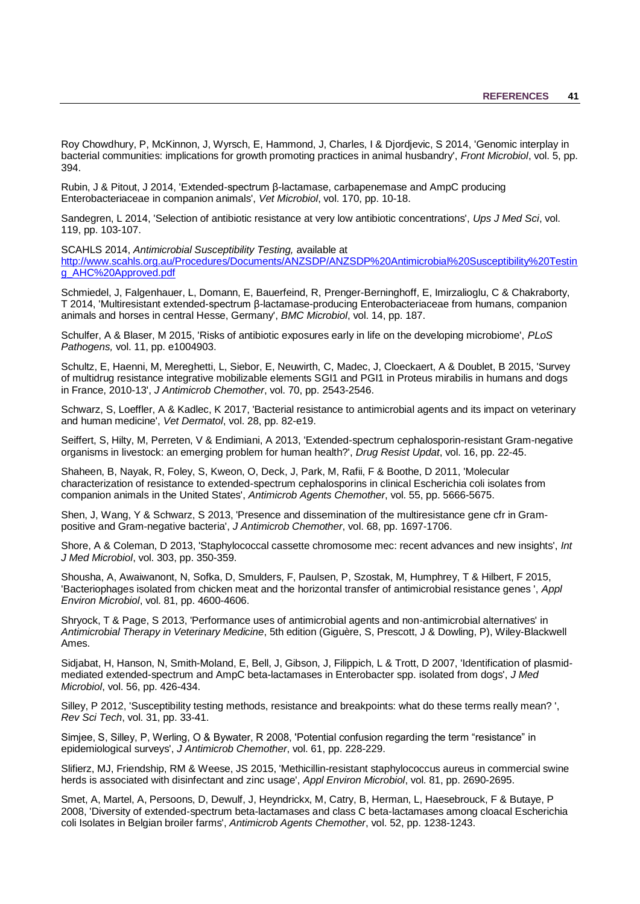Roy Chowdhury, P, McKinnon, J, Wyrsch, E, Hammond, J, Charles, I & Djordjevic, S 2014, 'Genomic interplay in bacterial communities: implications for growth promoting practices in animal husbandry', *Front Microbiol*, vol. 5, pp. 394.

<span id="page-44-3"></span>Rubin, J & Pitout, J 2014, 'Extended-spectrum β-lactamase, carbapenemase and AmpC producing Enterobacteriaceae in companion animals', *Vet Microbiol*, vol. 170, pp. 10-18.

Sandegren, L 2014, 'Selection of antibiotic resistance at very low antibiotic concentrations', *Ups J Med Sci*, vol. 119, pp. 103-107.

<span id="page-44-8"></span>SCAHLS 2014, *Antimicrobial Susceptibility Testing,* available at

[http://www.scahls.org.au/Procedures/Documents/ANZSDP/ANZSDP%20Antimicrobial%20Susceptibility%20Testin](http://www.scahls.org.au/Procedures/Documents/ANZSDP/ANZSDP%20Antimicrobial%20Susceptibility%20Testing_AHC%20Approved.pdf) [g\\_AHC%20Approved.pdf](http://www.scahls.org.au/Procedures/Documents/ANZSDP/ANZSDP%20Antimicrobial%20Susceptibility%20Testing_AHC%20Approved.pdf)

<span id="page-44-1"></span>Schmiedel, J, Falgenhauer, L, Domann, E, Bauerfeind, R, Prenger-Berninghoff, E, Imirzalioglu, C & Chakraborty, T 2014, 'Multiresistant extended-spectrum β-lactamase-producing Enterobacteriaceae from humans, companion animals and horses in central Hesse, Germany', *BMC Microbiol*, vol. 14, pp. 187.

Schulfer, A & Blaser, M 2015, 'Risks of antibiotic exposures early in life on the developing microbiome', *PLoS Pathogens,* vol. 11, pp. e1004903.

<span id="page-44-5"></span>Schultz, E, Haenni, M, Mereghetti, L, Siebor, E, Neuwirth, C, Madec, J, Cloeckaert, A & Doublet, B 2015, 'Survey of multidrug resistance integrative mobilizable elements SGI1 and PGI1 in Proteus mirabilis in humans and dogs in France, 2010-13', *J Antimicrob Chemother*, vol. 70, pp. 2543-2546.

Schwarz, S, Loeffler, A & Kadlec, K 2017, 'Bacterial resistance to antimicrobial agents and its impact on veterinary and human medicine', *Vet Dermatol*, vol. 28, pp. 82-e19.

<span id="page-44-6"></span>Seiffert, S, Hilty, M, Perreten, V & Endimiani, A 2013, 'Extended-spectrum cephalosporin-resistant Gram-negative organisms in livestock: an emerging problem for human health?', *Drug Resist Updat*, vol. 16, pp. 22-45.

<span id="page-44-4"></span>Shaheen, B, Nayak, R, Foley, S, Kweon, O, Deck, J, Park, M, Rafii, F & Boothe, D 2011, 'Molecular characterization of resistance to extended-spectrum cephalosporins in clinical Escherichia coli isolates from companion animals in the United States', *Antimicrob Agents Chemother*, vol. 55, pp. 5666-5675.

<span id="page-44-0"></span>Shen, J, Wang, Y & Schwarz, S 2013, 'Presence and dissemination of the multiresistance gene cfr in Grampositive and Gram-negative bacteria', *J Antimicrob Chemother*, vol. 68, pp. 1697-1706.

Shore, A & Coleman, D 2013, 'Staphylococcal cassette chromosome mec: recent advances and new insights', *Int J Med Microbiol*, vol. 303, pp. 350-359.

Shousha, A, Awaiwanont, N, Sofka, D, Smulders, F, Paulsen, P, Szostak, M, Humphrey, T & Hilbert, F 2015, 'Bacteriophages isolated from chicken meat and the horizontal transfer of antimicrobial resistance genes ', *Appl Environ Microbiol*, vol. 81, pp. 4600-4606.

Shryock, T & Page, S 2013, 'Performance uses of antimicrobial agents and non-antimicrobial alternatives' in *Antimicrobial Therapy in Veterinary Medicine*, 5th edition (Giguère, S, Prescott, J & Dowling, P), Wiley-Blackwell Ames.

Sidjabat, H, Hanson, N, Smith-Moland, E, Bell, J, Gibson, J, Filippich, L & Trott, D 2007, 'Identification of plasmidmediated extended-spectrum and AmpC beta-lactamases in Enterobacter spp. isolated from dogs', *J Med Microbiol*, vol. 56, pp. 426-434.

<span id="page-44-9"></span>Silley, P 2012, 'Susceptibility testing methods, resistance and breakpoints: what do these terms really mean? ', *Rev Sci Tech*, vol. 31, pp. 33-41.

<span id="page-44-10"></span>Simjee, S, Silley, P, Werling, O & Bywater, R 2008, 'Potential confusion regarding the term "resistance" in epidemiological surveys', *J Antimicrob Chemother*, vol. 61, pp. 228-229.

<span id="page-44-7"></span>Slifierz, MJ, Friendship, RM & Weese, JS 2015, 'Methicillin-resistant staphylococcus aureus in commercial swine herds is associated with disinfectant and zinc usage', *Appl Environ Microbiol*, vol. 81, pp. 2690-2695.

<span id="page-44-2"></span>Smet, A, Martel, A, Persoons, D, Dewulf, J, Heyndrickx, M, Catry, B, Herman, L, Haesebrouck, F & Butaye, P 2008, 'Diversity of extended-spectrum beta-lactamases and class C beta-lactamases among cloacal Escherichia coli Isolates in Belgian broiler farms', *Antimicrob Agents Chemother*, vol. 52, pp. 1238-1243.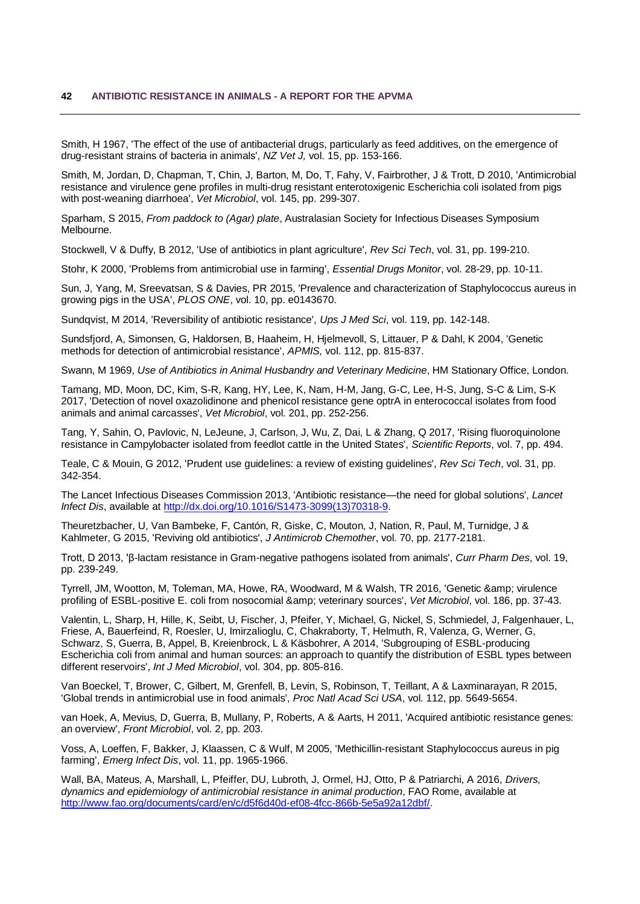Smith, H 1967, 'The effect of the use of antibacterial drugs, particularly as feed additives, on the emergence of drug-resistant strains of bacteria in animals', *NZ Vet J,* vol. 15, pp. 153-166.

Smith, M, Jordan, D, Chapman, T, Chin, J, Barton, M, Do, T, Fahy, V, Fairbrother, J & Trott, D 2010, 'Antimicrobial resistance and virulence gene profiles in multi-drug resistant enterotoxigenic Escherichia coli isolated from pigs with post-weaning diarrhoea', *Vet Microbiol*, vol. 145, pp. 299-307.

Sparham, S 2015, *From paddock to (Agar) plate*, Australasian Society for Infectious Diseases Symposium Melbourne.

<span id="page-45-6"></span>Stockwell, V & Duffy, B 2012, 'Use of antibiotics in plant agriculture', *Rev Sci Tech*, vol. 31, pp. 199-210.

Stohr, K 2000, 'Problems from antimicrobial use in farming', *Essential Drugs Monitor*, vol. 28-29, pp. 10-11.

<span id="page-45-5"></span>Sun, J, Yang, M, Sreevatsan, S & Davies, PR 2015, 'Prevalence and characterization of Staphylococcus aureus in growing pigs in the USA', *PLOS ONE*, vol. 10, pp. e0143670.

Sundqvist, M 2014, 'Reversibility of antibiotic resistance', *Ups J Med Sci*, vol. 119, pp. 142-148.

Sundsfjord, A, Simonsen, G, Haldorsen, B, Haaheim, H, Hjelmevoll, S, Littauer, P & Dahl, K 2004, 'Genetic methods for detection of antimicrobial resistance', *APMIS,* vol. 112, pp. 815-837.

Swann, M 1969, *Use of Antibiotics in Animal Husbandry and Veterinary Medicine*, HM Stationary Office, London.

<span id="page-45-1"></span>Tamang, MD, Moon, DC, Kim, S-R, Kang, HY, Lee, K, Nam, H-M, Jang, G-C, Lee, H-S, Jung, S-C & Lim, S-K 2017, 'Detection of novel oxazolidinone and phenicol resistance gene optrA in enterococcal isolates from food animals and animal carcasses', *Vet Microbiol*, vol. 201, pp. 252-256.

Tang, Y, Sahin, O, Pavlovic, N, LeJeune, J, Carlson, J, Wu, Z, Dai, L & Zhang, Q 2017, 'Rising fluoroquinolone resistance in Campylobacter isolated from feedlot cattle in the United States', *Scientific Reports*, vol. 7, pp. 494.

<span id="page-45-7"></span>Teale, C & Mouin, G 2012, 'Prudent use guidelines: a review of existing guidelines', *Rev Sci Tech*, vol. 31, pp. 342-354.

The Lancet Infectious Diseases Commission 2013, 'Antibiotic resistance—the need for global solutions', *Lancet Infect Dis*, available at [http://dx.doi.org/10.1016/S1473-3099\(13\)70318-9.](http://dx.doi.org/10.1016/S1473-3099(13)70318-9)

Theuretzbacher, U, Van Bambeke, F, Cantón, R, Giske, C, Mouton, J, Nation, R, Paul, M, Turnidge, J & Kahlmeter, G 2015, 'Reviving old antibiotics', *J Antimicrob Chemother*, vol. 70, pp. 2177-2181.

<span id="page-45-3"></span>Trott, D 2013, 'β-lactam resistance in Gram-negative pathogens isolated from animals', *Curr Pharm Des*, vol. 19, pp. 239-249.

<span id="page-45-2"></span>Tyrrell, JM, Wootton, M, Toleman, MA, Howe, RA, Woodward, M & Walsh, TR 2016, 'Genetic & amp; virulence profiling of ESBL-positive E. coli from nosocomial & amp; veterinary sources', *Vet Microbiol*, vol. 186, pp. 37-43.

Valentin, L, Sharp, H, Hille, K, Seibt, U, Fischer, J, Pfeifer, Y, Michael, G, Nickel, S, Schmiedel, J, Falgenhauer, L, Friese, A, Bauerfeind, R, Roesler, U, Imirzalioglu, C, Chakraborty, T, Helmuth, R, Valenza, G, Werner, G, Schwarz, S, Guerra, B, Appel, B, Kreienbrock, L & Käsbohrer, A 2014, 'Subgrouping of ESBL-producing Escherichia coli from animal and human sources: an approach to quantify the distribution of ESBL types between different reservoirs', *Int J Med Microbiol*, vol. 304, pp. 805-816.

<span id="page-45-0"></span>Van Boeckel, T, Brower, C, Gilbert, M, Grenfell, B, Levin, S, Robinson, T, Teillant, A & Laxminarayan, R 2015, 'Global trends in antimicrobial use in food animals', *Proc Natl Acad Sci USA*, vol. 112, pp. 5649-5654.

van Hoek, A, Mevius, D, Guerra, B, Mullany, P, Roberts, A & Aarts, H 2011, 'Acquired antibiotic resistance genes: an overview', *Front Microbiol*, vol. 2, pp. 203.

<span id="page-45-4"></span>Voss, A, Loeffen, F, Bakker, J, Klaassen, C & Wulf, M 2005, 'Methicillin-resistant Staphylococcus aureus in pig farming', *Emerg Infect Dis*, vol. 11, pp. 1965-1966.

Wall, BA, Mateus, A, Marshall, L, Pfeiffer, DU, Lubroth, J, Ormel, HJ, Otto, P & Patriarchi, A 2016, *Drivers, dynamics and epidemiology of antimicrobial resistance in animal production*, FAO Rome, available at [http://www.fao.org/documents/card/en/c/d5f6d40d-ef08-4fcc-866b-5e5a92a12dbf/.](http://www.fao.org/documents/card/en/c/d5f6d40d-ef08-4fcc-866b-5e5a92a12dbf/)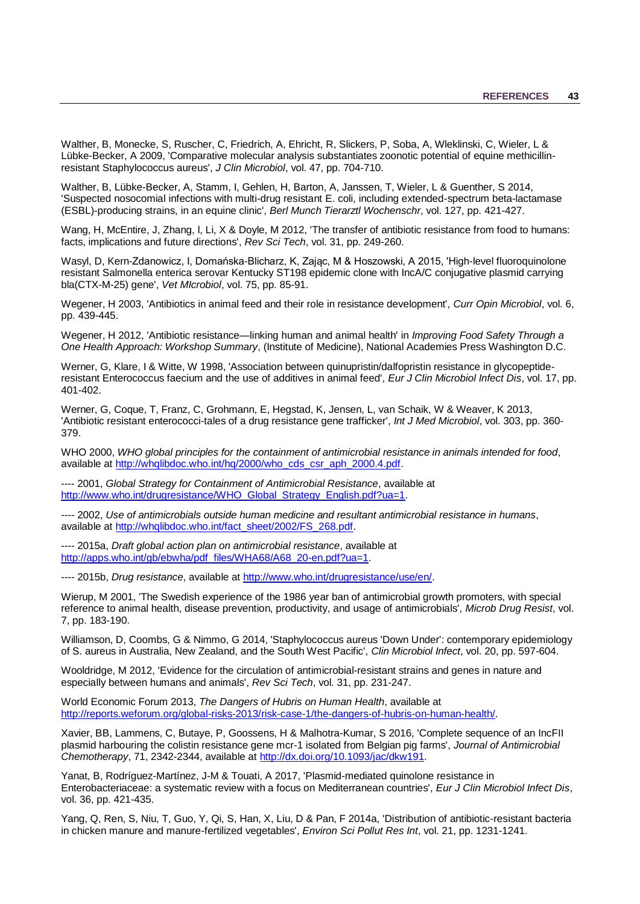<span id="page-46-8"></span>Walther, B, Monecke, S, Ruscher, C, Friedrich, A, Ehricht, R, Slickers, P, Soba, A, Wleklinski, C, Wieler, L & Lübke-Becker, A 2009, 'Comparative molecular analysis substantiates zoonotic potential of equine methicillinresistant Staphylococcus aureus', *J Clin Microbiol*, vol. 47, pp. 704-710.

<span id="page-46-6"></span>Walther, B, Lübke-Becker, A, Stamm, I, Gehlen, H, Barton, A, Janssen, T, Wieler, L & Guenther, S 2014, 'Suspected nosocomial infections with multi-drug resistant E. coli, including extended-spectrum beta-lactamase (ESBL)-producing strains, in an equine clinic', *Berl Munch Tierarztl Wochenschr*, vol. 127, pp. 421-427.

Wang, H, McEntire, J, Zhang, I, Li, X & Doyle, M 2012, 'The transfer of antibiotic resistance from food to humans: facts, implications and future directions', *Rev Sci Tech*, vol. 31, pp. 249-260.

<span id="page-46-5"></span>Wasyl, D, Kern-Zdanowicz, I, Domańska-Blicharz, K, Zając, M & Hoszowski, A 2015, 'High-level fluoroquinolone resistant Salmonella enterica serovar Kentucky ST198 epidemic clone with IncA/C conjugative plasmid carrying bla(CTX-M-25) gene', *Vet MIcrobiol*, vol. 75, pp. 85-91.

<span id="page-46-2"></span>Wegener, H 2003, 'Antibiotics in animal feed and their role in resistance development', *Curr Opin Microbiol*, vol. 6, pp. 439-445.

Wegener, H 2012, 'Antibiotic resistance—linking human and animal health' in *Improving Food Safety Through a One Health Approach: Workshop Summary*, (Institute of Medicine), National Academies Press Washington D.C.

<span id="page-46-1"></span>Werner, G, Klare, I & Witte, W 1998, 'Association between quinupristin/dalfopristin resistance in glycopeptideresistant Enterococcus faecium and the use of additives in animal feed', *Eur J Clin Microbiol Infect Dis*, vol. 17, pp. 401-402.

<span id="page-46-3"></span>Werner, G, Coque, T, Franz, C, Grohmann, E, Hegstad, K, Jensen, L, van Schaik, W & Weaver, K 2013, 'Antibiotic resistant enterococci-tales of a drug resistance gene trafficker', *Int J Med Microbiol*, vol. 303, pp. 360- 379.

WHO 2000, *WHO global principles for the containment of antimicrobial resistance in animals intended for food*, available at [http://whqlibdoc.who.int/hq/2000/who\\_cds\\_csr\\_aph\\_2000.4.pdf.](http://whqlibdoc.who.int/hq/2000/who_cds_csr_aph_2000.4.pdf)

---- 2001, *Global Strategy for Containment of Antimicrobial Resistance*, available at [http://www.who.int/drugresistance/WHO\\_Global\\_Strategy\\_English.pdf?ua=1.](http://www.who.int/drugresistance/WHO_Global_Strategy_English.pdf?ua=1)

<span id="page-46-12"></span>---- 2002, *Use of antimicrobials outside human medicine and resultant antimicrobial resistance in humans*, available at [http://whqlibdoc.who.int/fact\\_sheet/2002/FS\\_268.pdf.](http://whqlibdoc.who.int/fact_sheet/2002/FS_268.pdf)

<span id="page-46-11"></span>---- 2015a, *Draft global action plan on antimicrobial resistance*, available at [http://apps.who.int/gb/ebwha/pdf\\_files/WHA68/A68\\_20-en.pdf?ua=1.](http://apps.who.int/gb/ebwha/pdf_files/WHA68/A68_20-en.pdf?ua=1)

---- 2015b, *Drug resistance*, available at [http://www.who.int/drugresistance/use/en/.](http://www.who.int/drugresistance/use/en/)

<span id="page-46-0"></span>Wierup, M 2001, 'The Swedish experience of the 1986 year ban of antimicrobial growth promoters, with special reference to animal health, disease prevention, productivity, and usage of antimicrobials', *Microb Drug Resist*, vol. 7, pp. 183-190.

<span id="page-46-7"></span>Williamson, D, Coombs, G & Nimmo, G 2014, 'Staphylococcus aureus 'Down Under': contemporary epidemiology of S. aureus in Australia, New Zealand, and the South West Pacific', *Clin Microbiol Infect*, vol. 20, pp. 597-604.

<span id="page-46-10"></span>Wooldridge, M 2012, 'Evidence for the circulation of antimicrobial-resistant strains and genes in nature and especially between humans and animals', *Rev Sci Tech*, vol. 31, pp. 231-247.

World Economic Forum 2013, *The Dangers of Hubris on Human Health*, available at [http://reports.weforum.org/global-risks-2013/risk-case-1/the-dangers-of-hubris-on-human-health/.](http://reports.weforum.org/global-risks-2013/risk-case-1/the-dangers-of-hubris-on-human-health/)

Xavier, BB, Lammens, C, Butaye, P, Goossens, H & Malhotra-Kumar, S 2016, 'Complete sequence of an IncFII plasmid harbouring the colistin resistance gene mcr-1 isolated from Belgian pig farms', *Journal of Antimicrobial Chemotherapy*, 71, 2342-2344, available at [http://dx.doi.org/10.1093/jac/dkw191.](http://dx.doi.org/10.1093/jac/dkw191)

<span id="page-46-4"></span>Yanat, B, Rodríguez-Martínez, J-M & Touati, A 2017, 'Plasmid-mediated quinolone resistance in Enterobacteriaceae: a systematic review with a focus on Mediterranean countries', *Eur J Clin Microbiol Infect Dis*, vol. 36, pp. 421-435.

<span id="page-46-9"></span>Yang, Q, Ren, S, Niu, T, Guo, Y, Qi, S, Han, X, Liu, D & Pan, F 2014a, 'Distribution of antibiotic-resistant bacteria in chicken manure and manure-fertilized vegetables', *Environ Sci Pollut Res Int*, vol. 21, pp. 1231-1241.